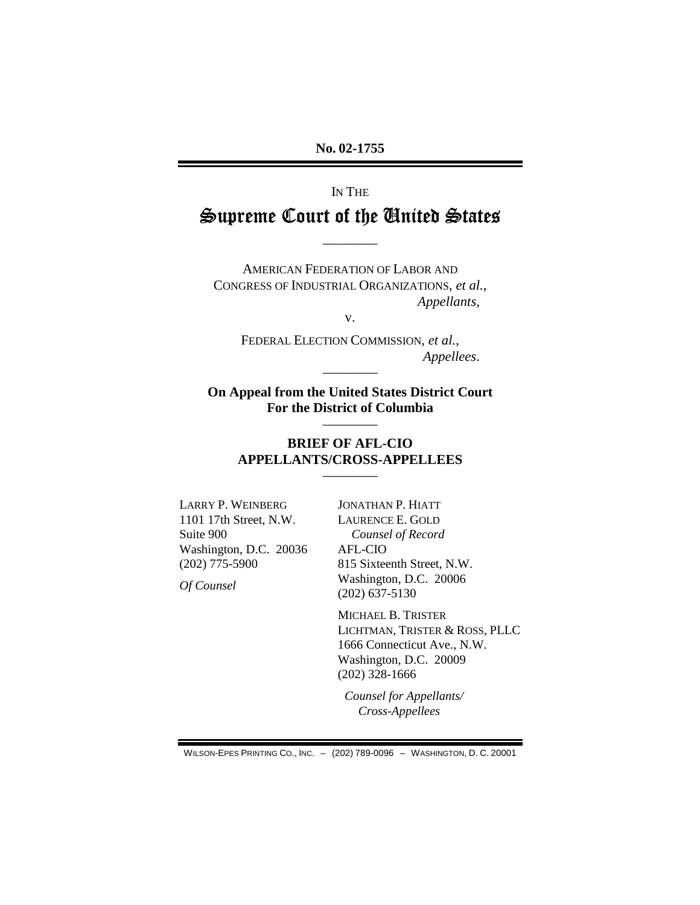No. 02-1755

# IN THE Supreme Court of the United States

**AMERICAN FEDERATION OF LABOR AND** CONGRESS OF INDUSTRIAL ORGANIZATIONS, et al., Appellants,

V.

FEDERAL ELECTION COMMISSION, et al., Appellees.

On Appeal from the United States District Court For the District of Columbia

#### **BRIEF OF AFL-CIO APPELLANTS/CROSS-APPELLEES**

**LARRY P. WEINBERG** 1101 17th Street, N.W. Suite 900 Washington, D.C. 20036  $(202)$  775-5900

Of Counsel

JONATHAN P. HIATT LAURENCE E. GOLD Counsel of Record AFL-CIO 815 Sixteenth Street, N.W. Washington, D.C. 20006  $(202)$  637-5130

MICHAEL B. TRISTER LICHTMAN, TRISTER & ROSS, PLLC 1666 Connecticut Ave., N.W. Washington, D.C. 20009  $(202)$  328-1666

Counsel for Appellants/ Cross-Appellees

WILSON-EPES PRINTING CO., INC. - (202) 789-0096 - WASHINGTON, D. C. 20001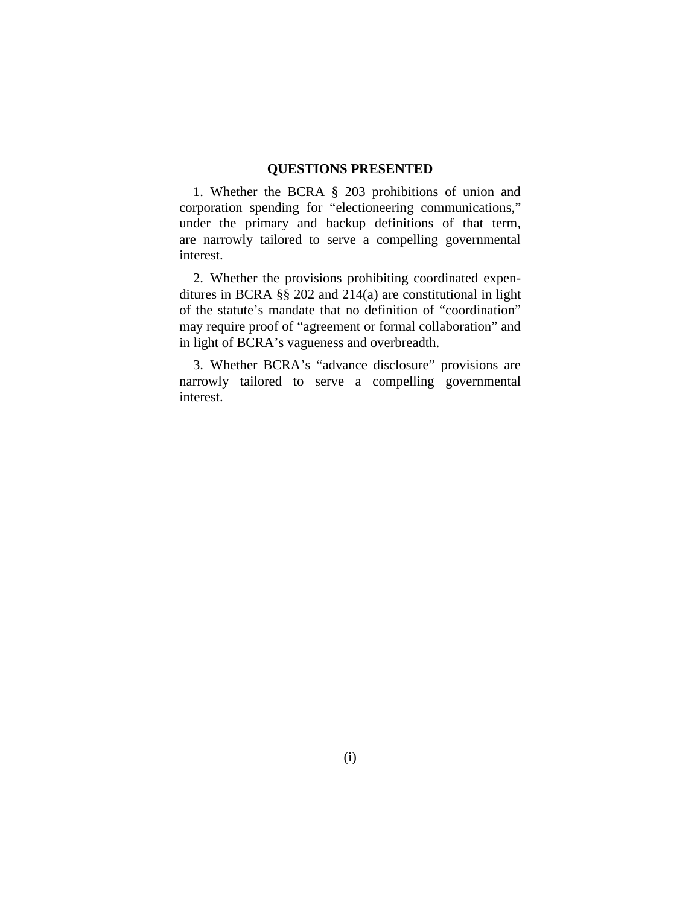#### **QUESTIONS PRESENTED**

1. Whether the BCRA § 203 prohibitions of union and corporation spending for "electioneering communications," under the primary and backup definitions of that term, are narrowly tailored to serve a compelling governmental interest.

2. Whether the provisions prohibiting coordinated expenditures in BCRA §§ 202 and 214(a) are constitutional in light of the statute's mandate that no definition of "coordination" may require proof of "agreement or formal collaboration" and in light of BCRA's vagueness and overbreadth.

3. Whether BCRA's "advance disclosure" provisions are narrowly tailored to serve a compelling governmental interest.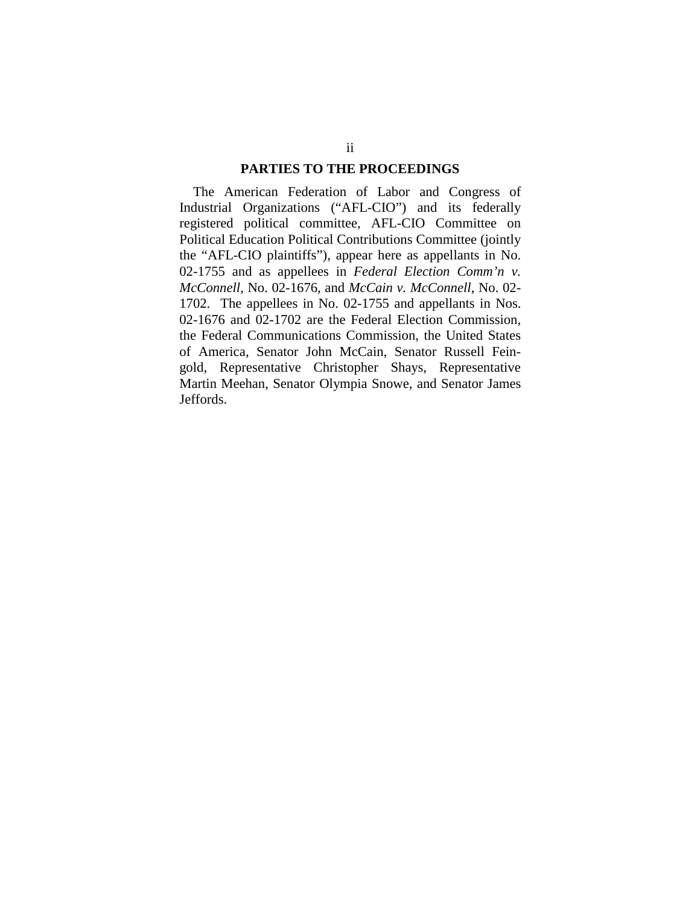#### **PARTIES TO THE PROCEEDINGS**

The American Federation of Labor and Congress of Industrial Organizations ("AFL-CIO") and its federally registered political committee, AFL-CIO Committee on Political Education Political Contributions Committee (jointly the "AFL-CIO plaintiffs"), appear here as appellants in No. 02-1755 and as appellees in *Federal Election Comm'n v. McConnell*, No. 02-1676, and *McCain v. McConnell*, No. 02- 1702. The appellees in No. 02-1755 and appellants in Nos. 02-1676 and 02-1702 are the Federal Election Commission, the Federal Communications Commission, the United States of America, Senator John McCain, Senator Russell Feingold, Representative Christopher Shays, Representative Martin Meehan, Senator Olympia Snowe, and Senator James Jeffords.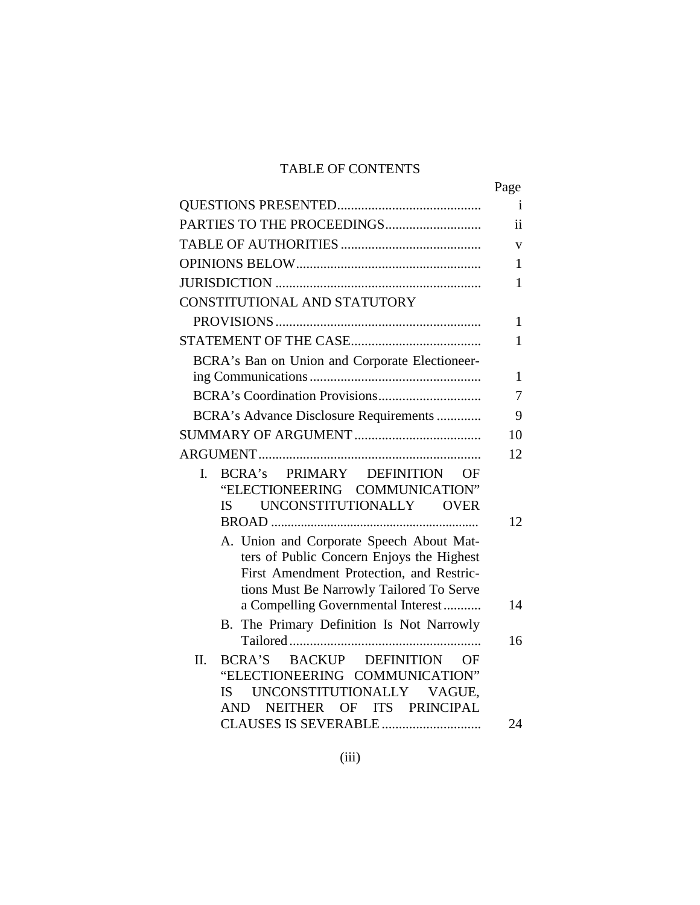### TABLE OF CONTENTS

|                                                                                                                                                                               | Page         |
|-------------------------------------------------------------------------------------------------------------------------------------------------------------------------------|--------------|
|                                                                                                                                                                               | $\mathbf{i}$ |
|                                                                                                                                                                               | ii           |
|                                                                                                                                                                               | V            |
|                                                                                                                                                                               | 1            |
|                                                                                                                                                                               | 1            |
| CONSTITUTIONAL AND STATUTORY                                                                                                                                                  |              |
|                                                                                                                                                                               | $\mathbf{1}$ |
|                                                                                                                                                                               | $\mathbf{1}$ |
| BCRA's Ban on Union and Corporate Electioneer-                                                                                                                                |              |
|                                                                                                                                                                               | $\mathbf{1}$ |
|                                                                                                                                                                               | 7            |
| BCRA's Advance Disclosure Requirements                                                                                                                                        | 9            |
|                                                                                                                                                                               | 10           |
|                                                                                                                                                                               | 12           |
| BCRA's PRIMARY DEFINITION OF<br>L.<br>"ELECTIONEERING COMMUNICATION"<br>UNCONSTITUTIONALLY OVER<br><b>IS</b>                                                                  | 12           |
| A. Union and Corporate Speech About Mat-<br>ters of Public Concern Enjoys the Highest<br>First Amendment Protection, and Restric-<br>tions Must Be Narrowly Tailored To Serve |              |
| a Compelling Governmental Interest                                                                                                                                            | 14           |
| The Primary Definition Is Not Narrowly<br>B.                                                                                                                                  | 16           |
| BACKUP DEFINITION<br>Π.<br><b>BCRA'S</b><br>OF)<br>"ELECTIONEERING COMMUNICATION"<br>UNCONSTITUTIONALLY VAGUE,<br><b>IS</b><br>NEITHER OF ITS PRINCIPAL<br>AND                | 24           |
|                                                                                                                                                                               |              |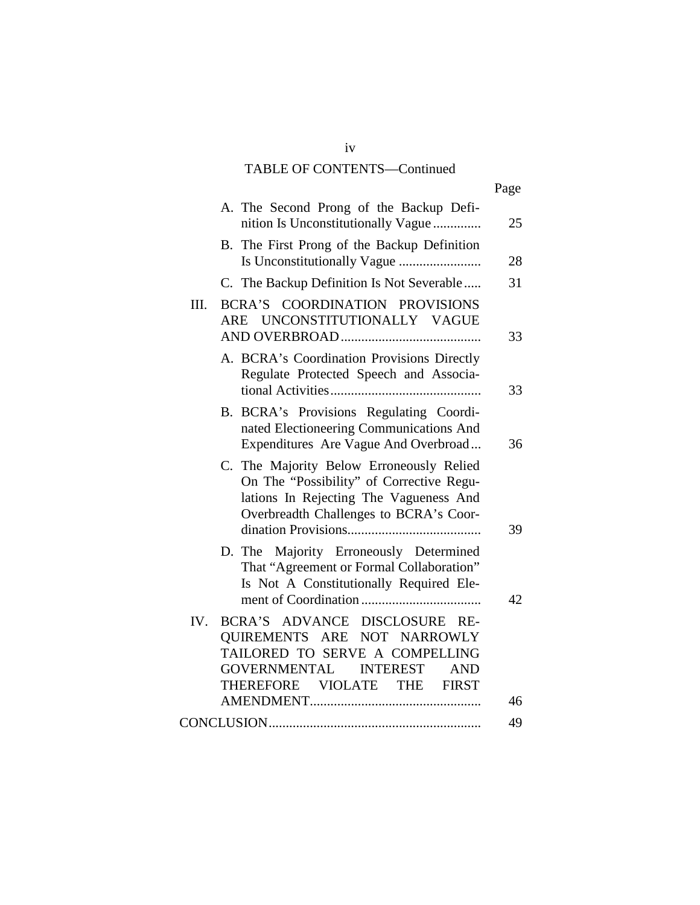### TABLE OF CONTENTS—Continued

|                                                                                                                                                                                       | Page |
|---------------------------------------------------------------------------------------------------------------------------------------------------------------------------------------|------|
| A. The Second Prong of the Backup Defi-<br>nition Is Unconstitutionally Vague                                                                                                         | 25   |
| B. The First Prong of the Backup Definition                                                                                                                                           | 28   |
| C. The Backup Definition Is Not Severable                                                                                                                                             | 31   |
| BCRA'S COORDINATION PROVISIONS<br>III.<br>ARE UNCONSTITUTIONALLY VAGUE                                                                                                                | 33   |
| A. BCRA's Coordination Provisions Directly<br>Regulate Protected Speech and Associa-                                                                                                  | 33   |
| BCRA's Provisions Regulating Coordi-<br><b>B.</b><br>nated Electioneering Communications And<br>Expenditures Are Vague And Overbroad                                                  | 36   |
| C. The Majority Below Erroneously Relied<br>On The "Possibility" of Corrective Regu-<br>lations In Rejecting The Vagueness And<br>Overbreadth Challenges to BCRA's Coor-              | 39   |
| D. The Majority Erroneously Determined<br>That "Agreement or Formal Collaboration"<br>Is Not A Constitutionally Required Ele-                                                         | 42   |
| IV.<br>BCRA'S ADVANCE DISCLOSURE RE-<br>QUIREMENTS ARE NOT NARROWLY<br>TAILORED TO SERVE A COMPELLING<br>GOVERNMENTAL INTEREST<br><b>AND</b><br>THEREFORE VIOLATE THE<br><b>FIRST</b> | 46   |
|                                                                                                                                                                                       | 49   |

iv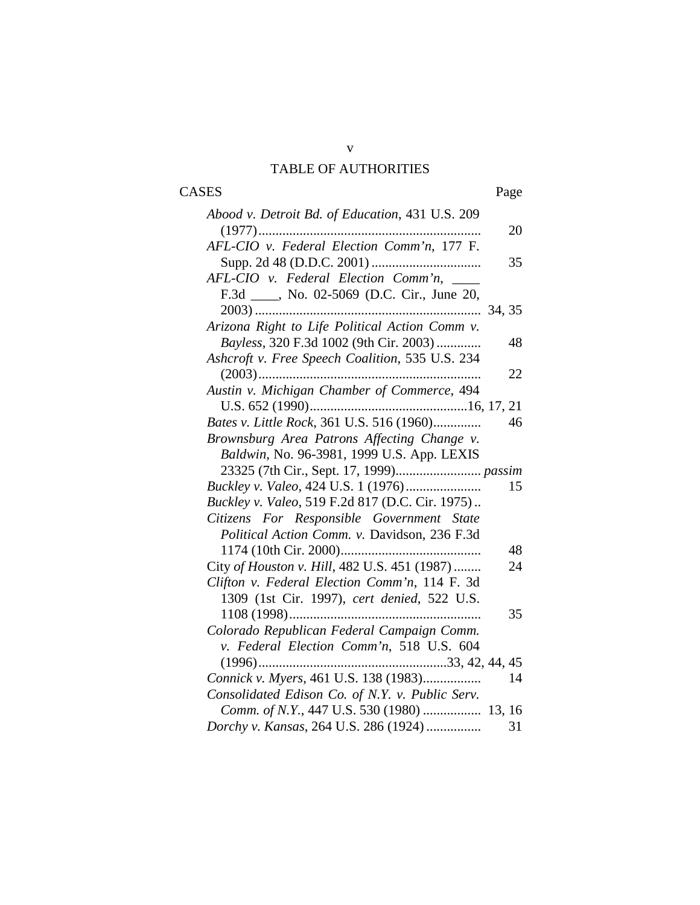### v TABLE OF AUTHORITIES

# CASES Page

| Abood v. Detroit Bd. of Education, 431 U.S. 209 |        |
|-------------------------------------------------|--------|
|                                                 | 20     |
| AFL-CIO v. Federal Election Comm'n, 177 F.      |        |
|                                                 | 35     |
| AFL-CIO v. Federal Election Comm'n,             |        |
| F.3d ____, No. 02-5069 (D.C. Cir., June 20,     |        |
| $2003)$                                         | 34, 35 |
| Arizona Right to Life Political Action Comm v.  |        |
| Bayless, 320 F.3d 1002 (9th Cir. 2003)          | 48     |
| Ashcroft v. Free Speech Coalition, 535 U.S. 234 |        |
|                                                 | 22     |
| Austin v. Michigan Chamber of Commerce, 494     |        |
|                                                 |        |
| Bates v. Little Rock, 361 U.S. 516 (1960)       | 46     |
| Brownsburg Area Patrons Affecting Change v.     |        |
| Baldwin, No. 96-3981, 1999 U.S. App. LEXIS      |        |
|                                                 |        |
| Buckley v. Valeo, 424 U.S. 1 (1976)             | 15     |
| Buckley v. Valeo, 519 F.2d 817 (D.C. Cir. 1975) |        |
| Citizens For Responsible Government State       |        |
| Political Action Comm. v. Davidson, 236 F.3d    |        |
|                                                 | 48     |
| City of Houston v. Hill, 482 U.S. 451 (1987)    | 24     |
| Clifton v. Federal Election Comm'n, 114 F. 3d   |        |
| 1309 (1st Cir. 1997), cert denied, 522 U.S.     |        |
|                                                 | 35     |
| Colorado Republican Federal Campaign Comm.      |        |
| v. Federal Election Comm'n, 518 U.S. 604        |        |
|                                                 |        |
| Connick v. Myers, 461 U.S. 138 (1983)           | 14     |
| Consolidated Edison Co. of N.Y. v. Public Serv. |        |
| Comm. of N.Y., 447 U.S. 530 (1980)  13, 16      |        |
| Dorchy v. Kansas, 264 U.S. 286 (1924)           | 31     |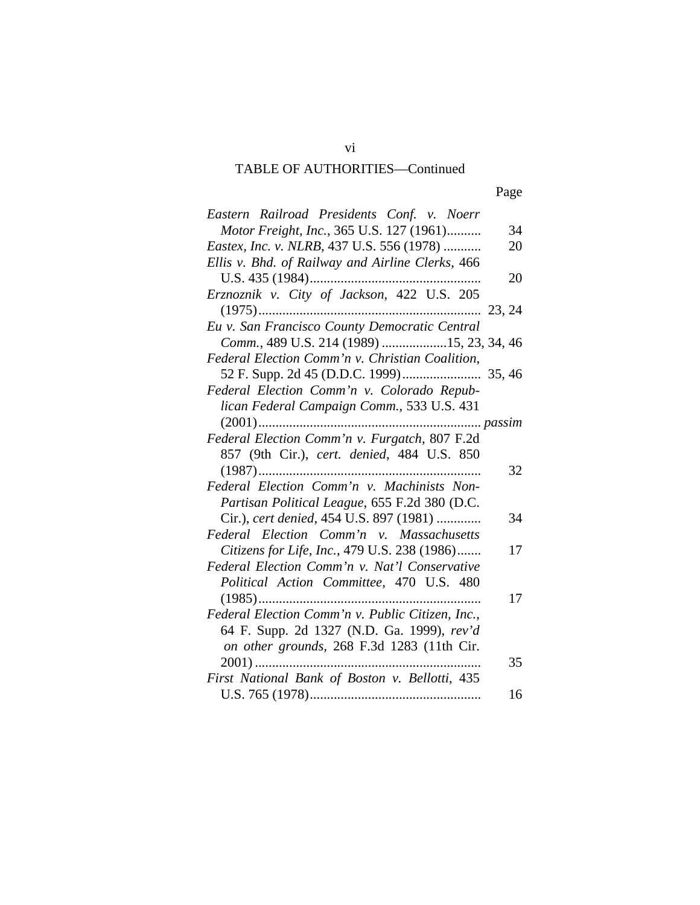| Eastern Railroad Presidents Conf. v. Noerr         |  |
|----------------------------------------------------|--|
| Motor Freight, Inc., 365 U.S. 127 (1961)<br>34     |  |
| Eastex, Inc. v. NLRB, 437 U.S. 556 (1978)<br>20    |  |
| Ellis v. Bhd. of Railway and Airline Clerks, 466   |  |
| 20                                                 |  |
| Erznoznik v. City of Jackson, 422 U.S. 205         |  |
| 23, 24                                             |  |
| Eu v. San Francisco County Democratic Central      |  |
| Comm., 489 U.S. 214 (1989) 15, 23, 34, 46          |  |
| Federal Election Comm'n v. Christian Coalition,    |  |
|                                                    |  |
| Federal Election Comm'n v. Colorado Repub-         |  |
| lican Federal Campaign Comm., 533 U.S. 431         |  |
| $(2001)$                                           |  |
| Federal Election Comm'n v. Furgatch, 807 F.2d      |  |
| 857 (9th Cir.), cert. denied, 484 U.S. 850         |  |
| 32                                                 |  |
| Federal Election Comm'n v. Machinists Non-         |  |
| Partisan Political League, 655 F.2d 380 (D.C.      |  |
| Cir.), cert denied, 454 U.S. 897 (1981)<br>34      |  |
| Federal Election Comm'n v. Massachusetts           |  |
| Citizens for Life, Inc., 479 U.S. 238 (1986)<br>17 |  |
| Federal Election Comm'n v. Nat'l Conservative      |  |
| Political Action Committee, 470 U.S. 480           |  |
| 17                                                 |  |
| Federal Election Comm'n v. Public Citizen, Inc.,   |  |
| 64 F. Supp. 2d 1327 (N.D. Ga. 1999), rev'd         |  |
| on other grounds, 268 F.3d 1283 (11th Cir.         |  |
| 35                                                 |  |
| First National Bank of Boston v. Bellotti, 435     |  |
| 16                                                 |  |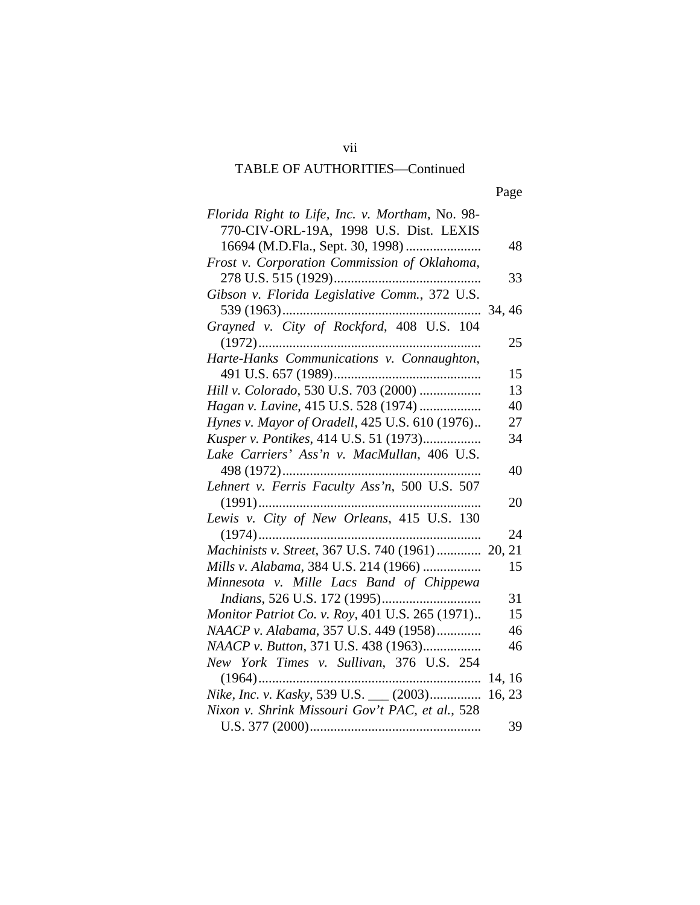| Florida Right to Life, Inc. v. Mortham, No. 98-   |        |
|---------------------------------------------------|--------|
| 770-CIV-ORL-19A, 1998 U.S. Dist. LEXIS            |        |
| 16694 (M.D.Fla., Sept. 30, 1998)                  | 48     |
| Frost v. Corporation Commission of Oklahoma,      |        |
|                                                   | 33     |
| Gibson v. Florida Legislative Comm., 372 U.S.     |        |
|                                                   |        |
| Grayned v. City of Rockford, 408 U.S. 104         |        |
|                                                   | 25     |
|                                                   |        |
|                                                   | 15     |
| Hill v. Colorado, 530 U.S. 703 (2000)             | 13     |
| Hagan v. Lavine, 415 U.S. 528 (1974)              | 40     |
| Hynes v. Mayor of Oradell, 425 U.S. 610 (1976)    | 27     |
| Kusper v. Pontikes, 414 U.S. 51 (1973)            | 34     |
| Lake Carriers' Ass'n v. MacMullan, 406 U.S.       |        |
|                                                   | 40     |
| Lehnert v. Ferris Faculty Ass'n, 500 U.S. 507     |        |
|                                                   | 20     |
| Lewis v. City of New Orleans, 415 U.S. 130        |        |
|                                                   | 24     |
| Machinists v. Street, 367 U.S. 740 (1961)  20, 21 |        |
| Mills v. Alabama, 384 U.S. 214 (1966)             | 15     |
| Minnesota v. Mille Lacs Band of Chippewa          |        |
|                                                   | 31     |
| Monitor Patriot Co. v. Roy, 401 U.S. 265 (1971)   | 15     |
| NAACP v. Alabama, 357 U.S. 449 (1958)             | 46     |
| NAACP v. Button, 371 U.S. 438 (1963)              | 46     |
| New York Times v. Sullivan, 376 U.S. 254          |        |
|                                                   |        |
| Nike, Inc. v. Kasky, 539 U.S. __ (2003)           | 16, 23 |
| Nixon v. Shrink Missouri Gov't PAC, et al., 528   |        |
|                                                   | 39     |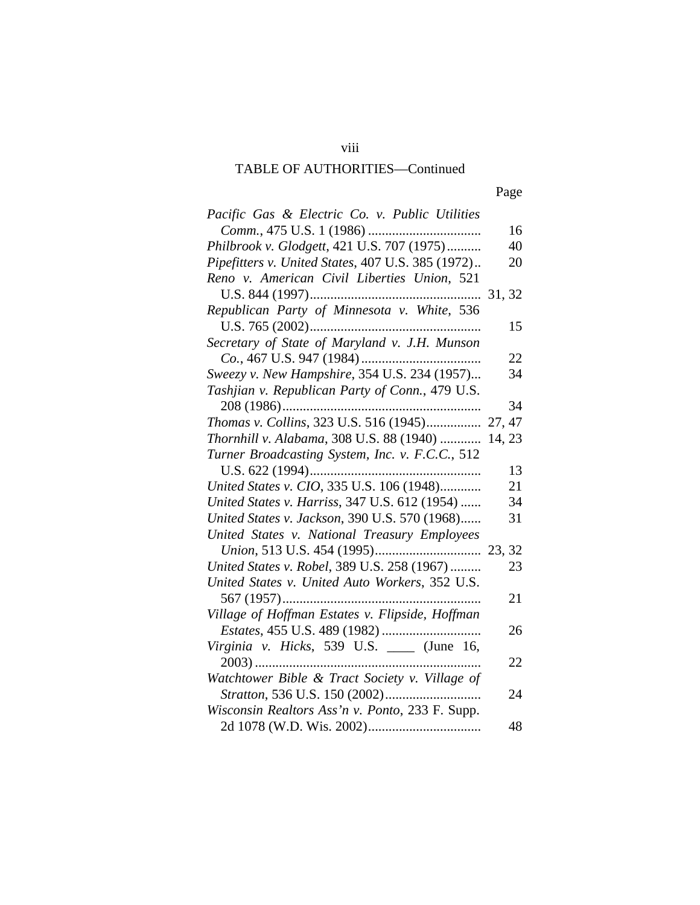viii

| Pacific Gas & Electric Co. v. Public Utilities     |    |
|----------------------------------------------------|----|
|                                                    | 16 |
| Philbrook v. Glodgett, 421 U.S. 707 (1975)         | 40 |
| Pipefitters v. United States, 407 U.S. 385 (1972)  | 20 |
| Reno v. American Civil Liberties Union, 521        |    |
|                                                    |    |
| Republican Party of Minnesota v. White, 536        |    |
|                                                    | 15 |
| Secretary of State of Maryland v. J.H. Munson      |    |
|                                                    | 22 |
| Sweezy v. New Hampshire, 354 U.S. 234 (1957)       | 34 |
| Tashjian v. Republican Party of Conn., 479 U.S.    |    |
|                                                    | 34 |
| Thomas v. Collins, 323 U.S. 516 (1945) 27, 47      |    |
| Thornhill v. Alabama, 308 U.S. 88 (1940)<br>14, 23 |    |
| Turner Broadcasting System, Inc. v. F.C.C., 512    |    |
|                                                    | 13 |
| United States v. CIO, 335 U.S. 106 (1948)          | 21 |
| United States v. Harriss, 347 U.S. 612 (1954)      | 34 |
| United States v. Jackson, 390 U.S. 570 (1968)      | 31 |
| United States v. National Treasury Employees       |    |
|                                                    |    |
| United States v. Robel, 389 U.S. 258 (1967)        | 23 |
| United States v. United Auto Workers, 352 U.S.     |    |
|                                                    | 21 |
| Village of Hoffman Estates v. Flipside, Hoffman    |    |
|                                                    | 26 |
| Virginia v. Hicks, 539 U.S. ____ (June 16,         |    |
|                                                    | 22 |
| Watchtower Bible & Tract Society v. Village of     |    |
|                                                    | 24 |
| Wisconsin Realtors Ass'n v. Ponto, 233 F. Supp.    |    |
|                                                    | 48 |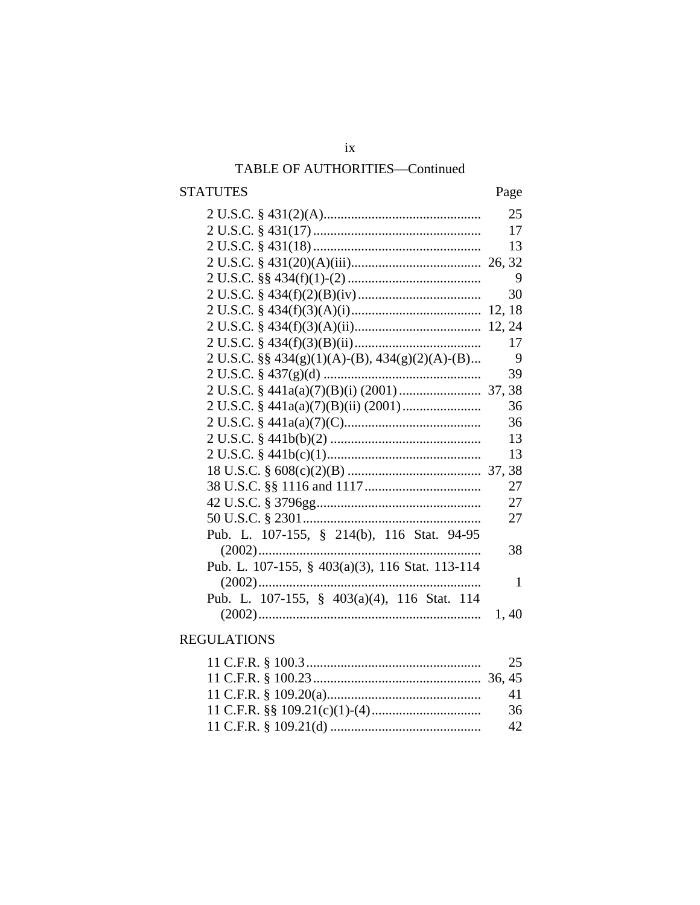## $i\mathbf{x}$ TABLE OF AUTHORITIES-Continued

### **STATUTES**

### Page

|                                                       | 25   |
|-------------------------------------------------------|------|
|                                                       | 17   |
|                                                       | 13   |
|                                                       |      |
|                                                       | 9    |
|                                                       | 30   |
|                                                       |      |
|                                                       |      |
|                                                       | 17   |
| 2 U.S.C. $\S\S 434(g)(1)(A)-(B)$ , $434(g)(2)(A)-(B)$ | 9    |
|                                                       | 39   |
|                                                       |      |
|                                                       | 36   |
|                                                       | 36   |
|                                                       | 13   |
|                                                       | 13   |
|                                                       |      |
|                                                       | 27   |
|                                                       | 27   |
|                                                       | 27   |
| Pub. L. 107-155, § 214(b), 116 Stat. 94-95            |      |
|                                                       | 38   |
| Pub. L. 107-155, § 403(a)(3), 116 Stat. 113-114       |      |
| $(2002)$<br>                                          | 1    |
| Pub. L. 107-155, § 403(a)(4), 116 Stat. 114           |      |
|                                                       | 1,40 |
|                                                       |      |

### **REGULATIONS**

| -41  |
|------|
| - 36 |
| - 42 |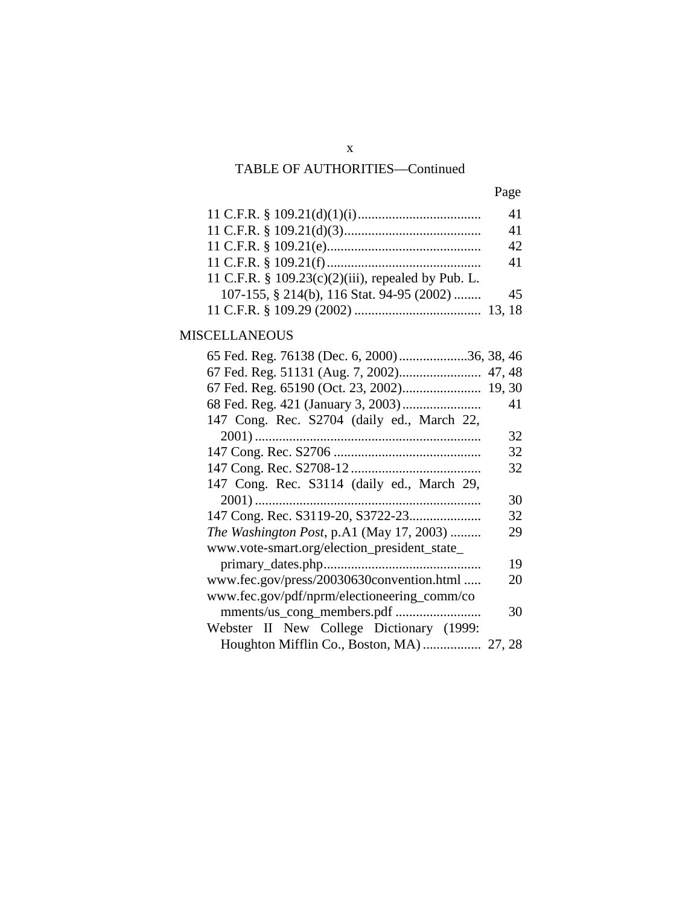|                                                       | 41 |
|-------------------------------------------------------|----|
|                                                       | 41 |
|                                                       | 42 |
|                                                       | 41 |
| 11 C.F.R. § $109.23(c)(2)(iii)$ , repealed by Pub. L. |    |
| 107-155, § 214(b), 116 Stat. 94-95 (2002)             | 45 |
|                                                       |    |

### MISCELLANEOUS

| 65 Fed. Reg. 76138 (Dec. 6, 2000)36, 38, 46  |    |
|----------------------------------------------|----|
|                                              |    |
|                                              |    |
|                                              | 41 |
| 147 Cong. Rec. S2704 (daily ed., March 22,   |    |
|                                              | 32 |
|                                              | 32 |
|                                              | 32 |
| 147 Cong. Rec. S3114 (daily ed., March 29,   |    |
|                                              | 30 |
|                                              | 32 |
| The Washington Post, p.A1 (May 17, 2003)     | 29 |
| www.vote-smart.org/election_president_state_ |    |
|                                              | 19 |
| www.fec.gov/press/20030630convention.html    | 20 |
| www.fec.gov/pdf/nprm/electioneering_comm/co  |    |
|                                              | 30 |
| Webster II New College Dictionary (1999:     |    |
|                                              |    |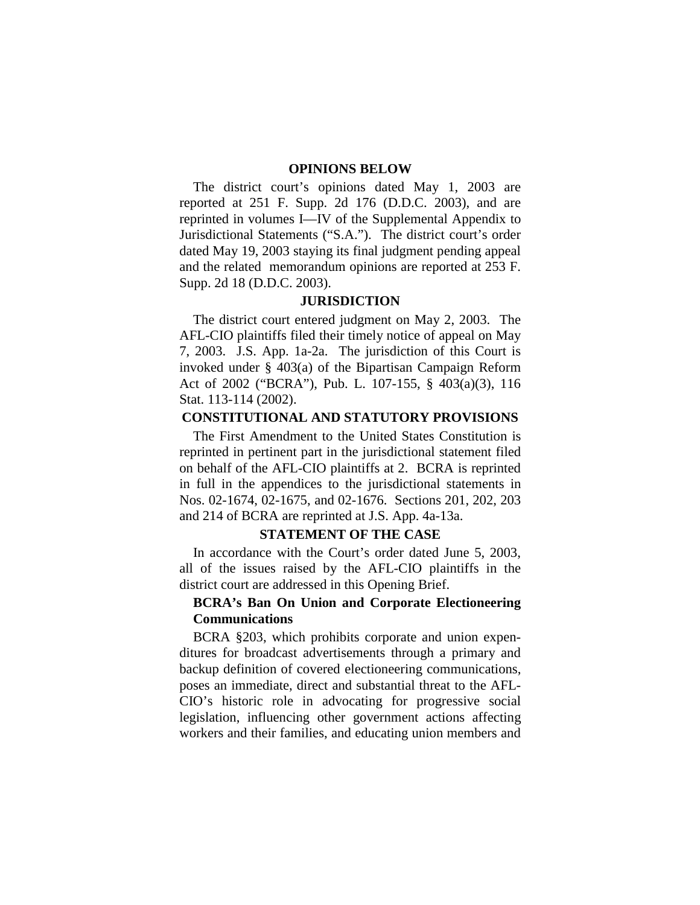#### **OPINIONS BELOW**

The district court's opinions dated May 1, 2003 are reported at 251 F. Supp. 2d 176 (D.D.C. 2003), and are reprinted in volumes I—IV of the Supplemental Appendix to Jurisdictional Statements ("S.A."). The district court's order dated May 19, 2003 staying its final judgment pending appeal and the related memorandum opinions are reported at 253 F. Supp. 2d 18 (D.D.C. 2003).

#### **JURISDICTION**

The district court entered judgment on May 2, 2003. The AFL-CIO plaintiffs filed their timely notice of appeal on May 7, 2003. J.S. App. 1a-2a. The jurisdiction of this Court is invoked under § 403(a) of the Bipartisan Campaign Reform Act of 2002 ("BCRA"), Pub. L. 107-155, § 403(a)(3), 116 Stat. 113-114 (2002).

#### **CONSTITUTIONAL AND STATUTORY PROVISIONS**

The First Amendment to the United States Constitution is reprinted in pertinent part in the jurisdictional statement filed on behalf of the AFL-CIO plaintiffs at 2. BCRA is reprinted in full in the appendices to the jurisdictional statements in Nos. 02-1674, 02-1675, and 02-1676. Sections 201, 202, 203 and 214 of BCRA are reprinted at J.S. App. 4a-13a.

#### **STATEMENT OF THE CASE**

In accordance with the Court's order dated June 5, 2003, all of the issues raised by the AFL-CIO plaintiffs in the district court are addressed in this Opening Brief.

#### **BCRA's Ban On Union and Corporate Electioneering Communications**

BCRA §203, which prohibits corporate and union expenditures for broadcast advertisements through a primary and backup definition of covered electioneering communications, poses an immediate, direct and substantial threat to the AFL-CIO's historic role in advocating for progressive social legislation, influencing other government actions affecting workers and their families, and educating union members and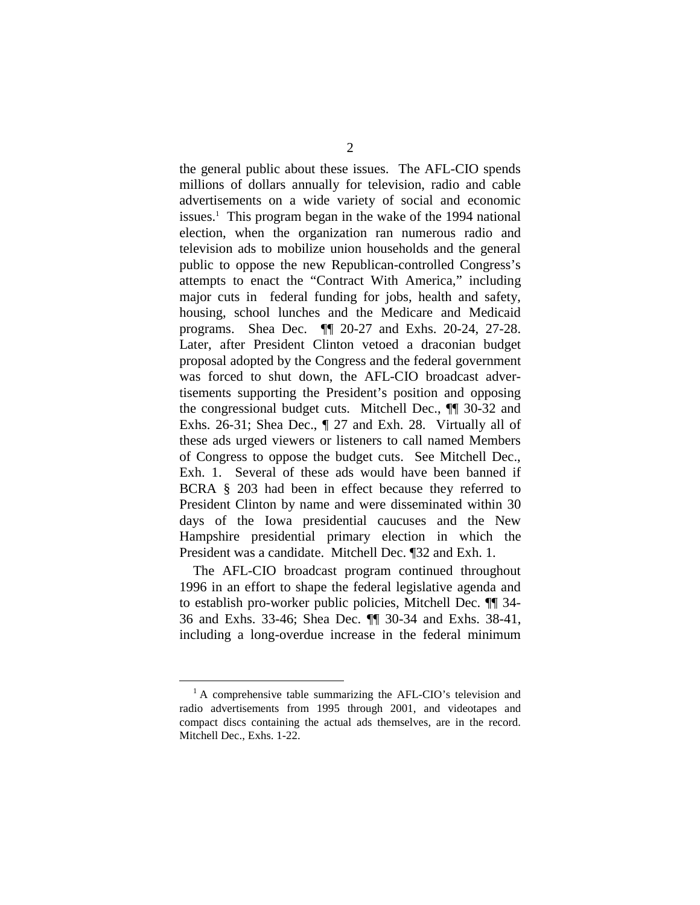the general public about these issues. The AFL-CIO spends millions of dollars annually for television, radio and cable advertisements on a wide variety of social and economic issues.<sup>1</sup> This program began in the wake of the 1994 national election, when the organization ran numerous radio and television ads to mobilize union households and the general public to oppose the new Republican-controlled Congress's attempts to enact the "Contract With America," including major cuts in federal funding for jobs, health and safety, housing, school lunches and the Medicare and Medicaid programs. Shea Dec. ¶¶ 20-27 and Exhs. 20-24, 27-28. Later, after President Clinton vetoed a draconian budget proposal adopted by the Congress and the federal government was forced to shut down, the AFL-CIO broadcast advertisements supporting the President's position and opposing the congressional budget cuts. Mitchell Dec., ¶¶ 30-32 and Exhs. 26-31; Shea Dec., ¶ 27 and Exh. 28. Virtually all of these ads urged viewers or listeners to call named Members of Congress to oppose the budget cuts. See Mitchell Dec., Exh. 1. Several of these ads would have been banned if BCRA § 203 had been in effect because they referred to President Clinton by name and were disseminated within 30 days of the Iowa presidential caucuses and the New Hampshire presidential primary election in which the President was a candidate. Mitchell Dec. ¶32 and Exh. 1.

The AFL-CIO broadcast program continued throughout 1996 in an effort to shape the federal legislative agenda and to establish pro-worker public policies, Mitchell Dec. ¶¶ 34- 36 and Exhs. 33-46; Shea Dec. ¶¶ 30-34 and Exhs. 38-41, including a long-overdue increase in the federal minimum

<sup>&</sup>lt;sup>1</sup> A comprehensive table summarizing the AFL-CIO's television and radio advertisements from 1995 through 2001, and videotapes and compact discs containing the actual ads themselves, are in the record. Mitchell Dec., Exhs. 1-22.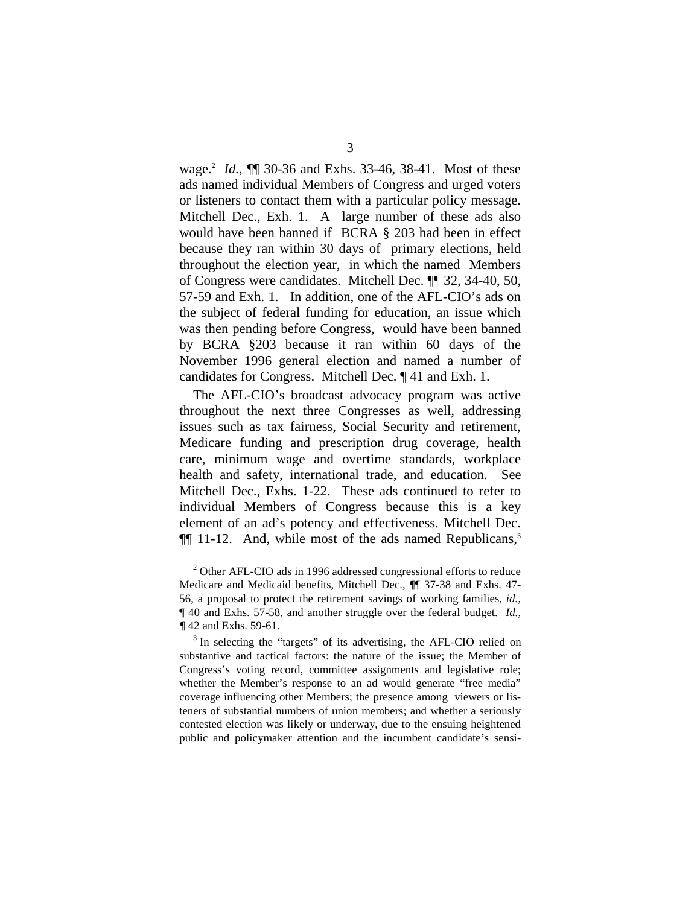wage. <sup>2</sup>*Id.*, ¶¶ 30-36 and Exhs. 33-46, 38-41. Most of these ads named individual Members of Congress and urged voters or listeners to contact them with a particular policy message. Mitchell Dec., Exh. 1. A large number of these ads also would have been banned if BCRA § 203 had been in effect because they ran within 30 days of primary elections, held throughout the election year, in which the named Members of Congress were candidates. Mitchell Dec. ¶¶ 32, 34-40, 50, 57-59 and Exh. 1. In addition, one of the AFL-CIO's ads on the subject of federal funding for education, an issue which was then pending before Congress, would have been banned by BCRA §203 because it ran within 60 days of the November 1996 general election and named a number of candidates for Congress. Mitchell Dec. ¶ 41 and Exh. 1.

The AFL-CIO's broadcast advocacy program was active throughout the next three Congresses as well, addressing issues such as tax fairness, Social Security and retirement, Medicare funding and prescription drug coverage, health care, minimum wage and overtime standards, workplace health and safety, international trade, and education. See Mitchell Dec., Exhs. 1-22. These ads continued to refer to individual Members of Congress because this is a key element of an ad's potency and effectiveness. Mitchell Dec.  $\P$ [ 11-12. And, while most of the ads named Republicans,<sup>3</sup>

 $2$  Other AFL-CIO ads in 1996 addressed congressional efforts to reduce Medicare and Medicaid benefits, Mitchell Dec., ¶¶ 37-38 and Exhs. 47- 56, a proposal to protect the retirement savings of working families, *id.,*  ¶ 40 and Exhs. 57-58, and another struggle over the federal budget. *Id., ¶* 42 and Exhs. 59-61.<br><sup>3</sup> In selecting the "targets" of its advertising, the AFL-CIO relied on

substantive and tactical factors: the nature of the issue; the Member of Congress's voting record, committee assignments and legislative role; whether the Member's response to an ad would generate "free media" coverage influencing other Members; the presence among viewers or listeners of substantial numbers of union members; and whether a seriously contested election was likely or underway, due to the ensuing heightened public and policymaker attention and the incumbent candidate's sensi-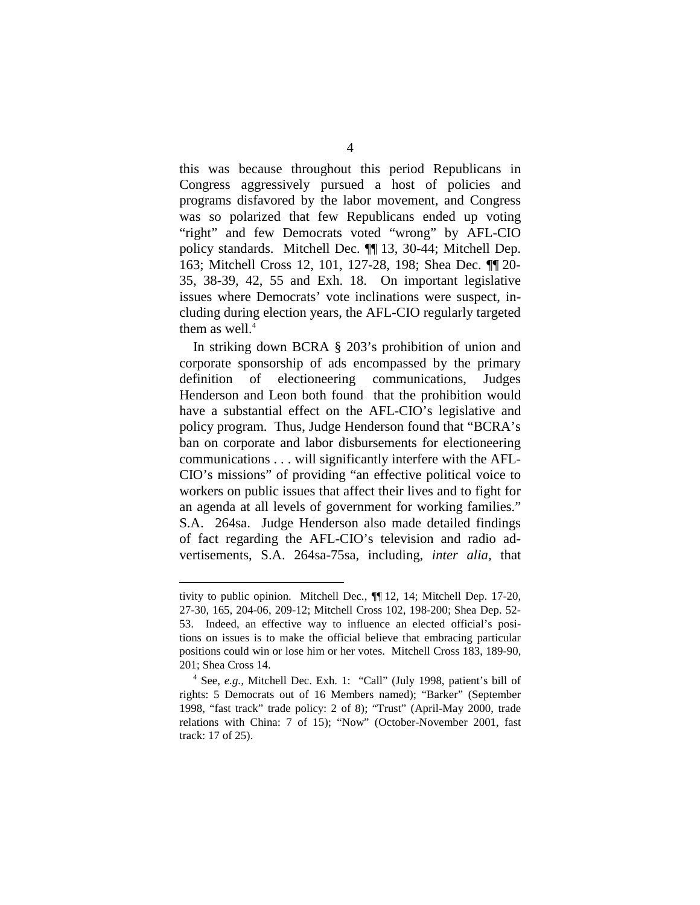this was because throughout this period Republicans in Congress aggressively pursued a host of policies and programs disfavored by the labor movement, and Congress was so polarized that few Republicans ended up voting "right" and few Democrats voted "wrong" by AFL-CIO policy standards. Mitchell Dec. ¶¶ 13, 30-44; Mitchell Dep. 163; Mitchell Cross 12, 101, 127-28, 198; Shea Dec. ¶¶ 20- 35, 38-39, 42, 55 and Exh. 18. On important legislative issues where Democrats' vote inclinations were suspect, including during election years, the AFL-CIO regularly targeted them as well. $4$ 

In striking down BCRA § 203's prohibition of union and corporate sponsorship of ads encompassed by the primary definition of electioneering communications, Judges Henderson and Leon both found that the prohibition would have a substantial effect on the AFL-CIO's legislative and policy program. Thus, Judge Henderson found that "BCRA's ban on corporate and labor disbursements for electioneering communications . . . will significantly interfere with the AFL-CIO's missions" of providing "an effective political voice to workers on public issues that affect their lives and to fight for an agenda at all levels of government for working families." S.A. 264sa. Judge Henderson also made detailed findings of fact regarding the AFL-CIO's television and radio advertisements, S.A. 264sa-75sa, including, *inter alia,* that

tivity to public opinion. Mitchell Dec., ¶¶ 12, 14; Mitchell Dep. 17-20, 27-30, 165, 204-06, 209-12; Mitchell Cross 102, 198-200; Shea Dep. 52- 53. Indeed, an effective way to influence an elected official's positions on issues is to make the official believe that embracing particular positions could win or lose him or her votes. Mitchell Cross 183, 189-90, 201; Shea Cross 14.

See, *e.g.,* Mitchell Dec. Exh. 1: "Call" (July 1998, patient's bill of rights: 5 Democrats out of 16 Members named); "Barker" (September 1998, "fast track" trade policy: 2 of 8); "Trust" (April-May 2000, trade relations with China: 7 of 15); "Now" (October-November 2001, fast track: 17 of 25).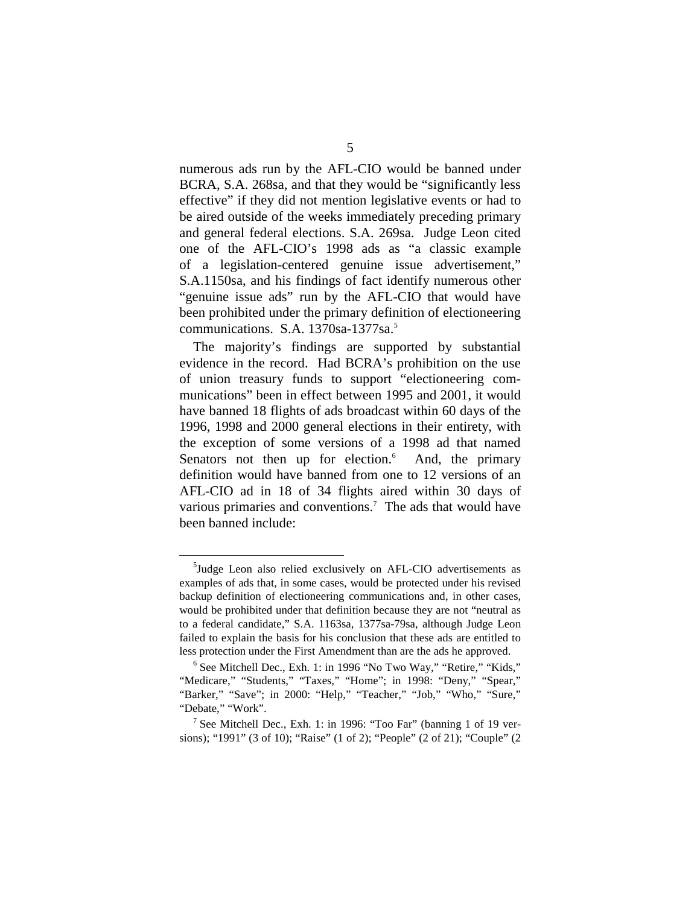numerous ads run by the AFL-CIO would be banned under BCRA, S.A. 268sa, and that they would be "significantly less effective" if they did not mention legislative events or had to be aired outside of the weeks immediately preceding primary and general federal elections. S.A. 269sa. Judge Leon cited one of the AFL-CIO's 1998 ads as "a classic example of a legislation-centered genuine issue advertisement," S.A.1150sa, and his findings of fact identify numerous other "genuine issue ads" run by the AFL-CIO that would have been prohibited under the primary definition of electioneering communications. S.A. 1370sa-1377sa.<sup>5</sup>

The majority's findings are supported by substantial evidence in the record. Had BCRA's prohibition on the use of union treasury funds to support "electioneering communications" been in effect between 1995 and 2001, it would have banned 18 flights of ads broadcast within 60 days of the 1996, 1998 and 2000 general elections in their entirety, with the exception of some versions of a 1998 ad that named Senators not then up for election. $6$  And, the primary definition would have banned from one to 12 versions of an AFL-CIO ad in 18 of 34 flights aired within 30 days of various primaries and conventions.<sup>7</sup> The ads that would have been banned include:

<sup>5</sup> Judge Leon also relied exclusively on AFL-CIO advertisements as examples of ads that, in some cases, would be protected under his revised backup definition of electioneering communications and, in other cases, would be prohibited under that definition because they are not "neutral as to a federal candidate," S.A. 1163sa, 1377sa-79sa, although Judge Leon failed to explain the basis for his conclusion that these ads are entitled to

less protection under the First Amendment than are the ads he approved.<br><sup>6</sup> See Mitchell Dec., Exh. 1: in 1996 "No Two Way," "Retire," "Kids," "Medicare," "Students," "Taxes," "Home"; in 1998: "Deny," "Spear," "Barker," "Save"; in 2000: "Help," "Teacher," "Job," "Who," "Sure," "Debate," "Work".<br><sup>7</sup> See Mitchell Dec., Exh. 1: in 1996: "Too Far" (banning 1 of 19 ver-

sions); "1991" (3 of 10); "Raise" (1 of 2); "People" (2 of 21); "Couple" (2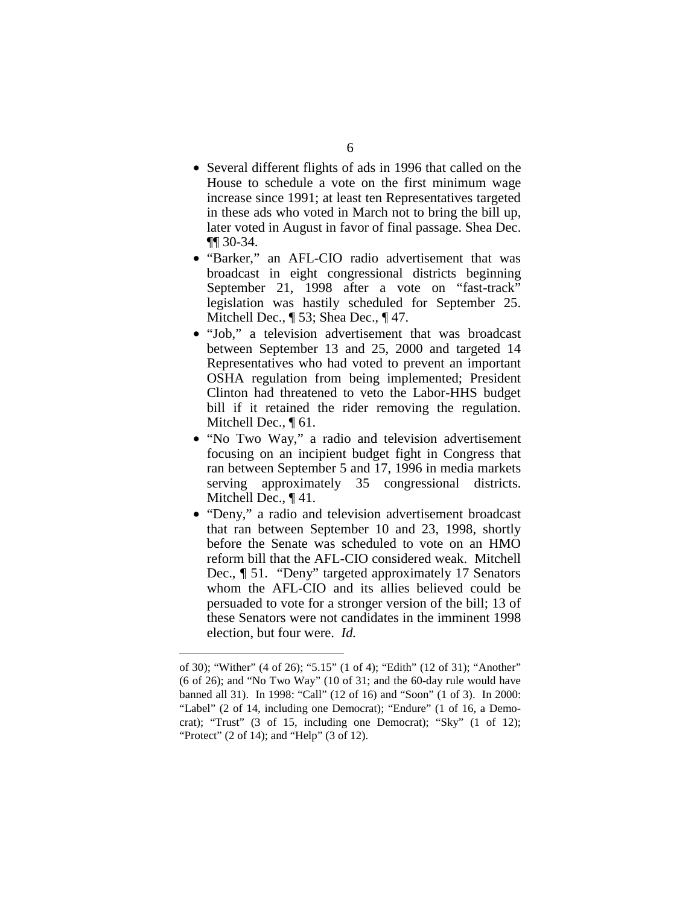- Several different flights of ads in 1996 that called on the House to schedule a vote on the first minimum wage increase since 1991; at least ten Representatives targeted in these ads who voted in March not to bring the bill up, later voted in August in favor of final passage. Shea Dec. ¶¶ 30-34.
- "Barker," an AFL-CIO radio advertisement that was broadcast in eight congressional districts beginning September 21, 1998 after a vote on "fast-track" legislation was hastily scheduled for September 25. Mitchell Dec., ¶ 53; Shea Dec., ¶ 47.
- "Job," a television advertisement that was broadcast between September 13 and 25, 2000 and targeted 14 Representatives who had voted to prevent an important OSHA regulation from being implemented; President Clinton had threatened to veto the Labor-HHS budget bill if it retained the rider removing the regulation. Mitchell Dec., ¶ 61.
- "No Two Way," a radio and television advertisement focusing on an incipient budget fight in Congress that ran between September 5 and 17, 1996 in media markets serving approximately 35 congressional districts. Mitchell Dec., ¶ 41.
- "Deny," a radio and television advertisement broadcast that ran between September 10 and 23, 1998, shortly before the Senate was scheduled to vote on an HMO reform bill that the AFL-CIO considered weak. Mitchell Dec., ¶ 51. "Deny" targeted approximately 17 Senators whom the AFL-CIO and its allies believed could be persuaded to vote for a stronger version of the bill; 13 of these Senators were not candidates in the imminent 1998 election, but four were. *Id.*

of 30); "Wither" (4 of 26); "5.15" (1 of 4); "Edith" (12 of 31); "Another" (6 of 26); and "No Two Way" (10 of 31; and the 60-day rule would have banned all 31). In 1998: "Call" (12 of 16) and "Soon" (1 of 3). In 2000: "Label" (2 of 14, including one Democrat); "Endure" (1 of 16, a Democrat); "Trust" (3 of 15, including one Democrat); "Sky" (1 of 12); "Protect" (2 of 14); and "Help" (3 of 12).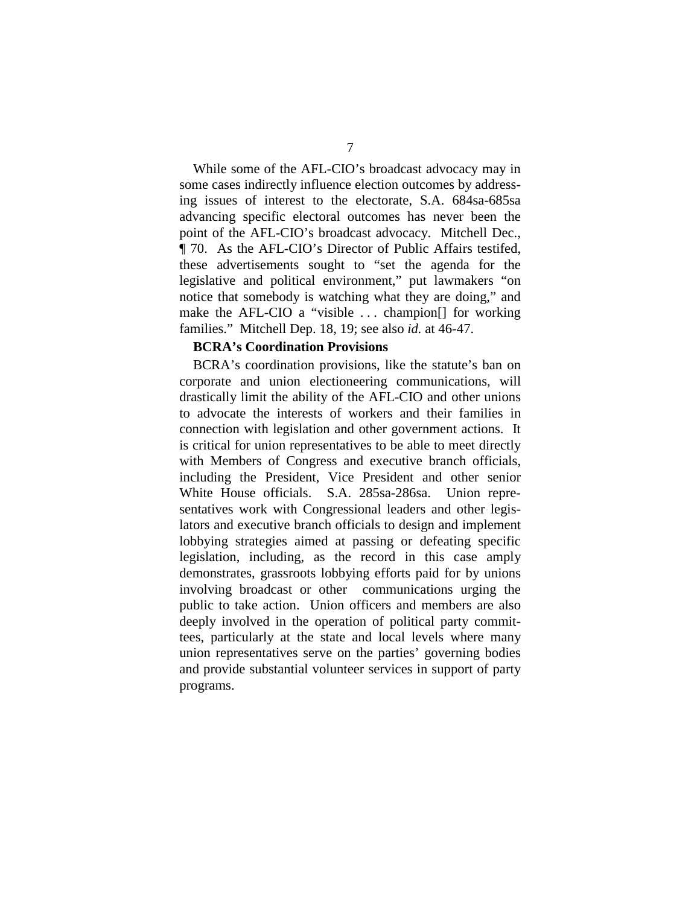While some of the AFL-CIO's broadcast advocacy may in some cases indirectly influence election outcomes by addressing issues of interest to the electorate, S.A. 684sa-685sa advancing specific electoral outcomes has never been the point of the AFL-CIO's broadcast advocacy. Mitchell Dec., ¶ 70. As the AFL-CIO's Director of Public Affairs testifed, these advertisements sought to "set the agenda for the legislative and political environment," put lawmakers "on notice that somebody is watching what they are doing," and make the AFL-CIO a "visible . . . champion[] for working families." Mitchell Dep. 18, 19; see also *id.* at 46-47.

#### **BCRA's Coordination Provisions**

BCRA's coordination provisions, like the statute's ban on corporate and union electioneering communications, will drastically limit the ability of the AFL-CIO and other unions to advocate the interests of workers and their families in connection with legislation and other government actions. It is critical for union representatives to be able to meet directly with Members of Congress and executive branch officials, including the President, Vice President and other senior White House officials. S.A. 285sa-286sa. Union representatives work with Congressional leaders and other legislators and executive branch officials to design and implement lobbying strategies aimed at passing or defeating specific legislation, including, as the record in this case amply demonstrates, grassroots lobbying efforts paid for by unions involving broadcast or other communications urging the public to take action. Union officers and members are also deeply involved in the operation of political party committees, particularly at the state and local levels where many union representatives serve on the parties' governing bodies and provide substantial volunteer services in support of party programs.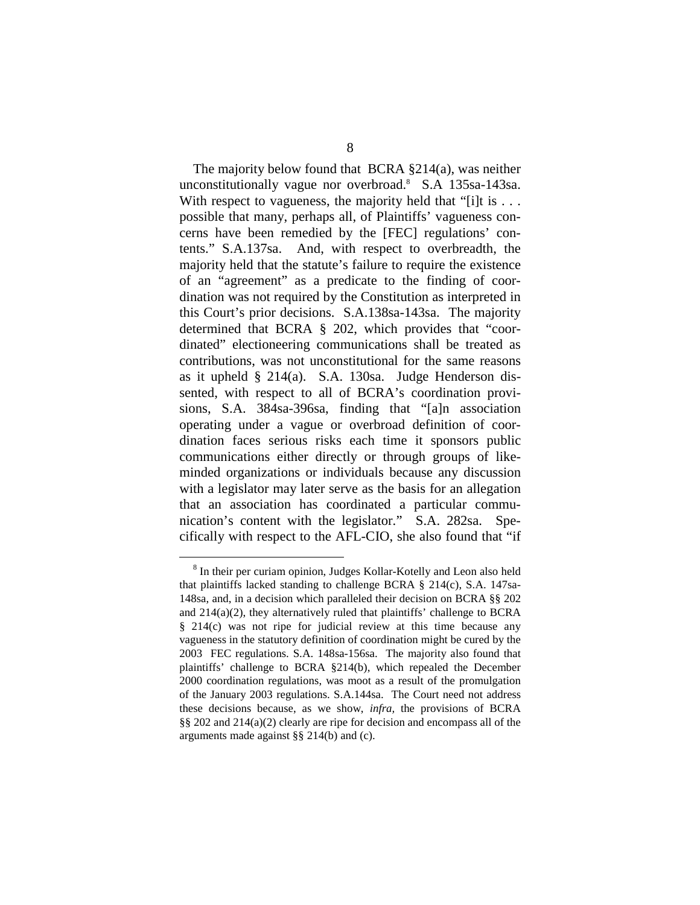The majority below found that BCRA §214(a), was neither unconstitutionally vague nor overbroad.8 S.A 135sa-143sa. With respect to vagueness, the majority held that "[i]t is  $\dots$ possible that many, perhaps all, of Plaintiffs' vagueness concerns have been remedied by the [FEC] regulations' contents." S.A.137sa. And, with respect to overbreadth, the majority held that the statute's failure to require the existence of an "agreement" as a predicate to the finding of coordination was not required by the Constitution as interpreted in this Court's prior decisions. S.A.138sa-143sa. The majority determined that BCRA § 202, which provides that "coordinated" electioneering communications shall be treated as contributions, was not unconstitutional for the same reasons as it upheld § 214(a). S.A. 130sa. Judge Henderson dissented, with respect to all of BCRA's coordination provisions, S.A. 384sa-396sa, finding that "[a]n association operating under a vague or overbroad definition of coordination faces serious risks each time it sponsors public communications either directly or through groups of likeminded organizations or individuals because any discussion with a legislator may later serve as the basis for an allegation that an association has coordinated a particular communication's content with the legislator." S.A. 282sa. Specifically with respect to the AFL-CIO, she also found that "if

<sup>8</sup> In their per curiam opinion, Judges Kollar-Kotelly and Leon also held that plaintiffs lacked standing to challenge BCRA § 214(c), S.A. 147sa-148sa, and, in a decision which paralleled their decision on BCRA §§ 202 and 214(a)(2), they alternatively ruled that plaintiffs' challenge to BCRA § 214(c) was not ripe for judicial review at this time because any vagueness in the statutory definition of coordination might be cured by the 2003 FEC regulations. S.A. 148sa-156sa. The majority also found that plaintiffs' challenge to BCRA §214(b), which repealed the December 2000 coordination regulations, was moot as a result of the promulgation of the January 2003 regulations. S.A.144sa. The Court need not address these decisions because, as we show, *infra,* the provisions of BCRA §§ 202 and 214(a)(2) clearly are ripe for decision and encompass all of the arguments made against §§ 214(b) and (c).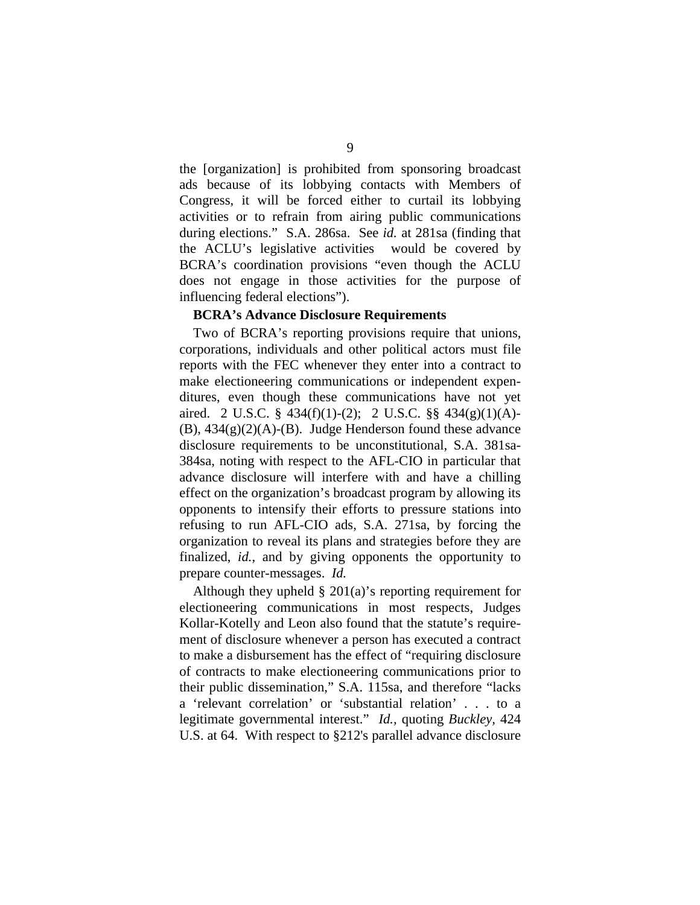the [organization] is prohibited from sponsoring broadcast ads because of its lobbying contacts with Members of Congress, it will be forced either to curtail its lobbying activities or to refrain from airing public communications during elections." S.A. 286sa. See *id.* at 281sa (finding that the ACLU's legislative activities would be covered by BCRA's coordination provisions "even though the ACLU does not engage in those activities for the purpose of influencing federal elections").

#### **BCRA's Advance Disclosure Requirements**

Two of BCRA's reporting provisions require that unions, corporations, individuals and other political actors must file reports with the FEC whenever they enter into a contract to make electioneering communications or independent expenditures, even though these communications have not yet aired. 2 U.S.C. § 434(f)(1)-(2); 2 U.S.C. §§ 434(g)(1)(A)-  $(B)$ ,  $434(g)(2)(A)$ - $(B)$ . Judge Henderson found these advance disclosure requirements to be unconstitutional, S.A. 381sa-384sa, noting with respect to the AFL-CIO in particular that advance disclosure will interfere with and have a chilling effect on the organization's broadcast program by allowing its opponents to intensify their efforts to pressure stations into refusing to run AFL-CIO ads, S.A. 271sa, by forcing the organization to reveal its plans and strategies before they are finalized, *id.*, and by giving opponents the opportunity to prepare counter-messages. *Id.* 

Although they upheld § 201(a)'s reporting requirement for electioneering communications in most respects, Judges Kollar-Kotelly and Leon also found that the statute's requirement of disclosure whenever a person has executed a contract to make a disbursement has the effect of "requiring disclosure of contracts to make electioneering communications prior to their public dissemination," S.A. 115sa, and therefore "lacks a 'relevant correlation' or 'substantial relation' . . . to a legitimate governmental interest." *Id.,* quoting *Buckley,* 424 U.S. at 64. With respect to §212's parallel advance disclosure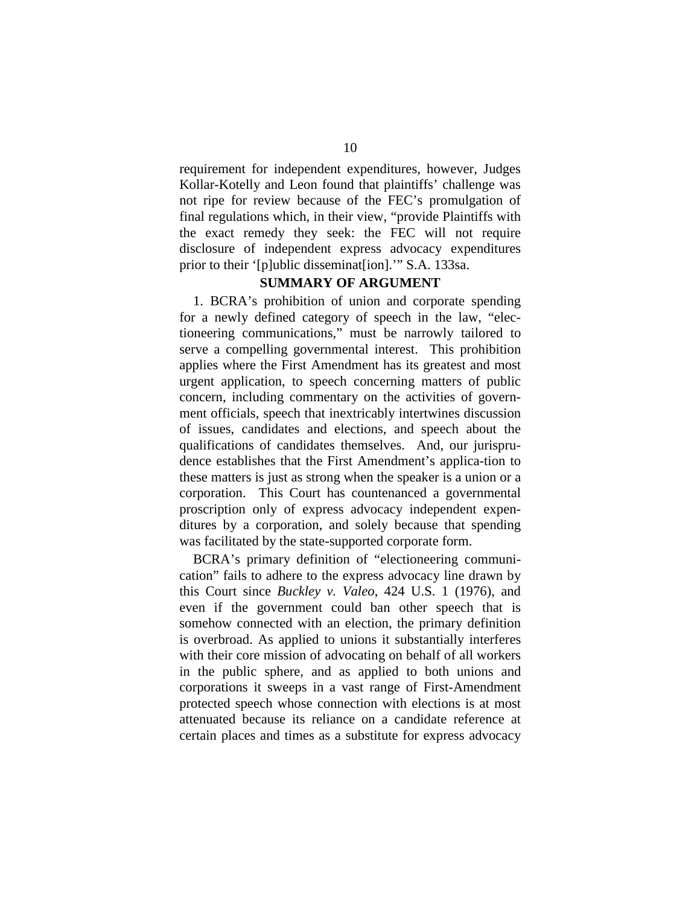requirement for independent expenditures, however, Judges Kollar-Kotelly and Leon found that plaintiffs' challenge was not ripe for review because of the FEC's promulgation of final regulations which, in their view, "provide Plaintiffs with the exact remedy they seek: the FEC will not require disclosure of independent express advocacy expenditures prior to their '[p]ublic disseminat[ion].'" S.A. 133sa.

#### **SUMMARY OF ARGUMENT**

1. BCRA's prohibition of union and corporate spending for a newly defined category of speech in the law, "electioneering communications," must be narrowly tailored to serve a compelling governmental interest. This prohibition applies where the First Amendment has its greatest and most urgent application, to speech concerning matters of public concern, including commentary on the activities of government officials, speech that inextricably intertwines discussion of issues, candidates and elections, and speech about the qualifications of candidates themselves. And, our jurisprudence establishes that the First Amendment's applica-tion to these matters is just as strong when the speaker is a union or a corporation. This Court has countenanced a governmental proscription only of express advocacy independent expenditures by a corporation, and solely because that spending was facilitated by the state-supported corporate form.

BCRA's primary definition of "electioneering communication" fails to adhere to the express advocacy line drawn by this Court since *Buckley v. Valeo*, 424 U.S. 1 (1976), and even if the government could ban other speech that is somehow connected with an election, the primary definition is overbroad. As applied to unions it substantially interferes with their core mission of advocating on behalf of all workers in the public sphere, and as applied to both unions and corporations it sweeps in a vast range of First-Amendment protected speech whose connection with elections is at most attenuated because its reliance on a candidate reference at certain places and times as a substitute for express advocacy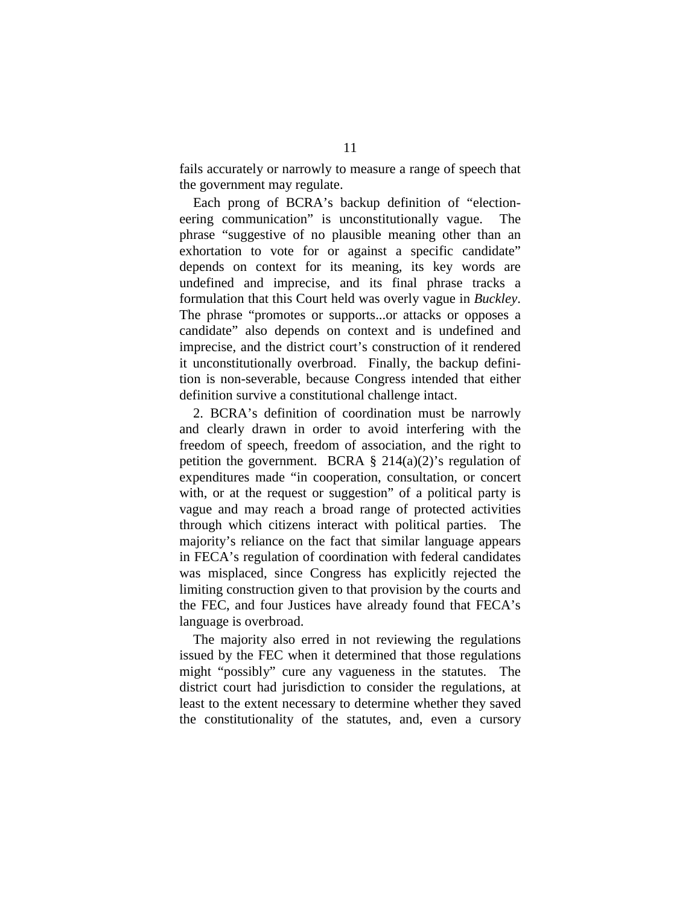fails accurately or narrowly to measure a range of speech that the government may regulate.

Each prong of BCRA's backup definition of "electioneering communication" is unconstitutionally vague. The phrase "suggestive of no plausible meaning other than an exhortation to vote for or against a specific candidate" depends on context for its meaning, its key words are undefined and imprecise, and its final phrase tracks a formulation that this Court held was overly vague in *Buckley*. The phrase "promotes or supports...or attacks or opposes a candidate" also depends on context and is undefined and imprecise, and the district court's construction of it rendered it unconstitutionally overbroad. Finally, the backup definition is non-severable, because Congress intended that either definition survive a constitutional challenge intact.

2. BCRA's definition of coordination must be narrowly and clearly drawn in order to avoid interfering with the freedom of speech, freedom of association, and the right to petition the government. BCRA  $\S$  214(a)(2)'s regulation of expenditures made "in cooperation, consultation, or concert with, or at the request or suggestion" of a political party is vague and may reach a broad range of protected activities through which citizens interact with political parties. The majority's reliance on the fact that similar language appears in FECA's regulation of coordination with federal candidates was misplaced, since Congress has explicitly rejected the limiting construction given to that provision by the courts and the FEC, and four Justices have already found that FECA's language is overbroad.

The majority also erred in not reviewing the regulations issued by the FEC when it determined that those regulations might "possibly" cure any vagueness in the statutes. The district court had jurisdiction to consider the regulations, at least to the extent necessary to determine whether they saved the constitutionality of the statutes, and, even a cursory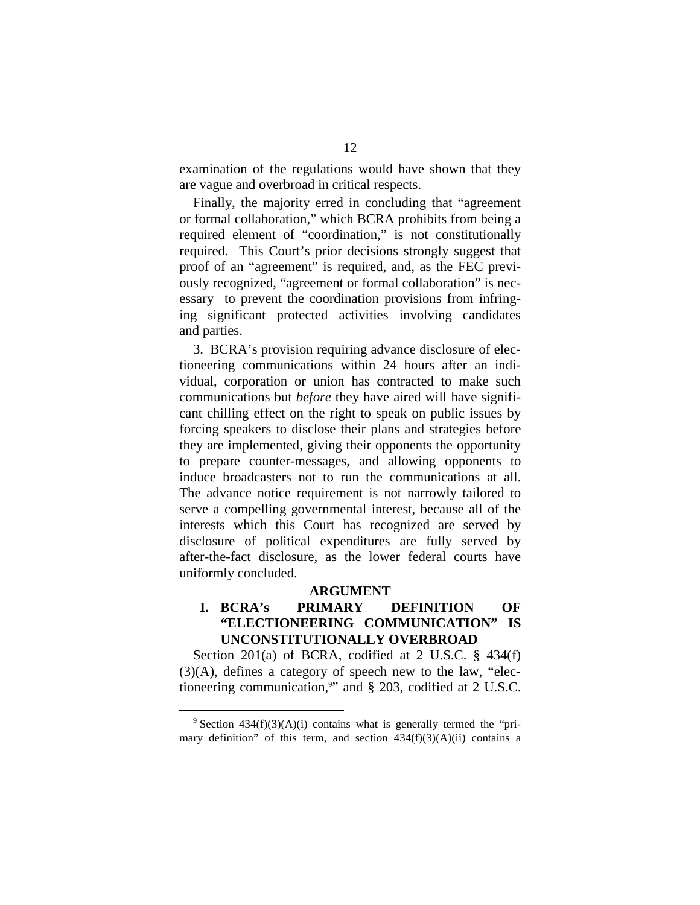examination of the regulations would have shown that they are vague and overbroad in critical respects.

Finally, the majority erred in concluding that "agreement or formal collaboration," which BCRA prohibits from being a required element of "coordination," is not constitutionally required. This Court's prior decisions strongly suggest that proof of an "agreement" is required, and, as the FEC previously recognized, "agreement or formal collaboration" is necessary to prevent the coordination provisions from infringing significant protected activities involving candidates and parties.

3. BCRA's provision requiring advance disclosure of electioneering communications within 24 hours after an individual, corporation or union has contracted to make such communications but *before* they have aired will have significant chilling effect on the right to speak on public issues by forcing speakers to disclose their plans and strategies before they are implemented, giving their opponents the opportunity to prepare counter-messages, and allowing opponents to induce broadcasters not to run the communications at all. The advance notice requirement is not narrowly tailored to serve a compelling governmental interest, because all of the interests which this Court has recognized are served by disclosure of political expenditures are fully served by after-the-fact disclosure, as the lower federal courts have uniformly concluded.

#### **ARGUMENT**

### **I. BCRA's PRIMARY DEFINITION OF "ELECTIONEERING COMMUNICATION" IS UNCONSTITUTIONALLY OVERBROAD**

Section 201(a) of BCRA, codified at 2 U.S.C. § 434(f) (3)(A), defines a category of speech new to the law, "electioneering communication,<sup>9</sup>" and § 203, codified at 2 U.S.C.

 $9$  Section 434(f)(3)(A)(i) contains what is generally termed the "primary definition" of this term, and section  $434(f)(3)(A)(ii)$  contains a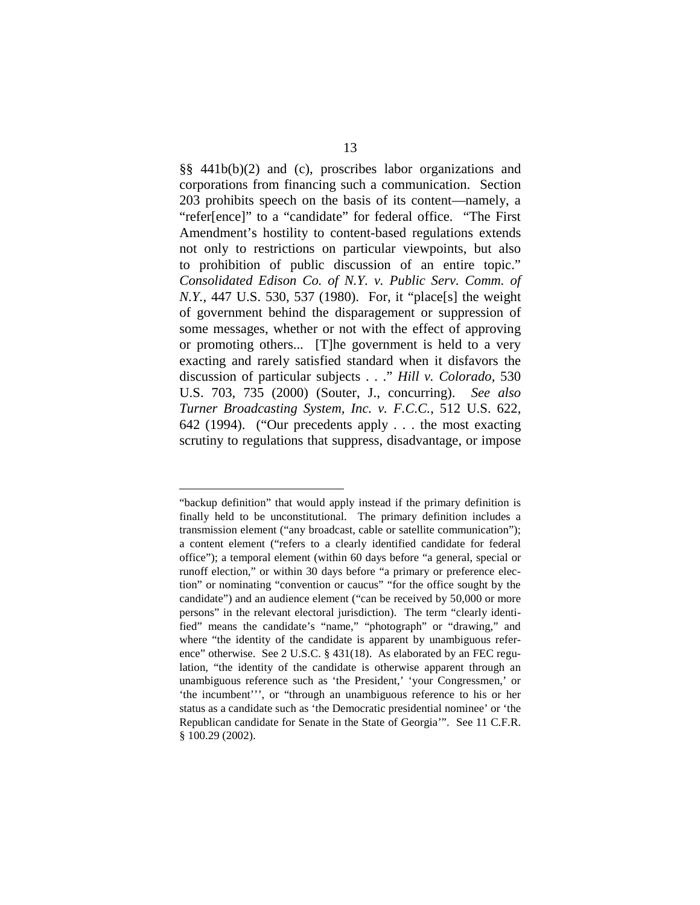§§ 441b(b)(2) and (c), proscribes labor organizations and corporations from financing such a communication. Section 203 prohibits speech on the basis of its content—namely, a "refer[ence]" to a "candidate" for federal office. "The First Amendment's hostility to content-based regulations extends not only to restrictions on particular viewpoints, but also to prohibition of public discussion of an entire topic." *Consolidated Edison Co. of N.Y. v. Public Serv. Comm. of N.Y.*, 447 U.S. 530, 537 (1980). For, it "place[s] the weight of government behind the disparagement or suppression of some messages, whether or not with the effect of approving or promoting others... [T]he government is held to a very exacting and rarely satisfied standard when it disfavors the discussion of particular subjects . . ." *Hill v. Colorado*, 530 U.S. 703, 735 (2000) (Souter, J., concurring). *See also Turner Broadcasting System, Inc. v. F.C.C.*, 512 U.S. 622, 642 (1994). ("Our precedents apply . . . the most exacting scrutiny to regulations that suppress, disadvantage, or impose

<sup>&</sup>quot;backup definition" that would apply instead if the primary definition is finally held to be unconstitutional. The primary definition includes a transmission element ("any broadcast, cable or satellite communication"); a content element ("refers to a clearly identified candidate for federal office"); a temporal element (within 60 days before "a general, special or runoff election," or within 30 days before "a primary or preference election" or nominating "convention or caucus" "for the office sought by the candidate") and an audience element ("can be received by 50,000 or more persons" in the relevant electoral jurisdiction). The term "clearly identified" means the candidate's "name," "photograph" or "drawing," and where "the identity of the candidate is apparent by unambiguous reference" otherwise. See 2 U.S.C. § 431(18). As elaborated by an FEC regulation, "the identity of the candidate is otherwise apparent through an unambiguous reference such as 'the President,' 'your Congressmen,' or 'the incumbent''', or "through an unambiguous reference to his or her status as a candidate such as 'the Democratic presidential nominee' or 'the Republican candidate for Senate in the State of Georgia'". See 11 C.F.R. § 100.29 (2002).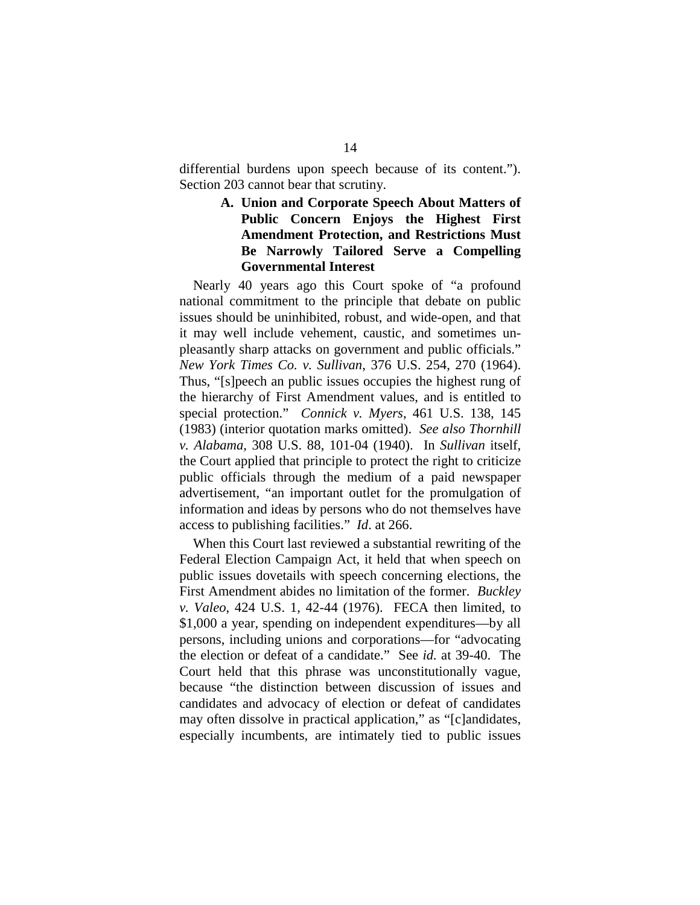differential burdens upon speech because of its content."). Section 203 cannot bear that scrutiny.

> **A. Union and Corporate Speech About Matters of Public Concern Enjoys the Highest First Amendment Protection, and Restrictions Must Be Narrowly Tailored Serve a Compelling Governmental Interest**

Nearly 40 years ago this Court spoke of "a profound national commitment to the principle that debate on public issues should be uninhibited, robust, and wide-open, and that it may well include vehement, caustic, and sometimes unpleasantly sharp attacks on government and public officials." *New York Times Co. v. Sullivan*, 376 U.S. 254, 270 (1964). Thus, "[s]peech an public issues occupies the highest rung of the hierarchy of First Amendment values, and is entitled to special protection." *Connick v. Myers*, 461 U.S. 138, 145 (1983) (interior quotation marks omitted). *See also Thornhill v. Alabama*, 308 U.S. 88, 101-04 (1940). In *Sullivan* itself, the Court applied that principle to protect the right to criticize public officials through the medium of a paid newspaper advertisement, "an important outlet for the promulgation of information and ideas by persons who do not themselves have access to publishing facilities." *Id*. at 266.

When this Court last reviewed a substantial rewriting of the Federal Election Campaign Act, it held that when speech on public issues dovetails with speech concerning elections, the First Amendment abides no limitation of the former. *Buckley v. Valeo*, 424 U.S. 1, 42-44 (1976). FECA then limited, to \$1,000 a year, spending on independent expenditures—by all persons, including unions and corporations—for "advocating the election or defeat of a candidate." See *id.* at 39-40. The Court held that this phrase was unconstitutionally vague, because "the distinction between discussion of issues and candidates and advocacy of election or defeat of candidates may often dissolve in practical application," as "[c]andidates, especially incumbents, are intimately tied to public issues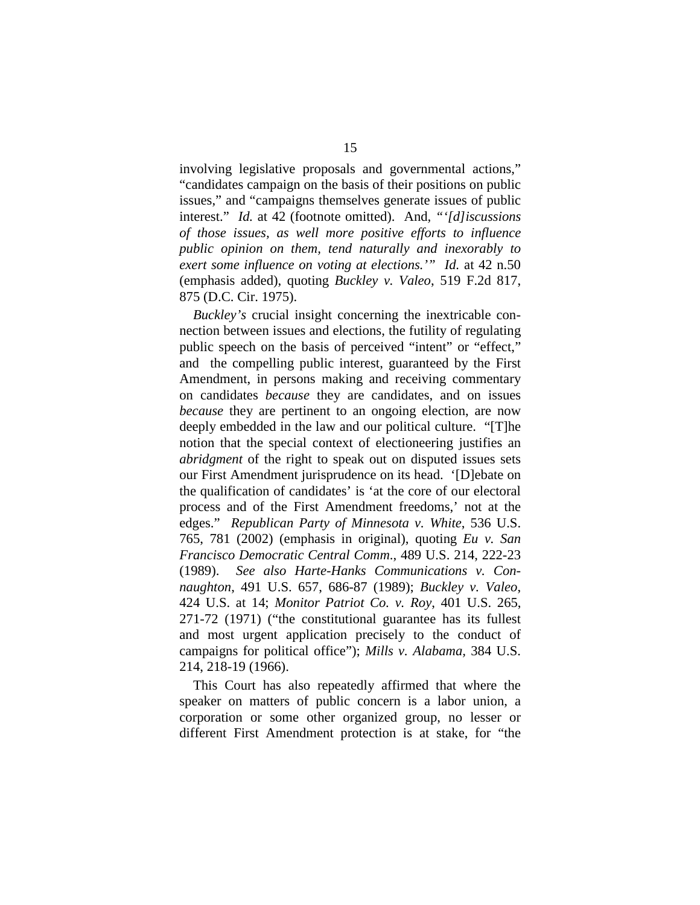involving legislative proposals and governmental actions," "candidates campaign on the basis of their positions on public issues," and "campaigns themselves generate issues of public interest." *Id.* at 42 (footnote omitted). And*, "'[d]iscussions of those issues, as well more positive efforts to influence public opinion on them, tend naturally and inexorably to exert some influence on voting at elections.'" Id.* at 42 n.50 (emphasis added), quoting *Buckley v. Valeo*, 519 F.2d 817, 875 (D.C. Cir. 1975).

*Buckley's* crucial insight concerning the inextricable connection between issues and elections, the futility of regulating public speech on the basis of perceived "intent" or "effect," and the compelling public interest, guaranteed by the First Amendment, in persons making and receiving commentary on candidates *because* they are candidates, and on issues *because* they are pertinent to an ongoing election, are now deeply embedded in the law and our political culture. "[T]he notion that the special context of electioneering justifies an *abridgment* of the right to speak out on disputed issues sets our First Amendment jurisprudence on its head. '[D]ebate on the qualification of candidates' is 'at the core of our electoral process and of the First Amendment freedoms,' not at the edges." *Republican Party of Minnesota v. White*, 536 U.S. 765, 781 (2002) (emphasis in original), quoting *Eu v. San Francisco Democratic Central Comm*., 489 U.S. 214, 222-23 (1989). *See also Harte-Hanks Communications v. Connaughton*, 491 U.S. 657, 686-87 (1989); *Buckley v. Valeo*, 424 U.S. at 14; *Monitor Patriot Co. v. Roy*, 401 U.S. 265, 271-72 (1971) ("the constitutional guarantee has its fullest and most urgent application precisely to the conduct of campaigns for political office"); *Mills v. Alabama,* 384 U.S. 214, 218-19 (1966).

This Court has also repeatedly affirmed that where the speaker on matters of public concern is a labor union, a corporation or some other organized group, no lesser or different First Amendment protection is at stake, for "the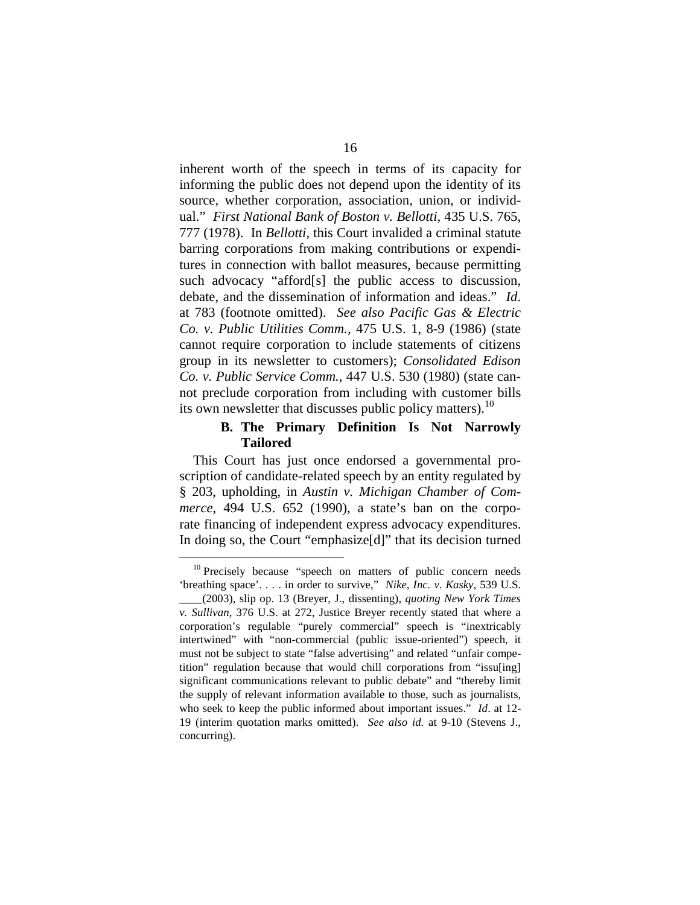inherent worth of the speech in terms of its capacity for informing the public does not depend upon the identity of its source, whether corporation, association, union, or individual." *First National Bank of Boston v. Bellotti*, 435 U.S. 765, 777 (1978). In *Bellotti*, this Court invalided a criminal statute barring corporations from making contributions or expenditures in connection with ballot measures, because permitting such advocacy "afford[s] the public access to discussion, debate, and the dissemination of information and ideas." *Id*. at 783 (footnote omitted). *See also Pacific Gas & Electric Co. v. Public Utilities Comm.,* 475 U.S. 1, 8-9 (1986) (state cannot require corporation to include statements of citizens group in its newsletter to customers); *Consolidated Edison Co. v. Public Service Comm.*, 447 U.S. 530 (1980) (state cannot preclude corporation from including with customer bills its own newsletter that discusses public policy matters).<sup>10</sup>

### **B. The Primary Definition Is Not Narrowly Tailored**

This Court has just once endorsed a governmental proscription of candidate-related speech by an entity regulated by § 203, upholding, in *Austin v. Michigan Chamber of Commerce*, 494 U.S. 652 (1990), a state's ban on the corporate financing of independent express advocacy expenditures. In doing so, the Court "emphasize[d]" that its decision turned

 $10$  Precisely because "speech on matters of public concern needs 'breathing space'. . . . in order to survive," *Nike, Inc. v. Kasky*, 539 U.S.

\_\_\_\_(2003), slip op. 13 (Breyer, J., dissenting), *quoting New York Times v. Sullivan*, 376 U.S. at 272, Justice Breyer recently stated that where a corporation's regulable "purely commercial" speech is "inextricably intertwined" with "non-commercial (public issue-oriented") speech, it must not be subject to state "false advertising" and related "unfair competition" regulation because that would chill corporations from "issu[ing] significant communications relevant to public debate" and "thereby limit the supply of relevant information available to those, such as journalists, who seek to keep the public informed about important issues." *Id*. at 12- 19 (interim quotation marks omitted). *See also id.* at 9-10 (Stevens J., concurring).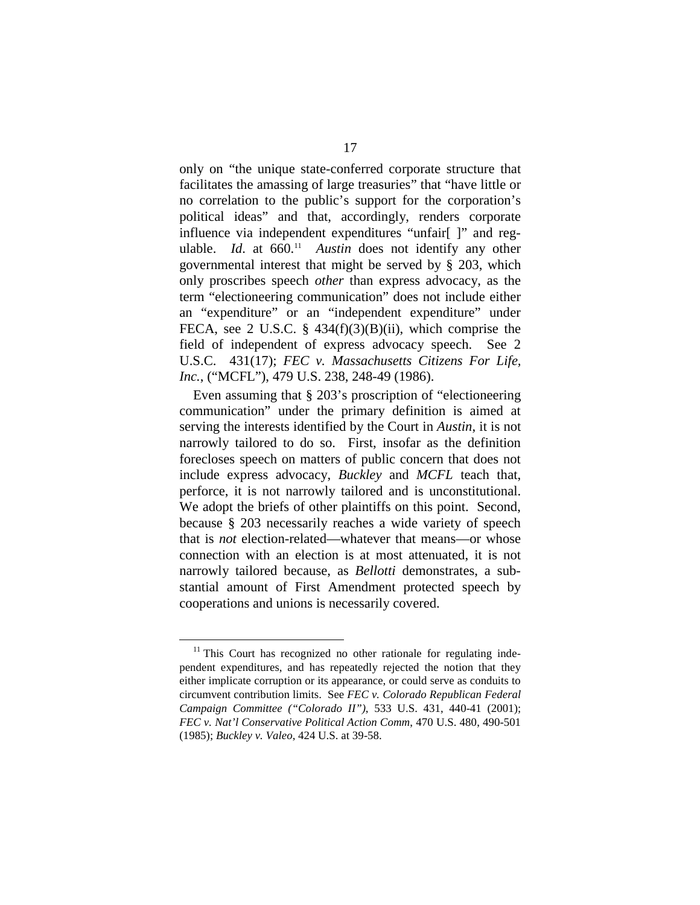only on "the unique state-conferred corporate structure that facilitates the amassing of large treasuries" that "have little or no correlation to the public's support for the corporation's political ideas" and that, accordingly, renders corporate influence via independent expenditures "unfair[ ]" and regulable. *Id.* at 660.<sup>11</sup> *Austin* does not identify any other governmental interest that might be served by § 203, which only proscribes speech *other* than express advocacy, as the term "electioneering communication" does not include either an "expenditure" or an "independent expenditure" under FECA, see 2 U.S.C. §  $434(f)(3)(B)(ii)$ , which comprise the field of independent of express advocacy speech. See 2 U.S.C. 431(17); *FEC v. Massachusetts Citizens For Life, Inc.*, ("MCFL"), 479 U.S. 238, 248-49 (1986).

Even assuming that § 203's proscription of "electioneering communication" under the primary definition is aimed at serving the interests identified by the Court in *Austin*, it is not narrowly tailored to do so. First, insofar as the definition forecloses speech on matters of public concern that does not include express advocacy, *Buckley* and *MCFL* teach that, perforce, it is not narrowly tailored and is unconstitutional. We adopt the briefs of other plaintiffs on this point. Second, because § 203 necessarily reaches a wide variety of speech that is *not* election-related—whatever that means—or whose connection with an election is at most attenuated, it is not narrowly tailored because, as *Bellotti* demonstrates, a substantial amount of First Amendment protected speech by cooperations and unions is necessarily covered.

 $11$  This Court has recognized no other rationale for regulating independent expenditures, and has repeatedly rejected the notion that they either implicate corruption or its appearance, or could serve as conduits to circumvent contribution limits. See *FEC v. Colorado Republican Federal Campaign Committee ("Colorado II")*, 533 U.S. 431, 440-41 (2001); *FEC v. Nat'l Conservative Political Action Comm*, 470 U.S. 480, 490-501 (1985); *Buckley v. Valeo*, 424 U.S. at 39-58.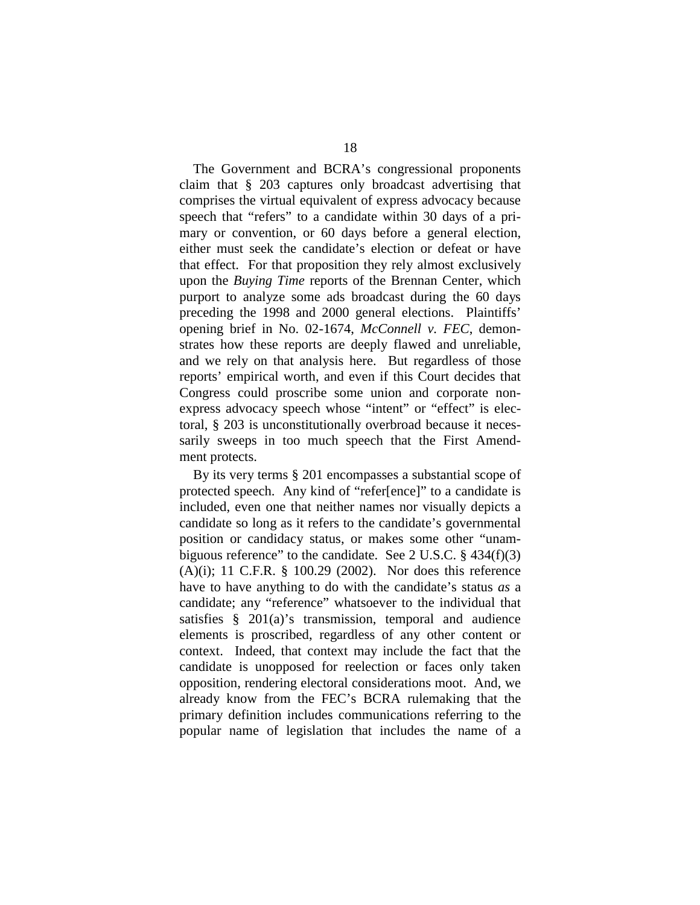The Government and BCRA's congressional proponents claim that § 203 captures only broadcast advertising that comprises the virtual equivalent of express advocacy because speech that "refers" to a candidate within 30 days of a primary or convention, or 60 days before a general election, either must seek the candidate's election or defeat or have that effect. For that proposition they rely almost exclusively upon the *Buying Time* reports of the Brennan Center, which purport to analyze some ads broadcast during the 60 days preceding the 1998 and 2000 general elections. Plaintiffs' opening brief in No. 02-1674, *McConnell v. FEC*, demonstrates how these reports are deeply flawed and unreliable, and we rely on that analysis here. But regardless of those reports' empirical worth, and even if this Court decides that Congress could proscribe some union and corporate nonexpress advocacy speech whose "intent" or "effect" is electoral, § 203 is unconstitutionally overbroad because it necessarily sweeps in too much speech that the First Amendment protects.

By its very terms § 201 encompasses a substantial scope of protected speech. Any kind of "refer[ence]" to a candidate is included, even one that neither names nor visually depicts a candidate so long as it refers to the candidate's governmental position or candidacy status, or makes some other "unambiguous reference" to the candidate. See 2 U.S.C. § 434(f)(3) (A)(i); 11 C.F.R. § 100.29 (2002). Nor does this reference have to have anything to do with the candidate's status *as* a candidate; any "reference" whatsoever to the individual that satisfies § 201(a)'s transmission, temporal and audience elements is proscribed, regardless of any other content or context. Indeed, that context may include the fact that the candidate is unopposed for reelection or faces only taken opposition, rendering electoral considerations moot. And, we already know from the FEC's BCRA rulemaking that the primary definition includes communications referring to the popular name of legislation that includes the name of a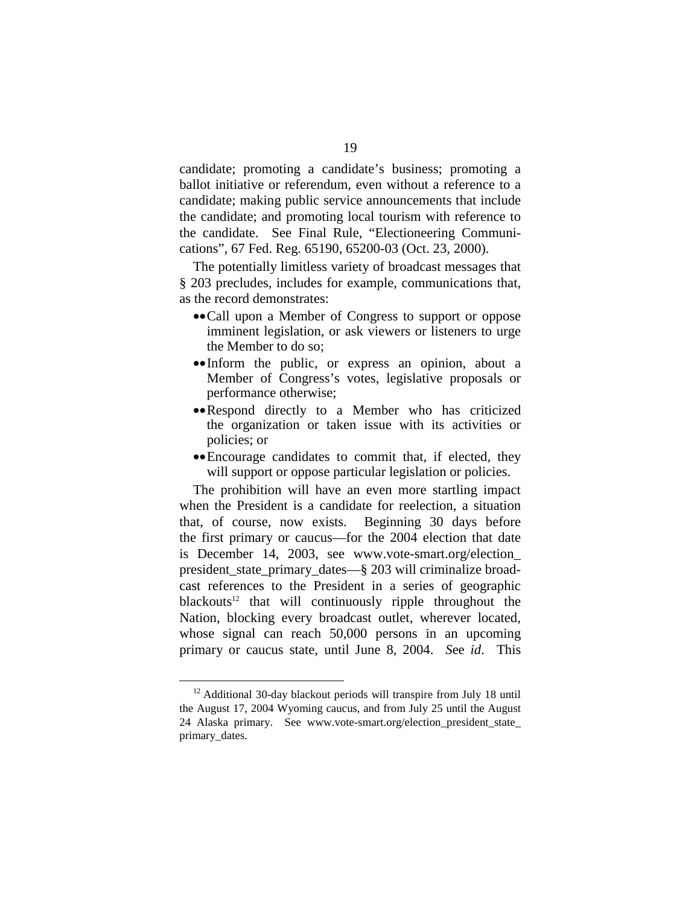candidate; promoting a candidate's business; promoting a ballot initiative or referendum, even without a reference to a candidate; making public service announcements that include the candidate; and promoting local tourism with reference to the candidate. See Final Rule, "Electioneering Communications", 67 Fed. Reg. 65190, 65200-03 (Oct. 23, 2000).

The potentially limitless variety of broadcast messages that § 203 precludes, includes for example, communications that, as the record demonstrates:

- ••Call upon a Member of Congress to support or oppose imminent legislation, or ask viewers or listeners to urge the Member to do so;
- ••Inform the public, or express an opinion, about a Member of Congress's votes, legislative proposals or performance otherwise;
- ••Respond directly to a Member who has criticized the organization or taken issue with its activities or policies; or
- ••Encourage candidates to commit that, if elected, they will support or oppose particular legislation or policies.

The prohibition will have an even more startling impact when the President is a candidate for reelection, a situation that, of course, now exists. Beginning 30 days before the first primary or caucus—for the 2004 election that date is December 14, 2003, see www.vote-smart.org/election\_ president\_state\_primary\_dates—§ 203 will criminalize broadcast references to the President in a series of geographic blackouts<sup>12</sup> that will continuously ripple throughout the Nation, blocking every broadcast outlet, wherever located, whose signal can reach 50,000 persons in an upcoming primary or caucus state, until June 8, 2004. *S*ee *id*. This

<sup>&</sup>lt;sup>12</sup> Additional 30-day blackout periods will transpire from July 18 until the August 17, 2004 Wyoming caucus, and from July 25 until the August 24 Alaska primary. See www.vote-smart.org/election\_president\_state\_ primary\_dates.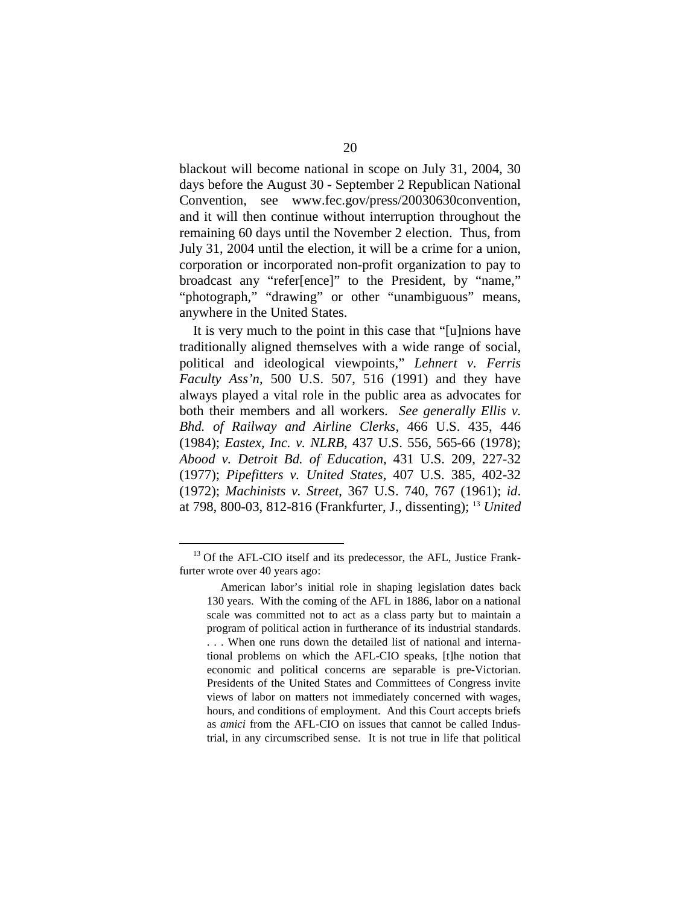blackout will become national in scope on July 31, 2004, 30 days before the August 30 - September 2 Republican National Convention, see www.fec.gov/press/20030630convention, and it will then continue without interruption throughout the remaining 60 days until the November 2 election. Thus, from July 31, 2004 until the election, it will be a crime for a union, corporation or incorporated non-profit organization to pay to broadcast any "refer[ence]" to the President, by "name," "photograph," "drawing" or other "unambiguous" means, anywhere in the United States.

It is very much to the point in this case that "[u]nions have traditionally aligned themselves with a wide range of social, political and ideological viewpoints," *Lehnert v. Ferris Faculty Ass'n*, 500 U.S. 507, 516 (1991) and they have always played a vital role in the public area as advocates for both their members and all workers. *See generally Ellis v. Bhd. of Railway and Airline Clerks*, 466 U.S. 435, 446 (1984); *Eastex, Inc. v. NLRB*, 437 U.S. 556, 565-66 (1978); *Abood v. Detroit Bd. of Education*, 431 U.S. 209, 227-32 (1977); *Pipefitters v. United States*, 407 U.S. 385, 402-32 (1972); *Machinists v. Street*, 367 U.S. 740, 767 (1961); *id*. at 798, 800-03, 812-816 (Frankfurter, J., dissenting); 13 *United* 

 $13$  Of the AFL-CIO itself and its predecessor, the AFL, Justice Frankfurter wrote over 40 years ago:

American labor's initial role in shaping legislation dates back 130 years. With the coming of the AFL in 1886, labor on a national scale was committed not to act as a class party but to maintain a program of political action in furtherance of its industrial standards. . . . When one runs down the detailed list of national and international problems on which the AFL-CIO speaks, [t]he notion that economic and political concerns are separable is pre-Victorian. Presidents of the United States and Committees of Congress invite views of labor on matters not immediately concerned with wages, hours, and conditions of employment. And this Court accepts briefs as *amici* from the AFL-CIO on issues that cannot be called Industrial, in any circumscribed sense. It is not true in life that political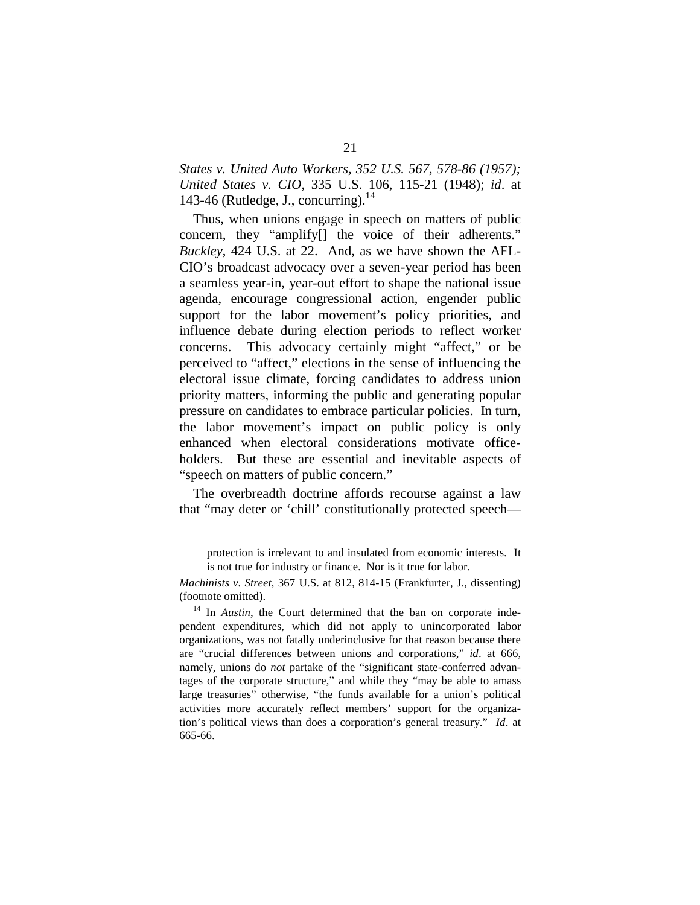*States v. United Auto Workers, 352 U.S. 567, 578-86 (1957); United States v. CIO*, 335 U.S. 106, 115-21 (1948); *id*. at 143-46 (Rutledge, J., concurring). $^{14}$ 

Thus, when unions engage in speech on matters of public concern, they "amplify[] the voice of their adherents." *Buckley*, 424 U.S. at 22. And, as we have shown the AFL-CIO's broadcast advocacy over a seven-year period has been a seamless year-in, year-out effort to shape the national issue agenda, encourage congressional action, engender public support for the labor movement's policy priorities, and influence debate during election periods to reflect worker concerns. This advocacy certainly might "affect," or be perceived to "affect," elections in the sense of influencing the electoral issue climate, forcing candidates to address union priority matters, informing the public and generating popular pressure on candidates to embrace particular policies. In turn, the labor movement's impact on public policy is only enhanced when electoral considerations motivate officeholders. But these are essential and inevitable aspects of "speech on matters of public concern."

The overbreadth doctrine affords recourse against a law that "may deter or 'chill' constitutionally protected speech—

protection is irrelevant to and insulated from economic interests. It is not true for industry or finance. Nor is it true for labor.

*Machinists v. Street*, 367 U.S. at 812, 814-15 (Frankfurter, J., dissenting) (footnote omitted). 14 In *Austin*, the Court determined that the ban on corporate inde-

pendent expenditures, which did not apply to unincorporated labor organizations, was not fatally underinclusive for that reason because there are "crucial differences between unions and corporations," *id*. at 666, namely, unions do *not* partake of the "significant state-conferred advantages of the corporate structure," and while they "may be able to amass large treasuries" otherwise, "the funds available for a union's political activities more accurately reflect members' support for the organization's political views than does a corporation's general treasury." *Id*. at 665-66.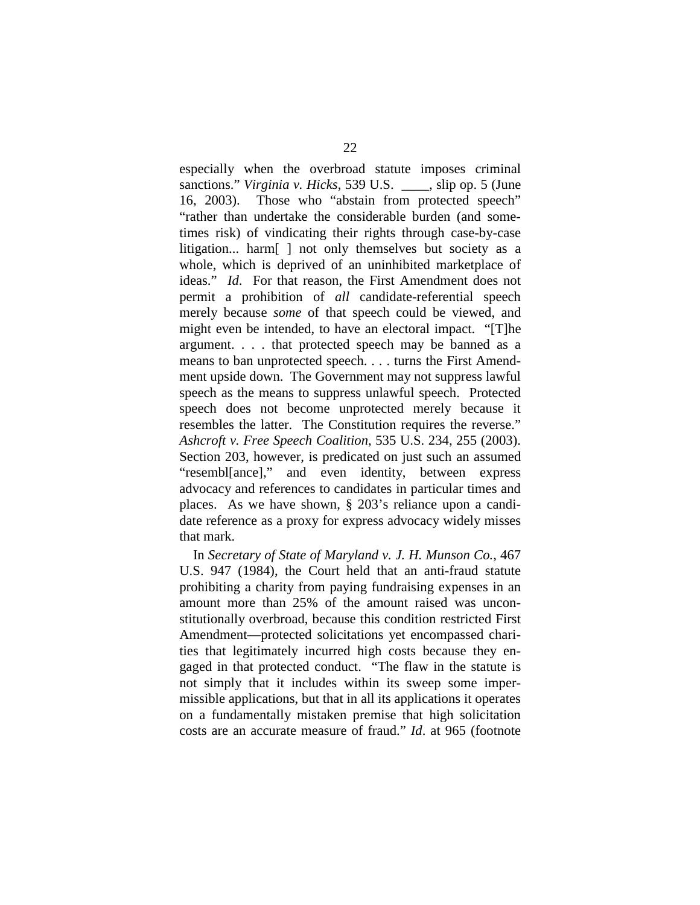especially when the overbroad statute imposes criminal sanctions." *Virginia v. Hicks*, 539 U.S. \_\_\_\_, slip op. 5 (June 16, 2003). Those who "abstain from protected speech" "rather than undertake the considerable burden (and sometimes risk) of vindicating their rights through case-by-case litigation... harm[ ] not only themselves but society as a whole, which is deprived of an uninhibited marketplace of ideas." *Id*. For that reason, the First Amendment does not permit a prohibition of *all* candidate-referential speech merely because *some* of that speech could be viewed, and might even be intended, to have an electoral impact. "[T]he argument. . . . that protected speech may be banned as a means to ban unprotected speech. . . . turns the First Amendment upside down. The Government may not suppress lawful speech as the means to suppress unlawful speech. Protected speech does not become unprotected merely because it resembles the latter. The Constitution requires the reverse." *Ashcroft v. Free Speech Coalition*, 535 U.S. 234, 255 (2003). Section 203, however, is predicated on just such an assumed "resembl[ance]," and even identity, between express advocacy and references to candidates in particular times and places. As we have shown, § 203's reliance upon a candidate reference as a proxy for express advocacy widely misses that mark.

In *Secretary of State of Maryland v. J. H. Munson Co.*, 467 U.S. 947 (1984), the Court held that an anti-fraud statute prohibiting a charity from paying fundraising expenses in an amount more than 25% of the amount raised was unconstitutionally overbroad, because this condition restricted First Amendment—protected solicitations yet encompassed charities that legitimately incurred high costs because they engaged in that protected conduct. "The flaw in the statute is not simply that it includes within its sweep some impermissible applications, but that in all its applications it operates on a fundamentally mistaken premise that high solicitation costs are an accurate measure of fraud." *Id*. at 965 (footnote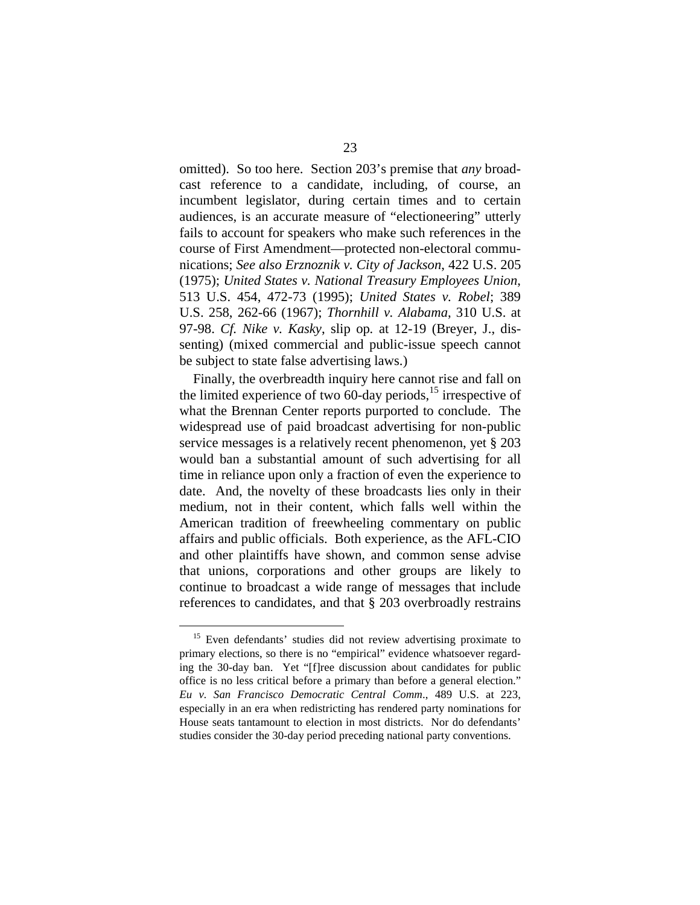omitted). So too here. Section 203's premise that *any* broadcast reference to a candidate, including, of course, an incumbent legislator, during certain times and to certain audiences, is an accurate measure of "electioneering" utterly fails to account for speakers who make such references in the course of First Amendment—protected non-electoral communications; *See also Erznoznik v. City of Jackson*, 422 U.S. 205 (1975); *United States v. National Treasury Employees Union*, 513 U.S. 454, 472-73 (1995); *United States v. Robel*; 389 U.S. 258, 262-66 (1967); *Thornhill v. Alabama*, 310 U.S. at 97-98. *Cf. Nike v. Kasky*, slip op*.* at 12-19 (Breyer, J., dissenting) (mixed commercial and public-issue speech cannot be subject to state false advertising laws.)

Finally, the overbreadth inquiry here cannot rise and fall on the limited experience of two 60-day periods, $^{15}$  irrespective of what the Brennan Center reports purported to conclude. The widespread use of paid broadcast advertising for non-public service messages is a relatively recent phenomenon, yet § 203 would ban a substantial amount of such advertising for all time in reliance upon only a fraction of even the experience to date. And, the novelty of these broadcasts lies only in their medium, not in their content, which falls well within the American tradition of freewheeling commentary on public affairs and public officials. Both experience, as the AFL-CIO and other plaintiffs have shown, and common sense advise that unions, corporations and other groups are likely to continue to broadcast a wide range of messages that include references to candidates, and that § 203 overbroadly restrains

<sup>&</sup>lt;sup>15</sup> Even defendants' studies did not review advertising proximate to primary elections, so there is no "empirical" evidence whatsoever regarding the 30-day ban. Yet "[f]ree discussion about candidates for public office is no less critical before a primary than before a general election." *Eu v. San Francisco Democratic Central Comm*., 489 U.S. at 223, especially in an era when redistricting has rendered party nominations for House seats tantamount to election in most districts. Nor do defendants' studies consider the 30-day period preceding national party conventions.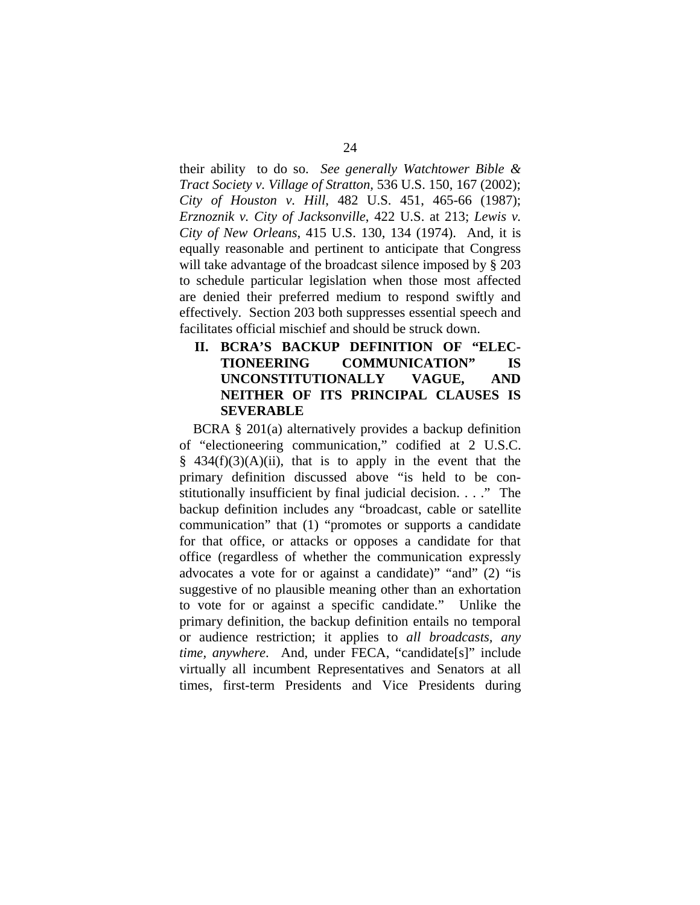their ability to do so. *See generally Watchtower Bible & Tract Society v. Village of Stratton,* 536 U.S. 150, 167 (2002); *City of Houston v. Hill*, 482 U.S. 451, 465-66 (1987); *Erznoznik v. City of Jacksonville*, 422 U.S. at 213; *Lewis v. City of New Orleans*, 415 U.S. 130, 134 (1974). And, it is equally reasonable and pertinent to anticipate that Congress will take advantage of the broadcast silence imposed by § 203 to schedule particular legislation when those most affected are denied their preferred medium to respond swiftly and effectively. Section 203 both suppresses essential speech and facilitates official mischief and should be struck down.

**II. BCRA'S BACKUP DEFINITION OF "ELEC-TIONEERING COMMUNICATION" IS UNCONSTITUTIONALLY VAGUE, AND NEITHER OF ITS PRINCIPAL CLAUSES IS SEVERABLE** 

BCRA § 201(a) alternatively provides a backup definition of "electioneering communication," codified at 2 U.S.C.  $§$  434(f)(3)(A)(ii), that is to apply in the event that the primary definition discussed above "is held to be constitutionally insufficient by final judicial decision. . . ." The backup definition includes any "broadcast, cable or satellite communication" that (1) "promotes or supports a candidate for that office, or attacks or opposes a candidate for that office (regardless of whether the communication expressly advocates a vote for or against a candidate)" "and" (2) "is suggestive of no plausible meaning other than an exhortation to vote for or against a specific candidate." Unlike the primary definition, the backup definition entails no temporal or audience restriction; it applies to *all broadcasts, any time, anywhere*. And, under FECA, "candidate[s]" include virtually all incumbent Representatives and Senators at all times, first-term Presidents and Vice Presidents during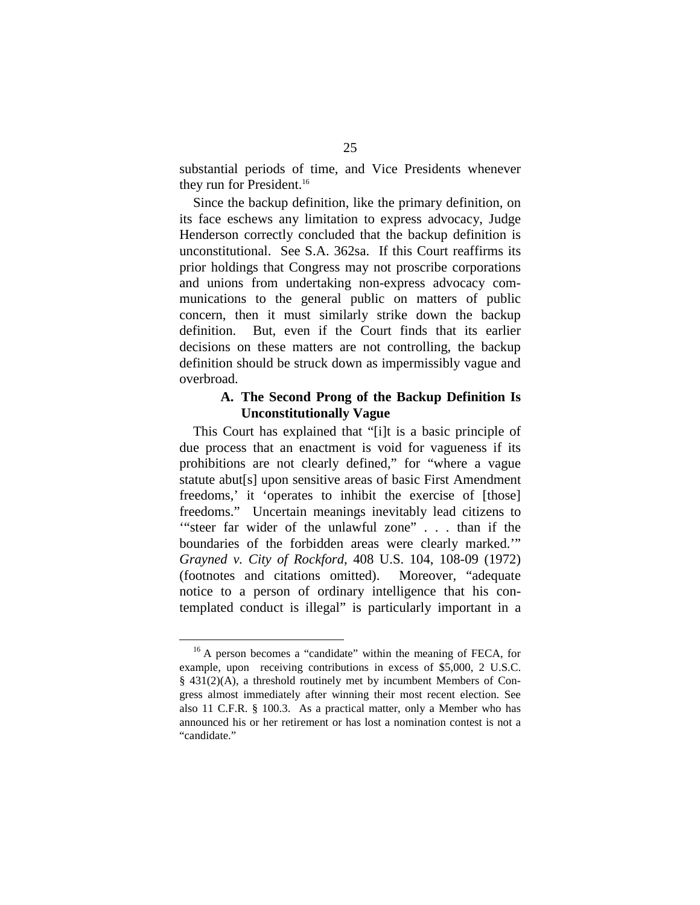substantial periods of time, and Vice Presidents whenever they run for President.<sup>16</sup>

Since the backup definition, like the primary definition, on its face eschews any limitation to express advocacy, Judge Henderson correctly concluded that the backup definition is unconstitutional. See S.A. 362sa. If this Court reaffirms its prior holdings that Congress may not proscribe corporations and unions from undertaking non-express advocacy communications to the general public on matters of public concern, then it must similarly strike down the backup definition. But, even if the Court finds that its earlier decisions on these matters are not controlling, the backup definition should be struck down as impermissibly vague and overbroad.

#### **A. The Second Prong of the Backup Definition Is Unconstitutionally Vague**

This Court has explained that "[i]t is a basic principle of due process that an enactment is void for vagueness if its prohibitions are not clearly defined," for "where a vague statute abut[s] upon sensitive areas of basic First Amendment freedoms,' it 'operates to inhibit the exercise of [those] freedoms." Uncertain meanings inevitably lead citizens to '"steer far wider of the unlawful zone" . . . than if the boundaries of the forbidden areas were clearly marked.'" *Grayned v. City of Rockford*, 408 U.S. 104, 108-09 (1972) (footnotes and citations omitted). Moreover, "adequate notice to a person of ordinary intelligence that his contemplated conduct is illegal" is particularly important in a

<sup>&</sup>lt;sup>16</sup> A person becomes a "candidate" within the meaning of FECA, for example, upon receiving contributions in excess of \$5,000, 2 U.S.C. § 431(2)(A), a threshold routinely met by incumbent Members of Congress almost immediately after winning their most recent election. See also 11 C.F.R. § 100.3. As a practical matter, only a Member who has announced his or her retirement or has lost a nomination contest is not a "candidate."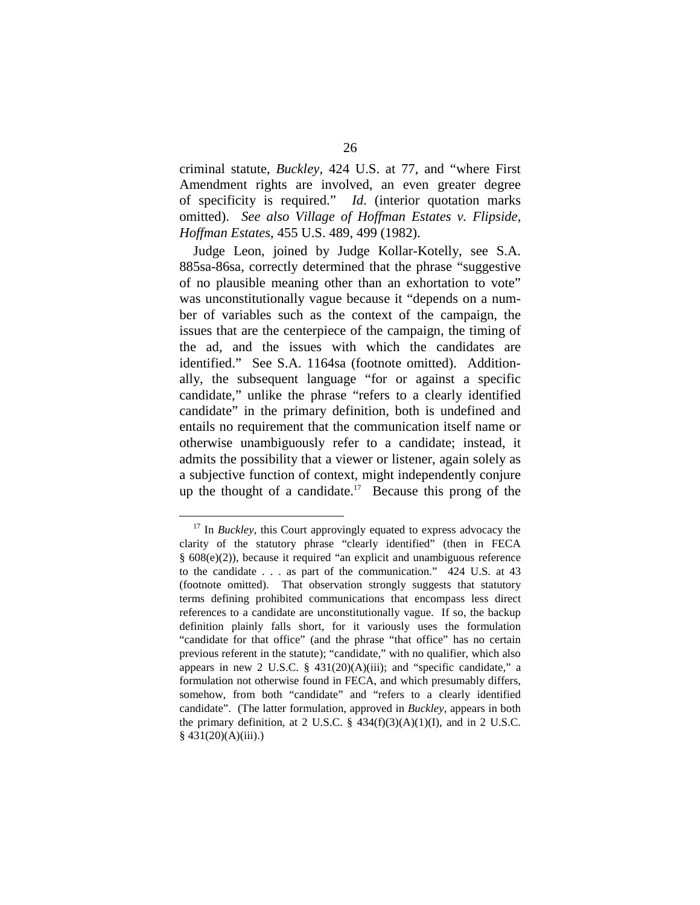criminal statute, *Buckley*, 424 U.S. at 77, and "where First Amendment rights are involved, an even greater degree of specificity is required." *Id*. (interior quotation marks omitted). *See also Village of Hoffman Estates v. Flipside, Hoffman Estates*, 455 U.S. 489, 499 (1982).

Judge Leon, joined by Judge Kollar-Kotelly, see S.A. 885sa-86sa, correctly determined that the phrase "suggestive of no plausible meaning other than an exhortation to vote" was unconstitutionally vague because it "depends on a number of variables such as the context of the campaign, the issues that are the centerpiece of the campaign, the timing of the ad, and the issues with which the candidates are identified." See S.A. 1164sa (footnote omitted). Additionally, the subsequent language "for or against a specific candidate," unlike the phrase "refers to a clearly identified candidate" in the primary definition, both is undefined and entails no requirement that the communication itself name or otherwise unambiguously refer to a candidate; instead, it admits the possibility that a viewer or listener, again solely as a subjective function of context, might independently conjure up the thought of a candidate.<sup>17</sup> Because this prong of the

<sup>&</sup>lt;sup>17</sup> In *Buckley*, this Court approvingly equated to express advocacy the clarity of the statutory phrase "clearly identified" (then in FECA § 608(e)(2)), because it required "an explicit and unambiguous reference to the candidate . . . as part of the communication." 424 U.S. at 43 (footnote omitted). That observation strongly suggests that statutory terms defining prohibited communications that encompass less direct references to a candidate are unconstitutionally vague. If so, the backup definition plainly falls short, for it variously uses the formulation "candidate for that office" (and the phrase "that office" has no certain previous referent in the statute); "candidate," with no qualifier, which also appears in new 2 U.S.C.  $\S$  431(20)(A)(iii); and "specific candidate," a formulation not otherwise found in FECA, and which presumably differs, somehow, from both "candidate" and "refers to a clearly identified candidate". (The latter formulation, approved in *Buckley*, appears in both the primary definition, at 2 U.S.C.  $\S$  434(f)(3)(A)(1)(I), and in 2 U.S.C.  $§$  431(20)(A)(iii).)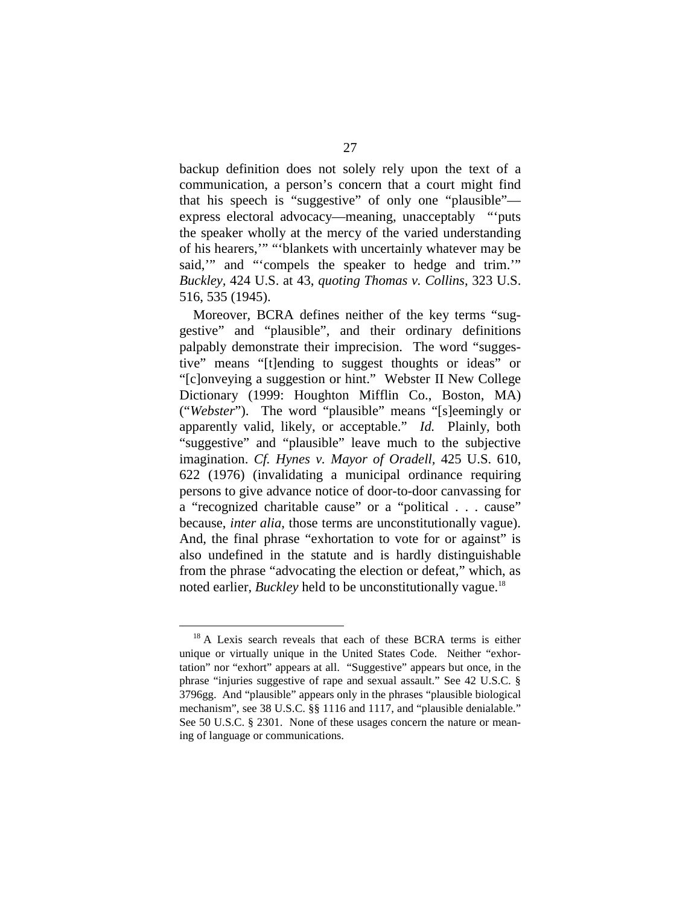backup definition does not solely rely upon the text of a communication, a person's concern that a court might find that his speech is "suggestive" of only one "plausible" express electoral advocacy—meaning, unacceptably "'puts the speaker wholly at the mercy of the varied understanding of his hearers,'" "'blankets with uncertainly whatever may be said," and "'compels the speaker to hedge and trim." *Buckley,* 424 U.S. at 43, *quoting Thomas v. Collins*, 323 U.S. 516, 535 (1945).

Moreover, BCRA defines neither of the key terms "suggestive" and "plausible", and their ordinary definitions palpably demonstrate their imprecision. The word "suggestive" means "[t]ending to suggest thoughts or ideas" or "[c]onveying a suggestion or hint." Webster II New College Dictionary (1999: Houghton Mifflin Co., Boston, MA) ("*Webster*"). The word "plausible" means "[s]eemingly or apparently valid, likely, or acceptable." *Id.* Plainly, both "suggestive" and "plausible" leave much to the subjective imagination. *Cf. Hynes v. Mayor of Oradell,* 425 U.S. 610, 622 (1976) (invalidating a municipal ordinance requiring persons to give advance notice of door-to-door canvassing for a "recognized charitable cause" or a "political . . . cause" because, *inter alia*, those terms are unconstitutionally vague). And, the final phrase "exhortation to vote for or against" is also undefined in the statute and is hardly distinguishable from the phrase "advocating the election or defeat," which, as noted earlier, *Buckley* held to be unconstitutionally vague. 18

<sup>&</sup>lt;sup>18</sup> A Lexis search reveals that each of these BCRA terms is either unique or virtually unique in the United States Code. Neither "exhortation" nor "exhort" appears at all. "Suggestive" appears but once, in the phrase "injuries suggestive of rape and sexual assault." See 42 U.S.C. § 3796gg. And "plausible" appears only in the phrases "plausible biological mechanism", see 38 U.S.C. §§ 1116 and 1117, and "plausible denialable." See 50 U.S.C. § 2301. None of these usages concern the nature or meaning of language or communications.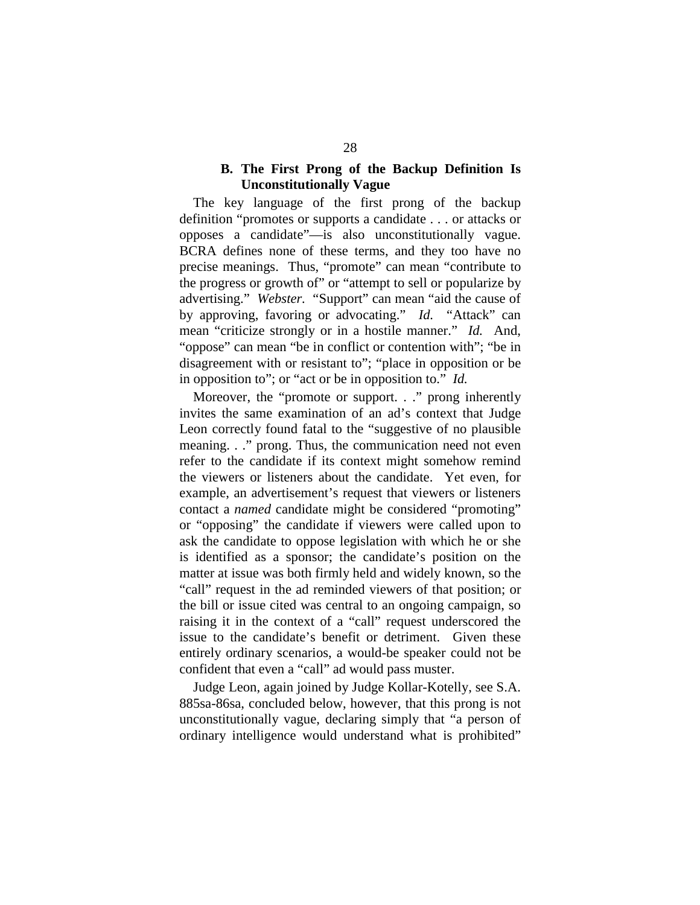#### **B. The First Prong of the Backup Definition Is Unconstitutionally Vague**

The key language of the first prong of the backup definition "promotes or supports a candidate . . . or attacks or opposes a candidate"—is also unconstitutionally vague. BCRA defines none of these terms, and they too have no precise meanings. Thus, "promote" can mean "contribute to the progress or growth of" or "attempt to sell or popularize by advertising." *Webster.* "Support" can mean "aid the cause of by approving, favoring or advocating." *Id.* "Attack" can mean "criticize strongly or in a hostile manner." *Id.* And, "oppose" can mean "be in conflict or contention with"; "be in disagreement with or resistant to"; "place in opposition or be in opposition to"; or "act or be in opposition to." *Id.* 

Moreover, the "promote or support. . ." prong inherently invites the same examination of an ad's context that Judge Leon correctly found fatal to the "suggestive of no plausible meaning. . ." prong. Thus, the communication need not even refer to the candidate if its context might somehow remind the viewers or listeners about the candidate. Yet even, for example, an advertisement's request that viewers or listeners contact a *named* candidate might be considered "promoting" or "opposing" the candidate if viewers were called upon to ask the candidate to oppose legislation with which he or she is identified as a sponsor; the candidate's position on the matter at issue was both firmly held and widely known, so the "call" request in the ad reminded viewers of that position; or the bill or issue cited was central to an ongoing campaign, so raising it in the context of a "call" request underscored the issue to the candidate's benefit or detriment. Given these entirely ordinary scenarios, a would-be speaker could not be confident that even a "call" ad would pass muster.

Judge Leon, again joined by Judge Kollar-Kotelly, see S.A. 885sa-86sa, concluded below, however, that this prong is not unconstitutionally vague, declaring simply that "a person of ordinary intelligence would understand what is prohibited"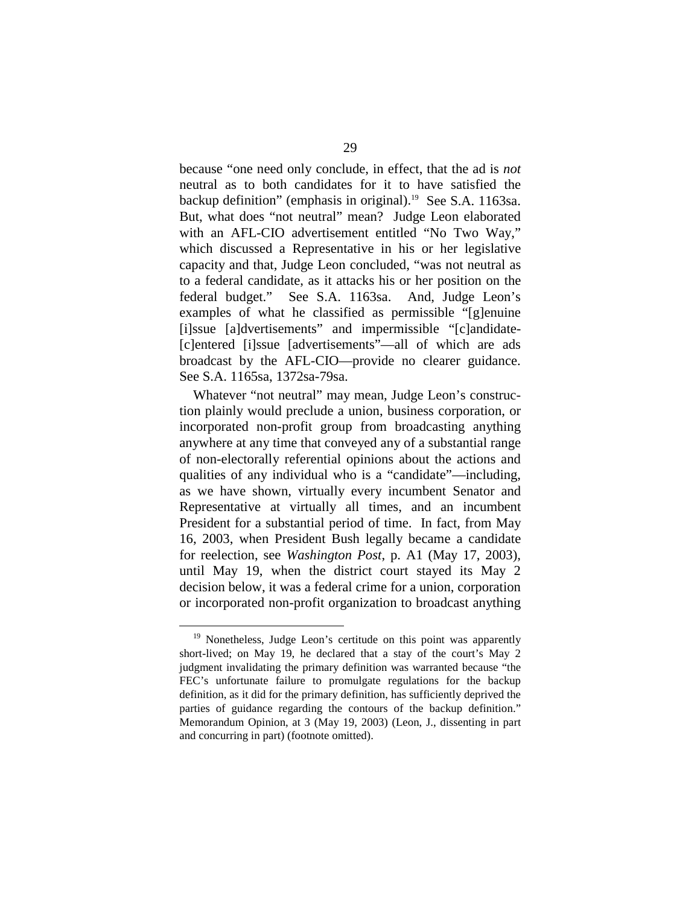because "one need only conclude, in effect, that the ad is *not*  neutral as to both candidates for it to have satisfied the backup definition" (emphasis in original).<sup>19</sup> See S.A. 1163sa. But, what does "not neutral" mean? Judge Leon elaborated with an AFL-CIO advertisement entitled "No Two Way," which discussed a Representative in his or her legislative capacity and that, Judge Leon concluded, "was not neutral as to a federal candidate, as it attacks his or her position on the federal budget." See S.A. 1163sa. And, Judge Leon's examples of what he classified as permissible "[g]enuine [i]ssue [a]dvertisements" and impermissible "[c]andidate-[c]entered [i]ssue [advertisements"—all of which are ads broadcast by the AFL-CIO—provide no clearer guidance. See S.A. 1165sa, 1372sa-79sa.

Whatever "not neutral" may mean, Judge Leon's construction plainly would preclude a union, business corporation, or incorporated non-profit group from broadcasting anything anywhere at any time that conveyed any of a substantial range of non-electorally referential opinions about the actions and qualities of any individual who is a "candidate"—including, as we have shown, virtually every incumbent Senator and Representative at virtually all times, and an incumbent President for a substantial period of time. In fact, from May 16, 2003, when President Bush legally became a candidate for reelection, see *Washington Post*, p. A1 (May 17, 2003), until May 19, when the district court stayed its May 2 decision below, it was a federal crime for a union, corporation or incorporated non-profit organization to broadcast anything

<sup>&</sup>lt;sup>19</sup> Nonetheless, Judge Leon's certitude on this point was apparently short-lived; on May 19, he declared that a stay of the court's May 2 judgment invalidating the primary definition was warranted because "the FEC's unfortunate failure to promulgate regulations for the backup definition, as it did for the primary definition, has sufficiently deprived the parties of guidance regarding the contours of the backup definition." Memorandum Opinion, at 3 (May 19, 2003) (Leon, J., dissenting in part and concurring in part) (footnote omitted).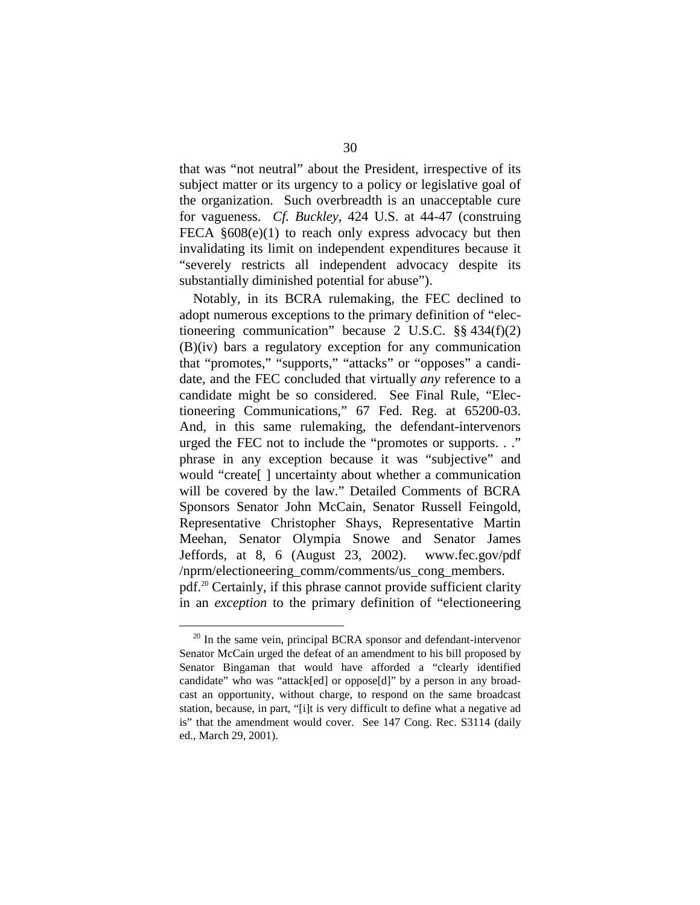that was "not neutral" about the President, irrespective of its subject matter or its urgency to a policy or legislative goal of the organization. Such overbreadth is an unacceptable cure for vagueness. *Cf. Buckley*, 424 U.S. at 44-47 (construing FECA  $§608(e)(1)$  to reach only express advocacy but then invalidating its limit on independent expenditures because it "severely restricts all independent advocacy despite its substantially diminished potential for abuse").

Notably, in its BCRA rulemaking, the FEC declined to adopt numerous exceptions to the primary definition of "electioneering communication" because 2 U.S.C.  $\S$ § 434(f)(2) (B)(iv) bars a regulatory exception for any communication that "promotes," "supports," "attacks" or "opposes" a candidate, and the FEC concluded that virtually *any* reference to a candidate might be so considered. See Final Rule, "Electioneering Communications," 67 Fed. Reg. at 65200-03. And, in this same rulemaking, the defendant-intervenors urged the FEC not to include the "promotes or supports. . ." phrase in any exception because it was "subjective" and would "create[ ] uncertainty about whether a communication will be covered by the law." Detailed Comments of BCRA Sponsors Senator John McCain, Senator Russell Feingold, Representative Christopher Shays, Representative Martin Meehan, Senator Olympia Snowe and Senator James Jeffords, at 8, 6 (August 23, 2002). www.fec.gov/pdf /nprm/electioneering\_comm/comments/us\_cong\_members. pdf.20 Certainly, if this phrase cannot provide sufficient clarity in an *exception* to the primary definition of "electioneering

 $20$  In the same vein, principal BCRA sponsor and defendant-intervenor Senator McCain urged the defeat of an amendment to his bill proposed by Senator Bingaman that would have afforded a "clearly identified candidate" who was "attack[ed] or oppose[d]" by a person in any broadcast an opportunity, without charge, to respond on the same broadcast station, because, in part, "[i]t is very difficult to define what a negative ad is" that the amendment would cover. See 147 Cong. Rec. S3114 (daily ed., March 29, 2001).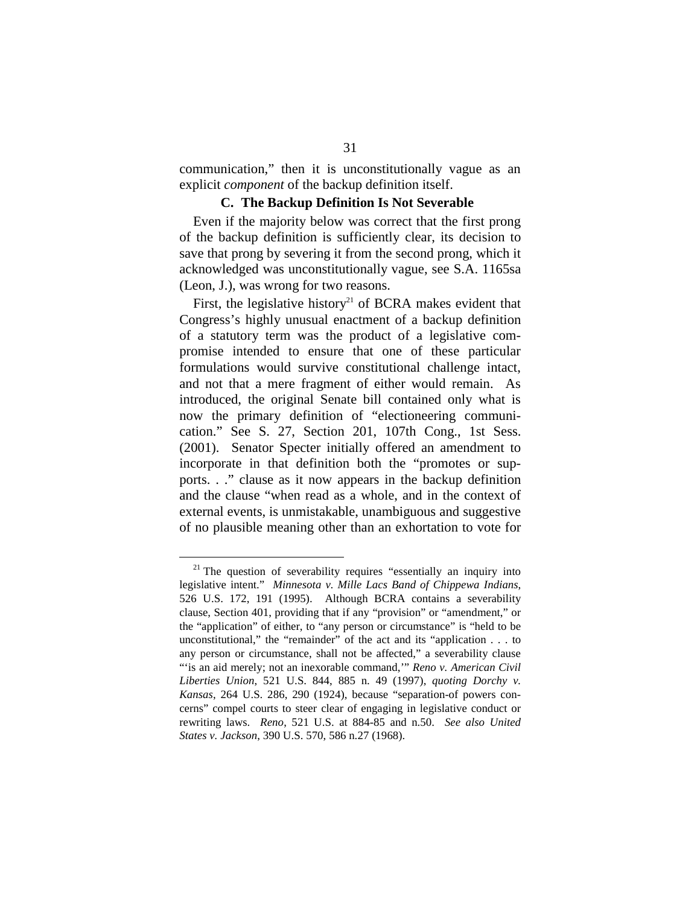communication," then it is unconstitutionally vague as an explicit *component* of the backup definition itself.

#### **C. The Backup Definition Is Not Severable**

Even if the majority below was correct that the first prong of the backup definition is sufficiently clear, its decision to save that prong by severing it from the second prong, which it acknowledged was unconstitutionally vague, see S.A. 1165sa (Leon, J.), was wrong for two reasons.

First, the legislative history<sup>21</sup> of BCRA makes evident that Congress's highly unusual enactment of a backup definition of a statutory term was the product of a legislative compromise intended to ensure that one of these particular formulations would survive constitutional challenge intact, and not that a mere fragment of either would remain. As introduced, the original Senate bill contained only what is now the primary definition of "electioneering communication." See S. 27, Section 201, 107th Cong., 1st Sess. (2001). Senator Specter initially offered an amendment to incorporate in that definition both the "promotes or supports. . ." clause as it now appears in the backup definition and the clause "when read as a whole, and in the context of external events, is unmistakable, unambiguous and suggestive of no plausible meaning other than an exhortation to vote for

 $21$  The question of severability requires "essentially an inquiry into legislative intent." *Minnesota v. Mille Lacs Band of Chippewa Indians*, 526 U.S. 172, 191 (1995). Although BCRA contains a severability clause, Section 401, providing that if any "provision" or "amendment," or the "application" of either, to "any person or circumstance" is "held to be unconstitutional," the "remainder" of the act and its "application . . . to any person or circumstance, shall not be affected," a severability clause "is an aid merely; not an inexorable command," *Reno v. American Civil Liberties Union*, 521 U.S. 844, 885 n. 49 (1997), *quoting Dorchy v. Kansas*, 264 U.S. 286, 290 (1924), because "separation-of powers concerns" compel courts to steer clear of engaging in legislative conduct or rewriting laws. *Reno*, 521 U.S. at 884-85 and n.50. *See also United States v. Jackson*, 390 U.S. 570, 586 n.27 (1968).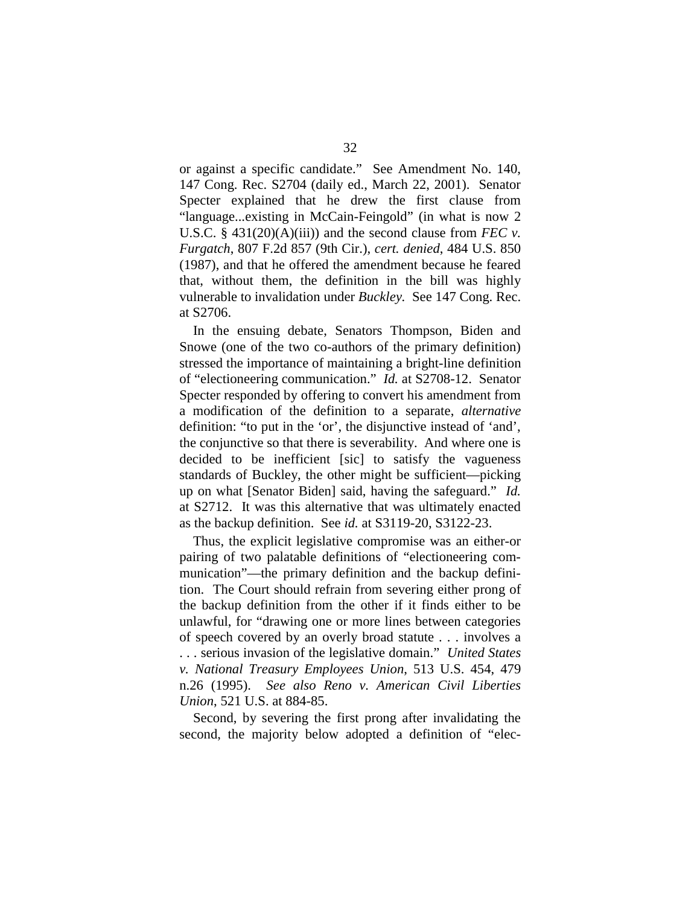or against a specific candidate." See Amendment No. 140, 147 Cong. Rec. S2704 (daily ed., March 22, 2001). Senator Specter explained that he drew the first clause from "language...existing in McCain-Feingold" (in what is now 2 U.S.C.  $\S$  431(20)(A)(iii)) and the second clause from *FEC v*. *Furgatch*, 807 F.2d 857 (9th Cir.), *cert. denied*, 484 U.S. 850 (1987), and that he offered the amendment because he feared that, without them, the definition in the bill was highly vulnerable to invalidation under *Buckley.* See 147 Cong. Rec. at S2706.

In the ensuing debate, Senators Thompson, Biden and Snowe (one of the two co-authors of the primary definition) stressed the importance of maintaining a bright-line definition of "electioneering communication." *Id.* at S2708-12. Senator Specter responded by offering to convert his amendment from a modification of the definition to a separate, *alternative*  definition: "to put in the 'or', the disjunctive instead of 'and', the conjunctive so that there is severability. And where one is decided to be inefficient [sic] to satisfy the vagueness standards of Buckley, the other might be sufficient—picking up on what [Senator Biden] said, having the safeguard." *Id.*  at S2712. It was this alternative that was ultimately enacted as the backup definition. See *id.* at S3119-20, S3122-23.

Thus, the explicit legislative compromise was an either-or pairing of two palatable definitions of "electioneering communication"—the primary definition and the backup definition. The Court should refrain from severing either prong of the backup definition from the other if it finds either to be unlawful, for "drawing one or more lines between categories of speech covered by an overly broad statute . . . involves a . . . serious invasion of the legislative domain." *United States v. National Treasury Employees Union*, 513 U.S. 454, 479 n.26 (1995). *See also Reno v. American Civil Liberties Union*, 521 U.S. at 884-85.

Second, by severing the first prong after invalidating the second, the majority below adopted a definition of "elec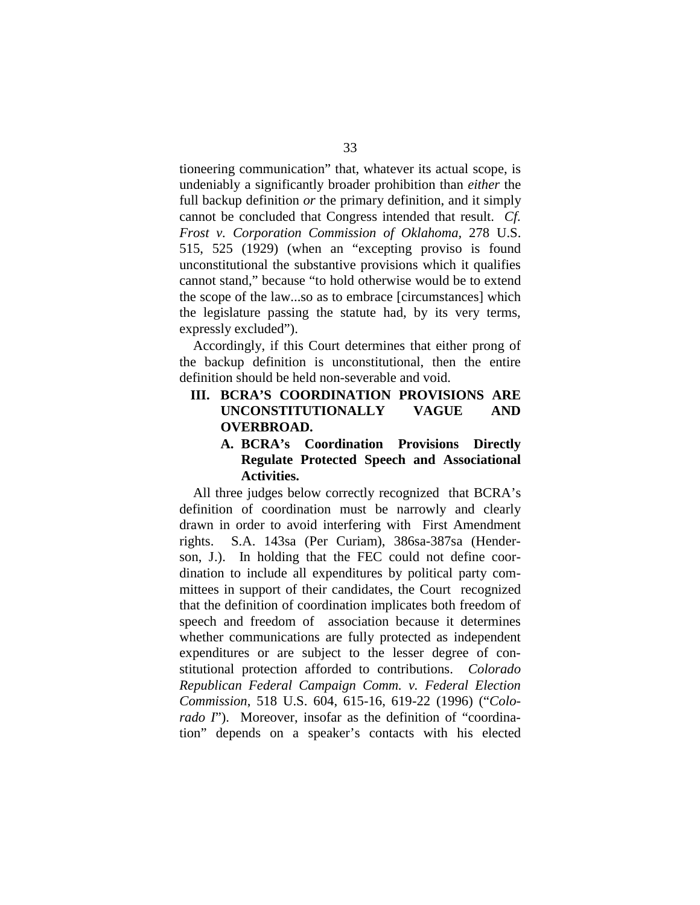tioneering communication" that, whatever its actual scope, is undeniably a significantly broader prohibition than *either* the full backup definition *or* the primary definition, and it simply cannot be concluded that Congress intended that result. *Cf. Frost v. Corporation Commission of Oklahoma,* 278 U.S. 515, 525 (1929) (when an "excepting proviso is found unconstitutional the substantive provisions which it qualifies cannot stand," because "to hold otherwise would be to extend the scope of the law...so as to embrace [circumstances] which the legislature passing the statute had, by its very terms, expressly excluded").

Accordingly, if this Court determines that either prong of the backup definition is unconstitutional, then the entire definition should be held non-severable and void.

**III. BCRA'S COORDINATION PROVISIONS ARE UNCONSTITUTIONALLY VAGUE AND OVERBROAD.** 

### **A. BCRA's Coordination Provisions Directly Regulate Protected Speech and Associational Activities.**

All three judges below correctly recognized that BCRA's definition of coordination must be narrowly and clearly drawn in order to avoid interfering with First Amendment rights. S.A. 143sa (Per Curiam), 386sa-387sa (Henderson, J.). In holding that the FEC could not define coordination to include all expenditures by political party committees in support of their candidates, the Court recognized that the definition of coordination implicates both freedom of speech and freedom of association because it determines whether communications are fully protected as independent expenditures or are subject to the lesser degree of constitutional protection afforded to contributions. *Colorado Republican Federal Campaign Comm. v. Federal Election Commission*, 518 U.S. 604, 615-16, 619-22 (1996) ("*Colorado I*"). Moreover, insofar as the definition of "coordination" depends on a speaker's contacts with his elected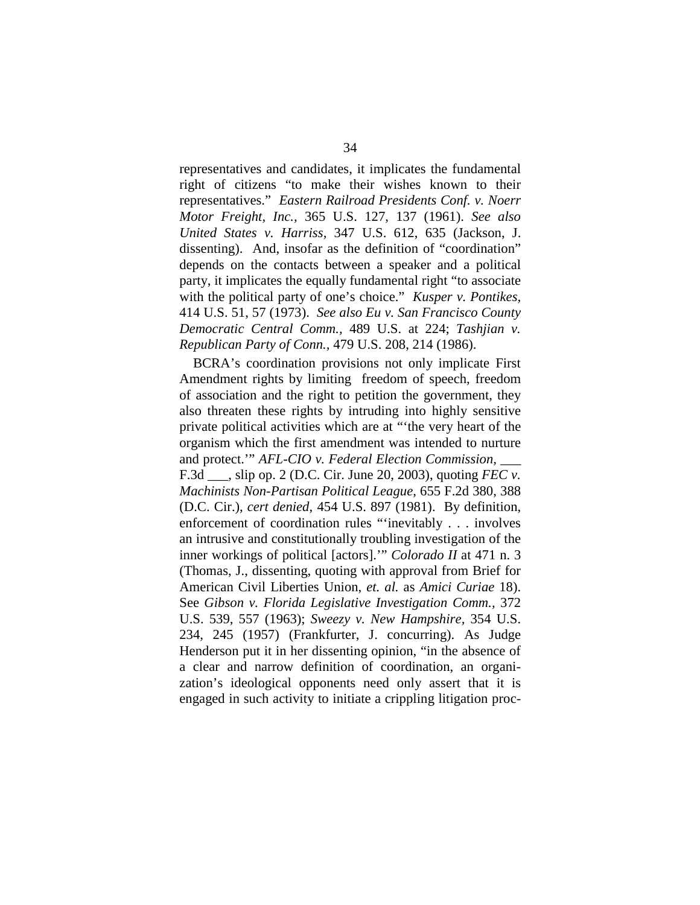representatives and candidates, it implicates the fundamental right of citizens "to make their wishes known to their representatives." *Eastern Railroad Presidents Conf. v. Noerr Motor Freight, Inc.,* 365 U.S. 127, 137 (1961). *See also United States v. Harriss,* 347 U.S. 612, 635 (Jackson, J. dissenting). And, insofar as the definition of "coordination" depends on the contacts between a speaker and a political party, it implicates the equally fundamental right "to associate with the political party of one's choice." *Kusper v. Pontikes,*  414 U.S. 51, 57 (1973). *See also Eu v. San Francisco County Democratic Central Comm.,* 489 U.S. at 224; *Tashjian v. Republican Party of Conn.,* 479 U.S. 208, 214 (1986).

BCRA's coordination provisions not only implicate First Amendment rights by limiting freedom of speech, freedom of association and the right to petition the government, they also threaten these rights by intruding into highly sensitive private political activities which are at "'the very heart of the organism which the first amendment was intended to nurture and protect." *AFL-CIO v. Federal Election Commission,* F.3d \_\_\_, slip op. 2 (D.C. Cir. June 20, 2003), quoting *FEC v. Machinists Non-Partisan Political League,* 655 F.2d 380, 388 (D.C. Cir.), *cert denied*, 454 U.S. 897 (1981). By definition, enforcement of coordination rules "'inevitably . . . involves an intrusive and constitutionally troubling investigation of the inner workings of political [actors].'" *Colorado II* at 471 n. 3 (Thomas, J., dissenting, quoting with approval from Brief for American Civil Liberties Union, *et. al.* as *Amici Curiae* 18). See *Gibson v. Florida Legislative Investigation Comm.,* 372 U.S. 539, 557 (1963); *Sweezy v. New Hampshire,* 354 U.S. 234, 245 (1957) (Frankfurter, J. concurring). As Judge Henderson put it in her dissenting opinion, "in the absence of a clear and narrow definition of coordination, an organization's ideological opponents need only assert that it is engaged in such activity to initiate a crippling litigation proc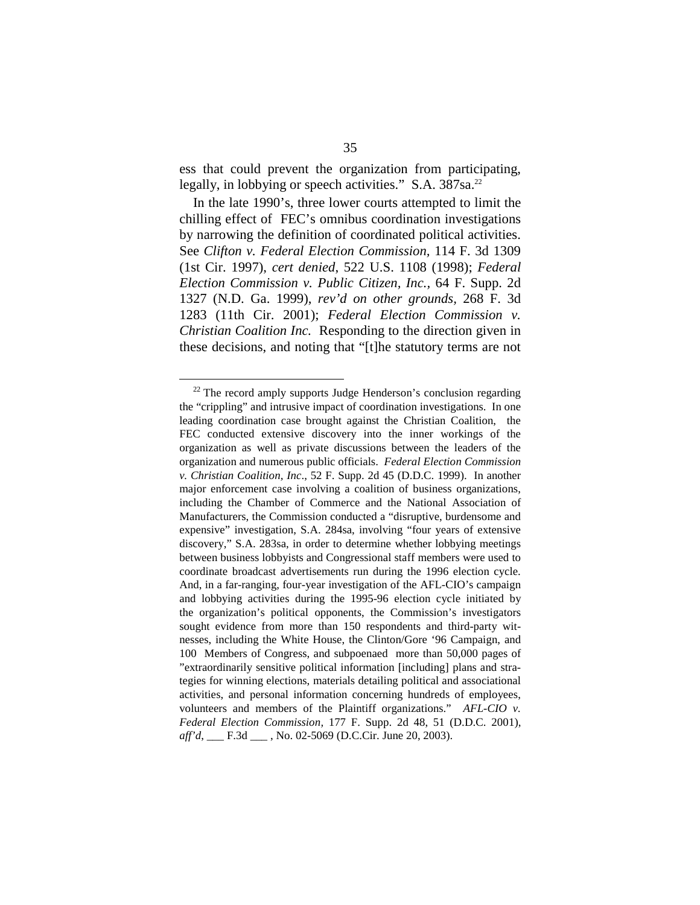ess that could prevent the organization from participating, legally, in lobbying or speech activities." S.A. 387sa.<sup>22</sup>

In the late 1990's, three lower courts attempted to limit the chilling effect of FEC's omnibus coordination investigations by narrowing the definition of coordinated political activities. See *Clifton v. Federal Election Commission,* 114 F. 3d 1309 (1st Cir. 1997), *cert denied*, 522 U.S. 1108 (1998); *Federal Election Commission v. Public Citizen, Inc.,* 64 F. Supp. 2d 1327 (N.D. Ga. 1999), *rev'd on other grounds,* 268 F. 3d 1283 (11th Cir. 2001); *Federal Election Commission v. Christian Coalition Inc.* Responding to the direction given in these decisions, and noting that "[t]he statutory terms are not

<sup>&</sup>lt;sup>22</sup> The record amply supports Judge Henderson's conclusion regarding the "crippling" and intrusive impact of coordination investigations. In one leading coordination case brought against the Christian Coalition, the FEC conducted extensive discovery into the inner workings of the organization as well as private discussions between the leaders of the organization and numerous public officials. *Federal Election Commission v. Christian Coalition, Inc*., 52 F. Supp. 2d 45 (D.D.C. 1999). In another major enforcement case involving a coalition of business organizations, including the Chamber of Commerce and the National Association of Manufacturers, the Commission conducted a "disruptive, burdensome and expensive" investigation, S.A. 284sa, involving "four years of extensive discovery," S.A. 283sa, in order to determine whether lobbying meetings between business lobbyists and Congressional staff members were used to coordinate broadcast advertisements run during the 1996 election cycle. And, in a far-ranging, four-year investigation of the AFL-CIO's campaign and lobbying activities during the 1995-96 election cycle initiated by the organization's political opponents, the Commission's investigators sought evidence from more than 150 respondents and third-party witnesses, including the White House, the Clinton/Gore '96 Campaign, and 100 Members of Congress, and subpoenaed more than 50,000 pages of "extraordinarily sensitive political information [including] plans and strategies for winning elections, materials detailing political and associational activities, and personal information concerning hundreds of employees, volunteers and members of the Plaintiff organizations." *AFL-CIO v. Federal Election Commission,* 177 F. Supp. 2d 48, 51 (D.D.C. 2001), *aff'd*, <u>\_\_\_</u> F.3d \_\_\_\_, No. 02-5069 (D.C.Cir. June 20, 2003).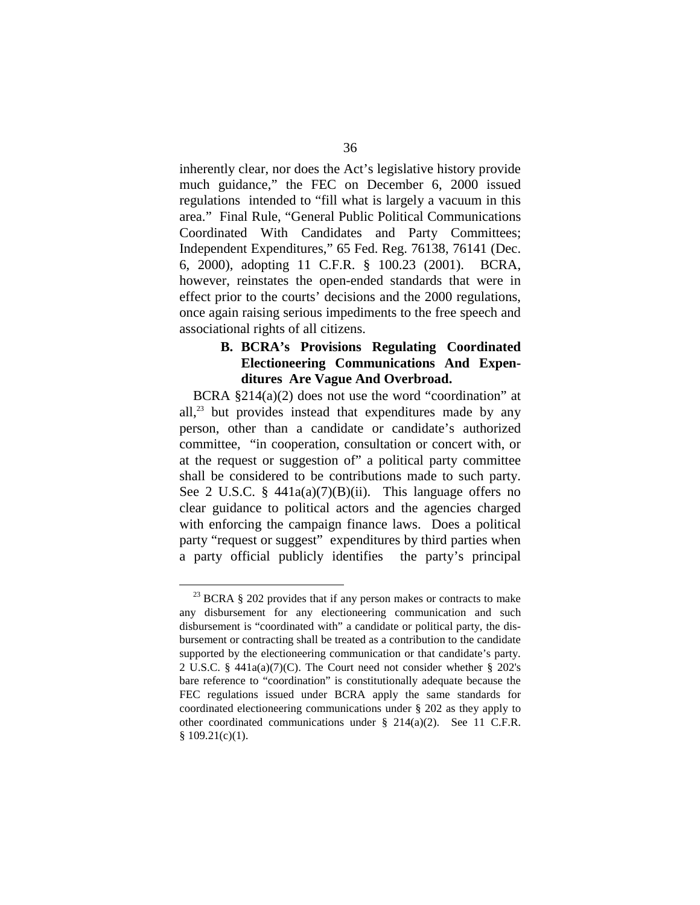inherently clear, nor does the Act's legislative history provide much guidance," the FEC on December 6, 2000 issued regulations intended to "fill what is largely a vacuum in this area." Final Rule, "General Public Political Communications Coordinated With Candidates and Party Committees; Independent Expenditures," 65 Fed. Reg. 76138, 76141 (Dec. 6, 2000), adopting 11 C.F.R. § 100.23 (2001). BCRA, however, reinstates the open-ended standards that were in effect prior to the courts' decisions and the 2000 regulations, once again raising serious impediments to the free speech and associational rights of all citizens.

#### **B. BCRA's Provisions Regulating Coordinated Electioneering Communications And Expenditures Are Vague And Overbroad.**

BCRA §214(a)(2) does not use the word "coordination" at all, $^{23}$  but provides instead that expenditures made by any person, other than a candidate or candidate's authorized committee, "in cooperation, consultation or concert with, or at the request or suggestion of" a political party committee shall be considered to be contributions made to such party. See 2 U.S.C. § 441a(a)(7)(B)(ii). This language offers no clear guidance to political actors and the agencies charged with enforcing the campaign finance laws. Does a political party "request or suggest" expenditures by third parties when a party official publicly identifies the party's principal

 $^{23}$  BCRA § 202 provides that if any person makes or contracts to make any disbursement for any electioneering communication and such disbursement is "coordinated with" a candidate or political party, the disbursement or contracting shall be treated as a contribution to the candidate supported by the electioneering communication or that candidate's party. 2 U.S.C. § 441a(a)(7)(C). The Court need not consider whether § 202's bare reference to "coordination" is constitutionally adequate because the FEC regulations issued under BCRA apply the same standards for coordinated electioneering communications under § 202 as they apply to other coordinated communications under § 214(a)(2). See 11 C.F.R.  $$109.21(c)(1)$ .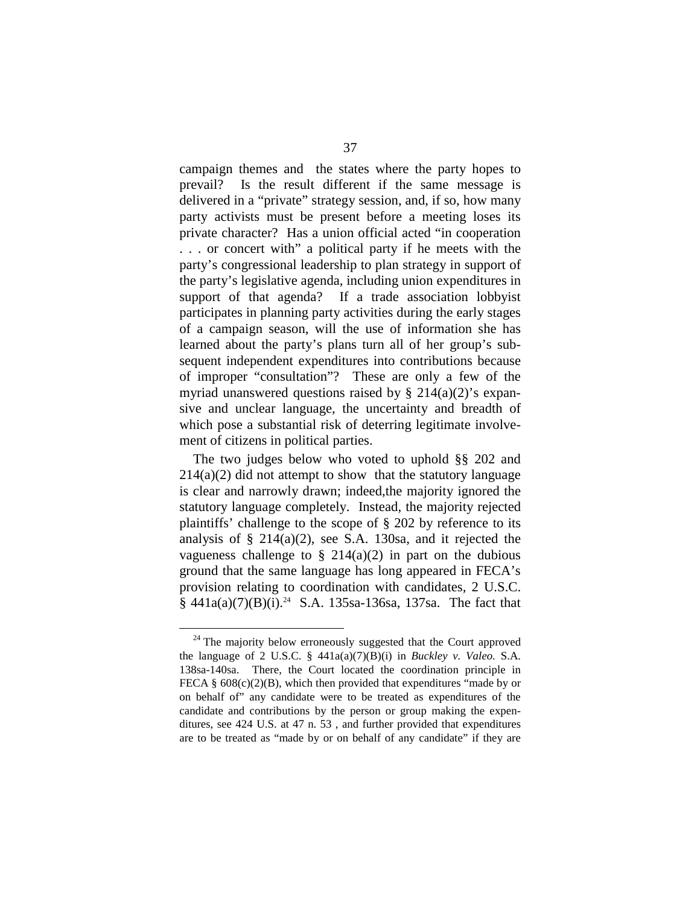campaign themes and the states where the party hopes to prevail? Is the result different if the same message is delivered in a "private" strategy session, and, if so, how many party activists must be present before a meeting loses its private character? Has a union official acted "in cooperation . . . or concert with" a political party if he meets with the party's congressional leadership to plan strategy in support of the party's legislative agenda, including union expenditures in support of that agenda? If a trade association lobbyist participates in planning party activities during the early stages of a campaign season, will the use of information she has learned about the party's plans turn all of her group's subsequent independent expenditures into contributions because of improper "consultation"? These are only a few of the myriad unanswered questions raised by  $\S$  214(a)(2)'s expansive and unclear language, the uncertainty and breadth of which pose a substantial risk of deterring legitimate involvement of citizens in political parties.

The two judges below who voted to uphold §§ 202 and  $214(a)(2)$  did not attempt to show that the statutory language is clear and narrowly drawn; indeed,the majority ignored the statutory language completely. Instead, the majority rejected plaintiffs' challenge to the scope of § 202 by reference to its analysis of  $\S$  214(a)(2), see S.A. 130sa, and it rejected the vagueness challenge to  $\S$  214(a)(2) in part on the dubious ground that the same language has long appeared in FECA's provision relating to coordination with candidates, 2 U.S.C.  $§$  441a(a)(7)(B)(i).<sup>24</sup> S.A. 135sa-136sa, 137sa. The fact that

 $24$  The majority below erroneously suggested that the Court approved the language of 2 U.S.C. § 441a(a)(7)(B)(i) in *Buckley v. Valeo.* S.A. 138sa-140sa. There, the Court located the coordination principle in FECA  $\S$  608(c)(2)(B), which then provided that expenditures "made by or on behalf of" any candidate were to be treated as expenditures of the candidate and contributions by the person or group making the expenditures, see 424 U.S. at 47 n. 53 , and further provided that expenditures are to be treated as "made by or on behalf of any candidate" if they are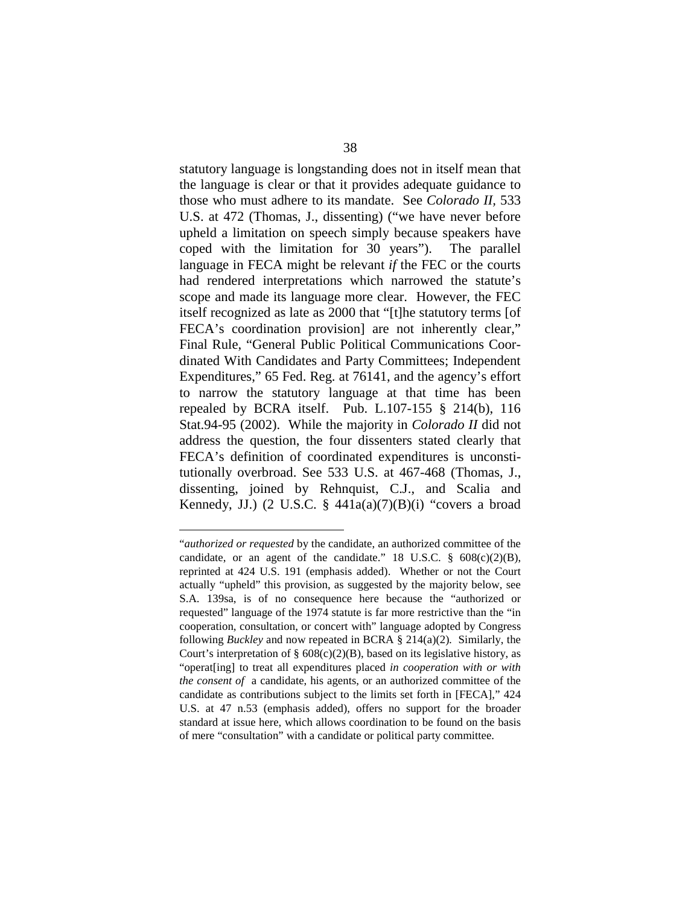statutory language is longstanding does not in itself mean that the language is clear or that it provides adequate guidance to those who must adhere to its mandate. See *Colorado II,* 533 U.S. at 472 (Thomas, J., dissenting) ("we have never before upheld a limitation on speech simply because speakers have coped with the limitation for 30 years"). The parallel language in FECA might be relevant *if* the FEC or the courts had rendered interpretations which narrowed the statute's scope and made its language more clear. However, the FEC itself recognized as late as 2000 that "[t]he statutory terms [of FECA's coordination provision] are not inherently clear," Final Rule, "General Public Political Communications Coordinated With Candidates and Party Committees; Independent Expenditures," 65 Fed. Reg. at 76141, and the agency's effort to narrow the statutory language at that time has been repealed by BCRA itself. Pub. L.107-155 § 214(b), 116 Stat.94-95 (2002). While the majority in *Colorado II* did not address the question, the four dissenters stated clearly that FECA's definition of coordinated expenditures is unconstitutionally overbroad. See 533 U.S. at 467-468 (Thomas, J., dissenting, joined by Rehnquist, C.J., and Scalia and Kennedy, JJ.) (2 U.S.C.  $\S$  441a(a)(7)(B)(i) "covers a broad

<sup>&</sup>quot;*authorized or requested* by the candidate, an authorized committee of the candidate, or an agent of the candidate." 18 U.S.C.  $\frac{6}{9}$  608(c)(2)(B), reprinted at 424 U.S. 191 (emphasis added). Whether or not the Court actually "upheld" this provision, as suggested by the majority below, see S.A. 139sa, is of no consequence here because the "authorized or requested" language of the 1974 statute is far more restrictive than the "in cooperation, consultation, or concert with" language adopted by Congress following *Buckley* and now repeated in BCRA § 214(a)(2)*.* Similarly, the Court's interpretation of §  $608(c)(2)(B)$ , based on its legislative history, as "operat[ing] to treat all expenditures placed *in cooperation with or with the consent of* a candidate, his agents, or an authorized committee of the candidate as contributions subject to the limits set forth in [FECA]," 424 U.S. at 47 n.53 (emphasis added), offers no support for the broader standard at issue here, which allows coordination to be found on the basis of mere "consultation" with a candidate or political party committee.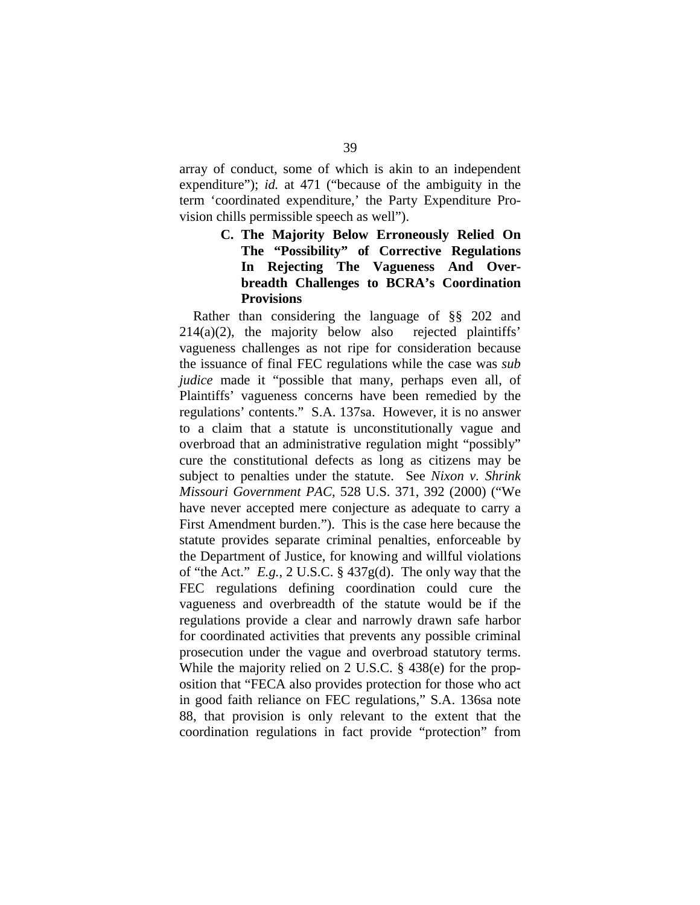array of conduct, some of which is akin to an independent expenditure"); *id.* at 471 ("because of the ambiguity in the term 'coordinated expenditure,' the Party Expenditure Provision chills permissible speech as well").

### **C. The Majority Below Erroneously Relied On The "Possibility" of Corrective Regulations In Rejecting The Vagueness And Overbreadth Challenges to BCRA's Coordination Provisions**

Rather than considering the language of §§ 202 and  $214(a)(2)$ , the majority below also rejected plaintiffs' vagueness challenges as not ripe for consideration because the issuance of final FEC regulations while the case was *sub judice* made it "possible that many, perhaps even all, of Plaintiffs' vagueness concerns have been remedied by the regulations' contents." S.A. 137sa. However, it is no answer to a claim that a statute is unconstitutionally vague and overbroad that an administrative regulation might "possibly" cure the constitutional defects as long as citizens may be subject to penalties under the statute. See *Nixon v. Shrink Missouri Government PAC,* 528 U.S. 371, 392 (2000) ("We have never accepted mere conjecture as adequate to carry a First Amendment burden."). This is the case here because the statute provides separate criminal penalties, enforceable by the Department of Justice, for knowing and willful violations of "the Act." *E.g.*, 2 U.S.C. § 437g(d). The only way that the FEC regulations defining coordination could cure the vagueness and overbreadth of the statute would be if the regulations provide a clear and narrowly drawn safe harbor for coordinated activities that prevents any possible criminal prosecution under the vague and overbroad statutory terms. While the majority relied on 2 U.S.C. § 438(e) for the proposition that "FECA also provides protection for those who act in good faith reliance on FEC regulations," S.A. 136sa note 88, that provision is only relevant to the extent that the coordination regulations in fact provide "protection" from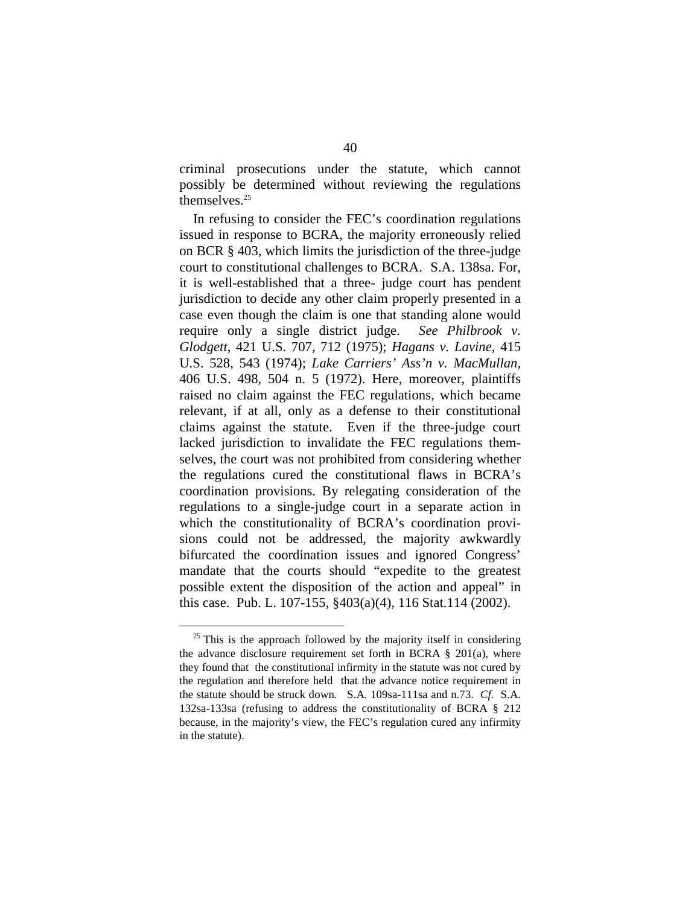criminal prosecutions under the statute, which cannot possibly be determined without reviewing the regulations themselves. 25

In refusing to consider the FEC's coordination regulations issued in response to BCRA, the majority erroneously relied on BCR § 403, which limits the jurisdiction of the three-judge court to constitutional challenges to BCRA. S.A. 138sa. For, it is well-established that a three- judge court has pendent jurisdiction to decide any other claim properly presented in a case even though the claim is one that standing alone would require only a single district judge. *See Philbrook v. Glodgett*, 421 U.S. 707, 712 (1975); *Hagans v. Lavine,* 415 U.S. 528, 543 (1974); *Lake Carriers' Ass'n v. MacMullan,*  406 U.S. 498, 504 n. 5 (1972). Here, moreover, plaintiffs raised no claim against the FEC regulations, which became relevant, if at all, only as a defense to their constitutional claims against the statute. Even if the three-judge court lacked jurisdiction to invalidate the FEC regulations themselves, the court was not prohibited from considering whether the regulations cured the constitutional flaws in BCRA's coordination provisions. By relegating consideration of the regulations to a single-judge court in a separate action in which the constitutionality of BCRA's coordination provisions could not be addressed, the majority awkwardly bifurcated the coordination issues and ignored Congress' mandate that the courts should "expedite to the greatest possible extent the disposition of the action and appeal" in this case. Pub. L. 107-155, §403(a)(4), 116 Stat.114 (2002).

 $25$  This is the approach followed by the majority itself in considering the advance disclosure requirement set forth in BCRA § 201(a), where they found that the constitutional infirmity in the statute was not cured by the regulation and therefore held that the advance notice requirement in the statute should be struck down. S.A. 109sa-111sa and n.73. *Cf.* S.A. 132sa-133sa (refusing to address the constitutionality of BCRA § 212 because, in the majority's view, the FEC's regulation cured any infirmity in the statute).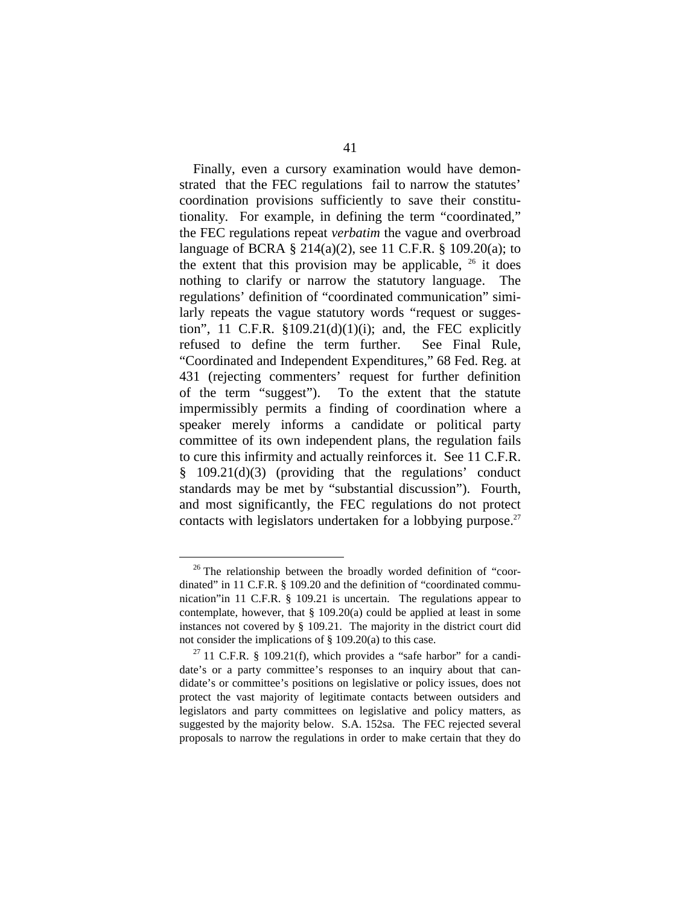Finally, even a cursory examination would have demonstrated that the FEC regulations fail to narrow the statutes' coordination provisions sufficiently to save their constitutionality. For example, in defining the term "coordinated," the FEC regulations repeat *verbatim* the vague and overbroad language of BCRA § 214(a)(2), see 11 C.F.R. § 109.20(a); to the extent that this provision may be applicable,  $26$  it does nothing to clarify or narrow the statutory language. The regulations' definition of "coordinated communication" similarly repeats the vague statutory words "request or suggestion", 11 C.F.R.  $$109.21(d)(1)(i)$ ; and, the FEC explicitly refused to define the term further. See Final Rule, "Coordinated and Independent Expenditures," 68 Fed. Reg. at 431 (rejecting commenters' request for further definition of the term "suggest"). To the extent that the statute impermissibly permits a finding of coordination where a speaker merely informs a candidate or political party committee of its own independent plans, the regulation fails to cure this infirmity and actually reinforces it. See 11 C.F.R. § 109.21(d)(3) (providing that the regulations' conduct standards may be met by "substantial discussion"). Fourth, and most significantly, the FEC regulations do not protect contacts with legislators undertaken for a lobbying purpose. $27$ 

 $26$  The relationship between the broadly worded definition of "coordinated" in 11 C.F.R. § 109.20 and the definition of "coordinated communication"in 11 C.F.R. § 109.21 is uncertain. The regulations appear to contemplate, however, that  $\S$  109.20(a) could be applied at least in some instances not covered by § 109.21. The majority in the district court did not consider the implications of  $\S$  109.20(a) to this case.<br><sup>27</sup> 11 C.F.R.  $\S$  109.21(f), which provides a "safe harbor" for a candi-

date's or a party committee's responses to an inquiry about that candidate's or committee's positions on legislative or policy issues, does not protect the vast majority of legitimate contacts between outsiders and legislators and party committees on legislative and policy matters, as suggested by the majority below. S.A. 152sa. The FEC rejected several proposals to narrow the regulations in order to make certain that they do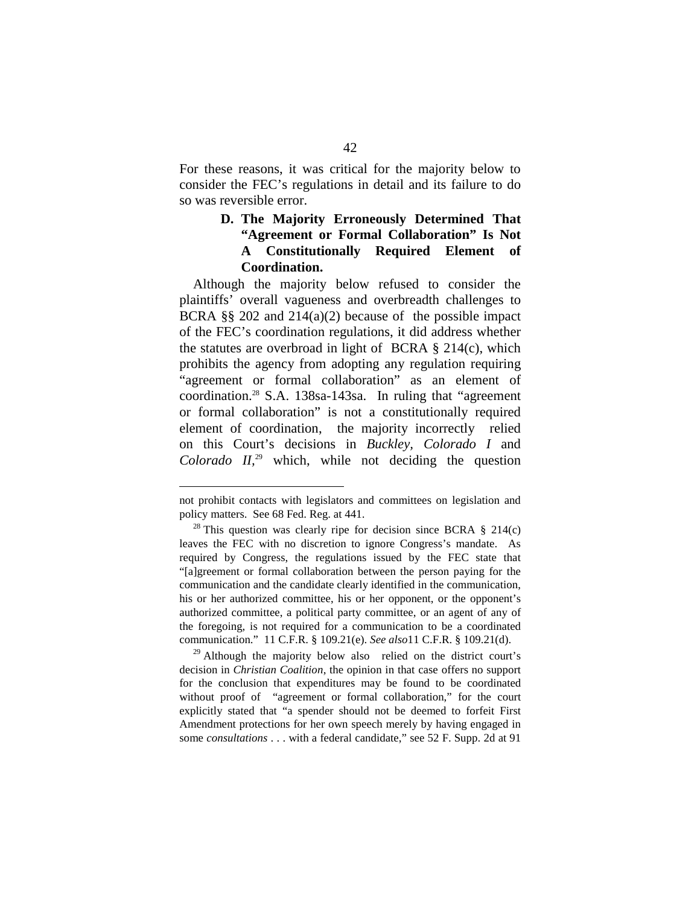For these reasons, it was critical for the majority below to consider the FEC's regulations in detail and its failure to do so was reversible error.

### **D. The Majority Erroneously Determined That "Agreement or Formal Collaboration" Is Not A Constitutionally Required Element of Coordination.**

Although the majority below refused to consider the plaintiffs' overall vagueness and overbreadth challenges to BCRA §§ 202 and 214(a)(2) because of the possible impact of the FEC's coordination regulations, it did address whether the statutes are overbroad in light of BCRA  $\S$  214(c), which prohibits the agency from adopting any regulation requiring "agreement or formal collaboration" as an element of coordination.28 S.A. 138sa-143sa. In ruling that "agreement or formal collaboration" is not a constitutionally required element of coordination, the majority incorrectly relied on this Court's decisions in *Buckley, Colorado I* and *Colorado II,*29 which, while not deciding the question

 $^{29}$  Although the majority below also relied on the district court's decision in *Christian Coalition*, the opinion in that case offers no support for the conclusion that expenditures may be found to be coordinated without proof of "agreement or formal collaboration," for the court explicitly stated that "a spender should not be deemed to forfeit First Amendment protections for her own speech merely by having engaged in some *consultations* . . . with a federal candidate," see 52 F. Supp. 2d at 91

not prohibit contacts with legislators and committees on legislation and policy matters. See 68 Fed. Reg. at 441.<br><sup>28</sup> This question was clearly ripe for decision since BCRA § 214(c)

leaves the FEC with no discretion to ignore Congress's mandate. As required by Congress, the regulations issued by the FEC state that "[a]greement or formal collaboration between the person paying for the communication and the candidate clearly identified in the communication, his or her authorized committee, his or her opponent, or the opponent's authorized committee, a political party committee, or an agent of any of the foregoing, is not required for a communication to be a coordinated communication." 11 C.F.R. § 109.21(e). *See also*11 C.F.R. § 109.21(d).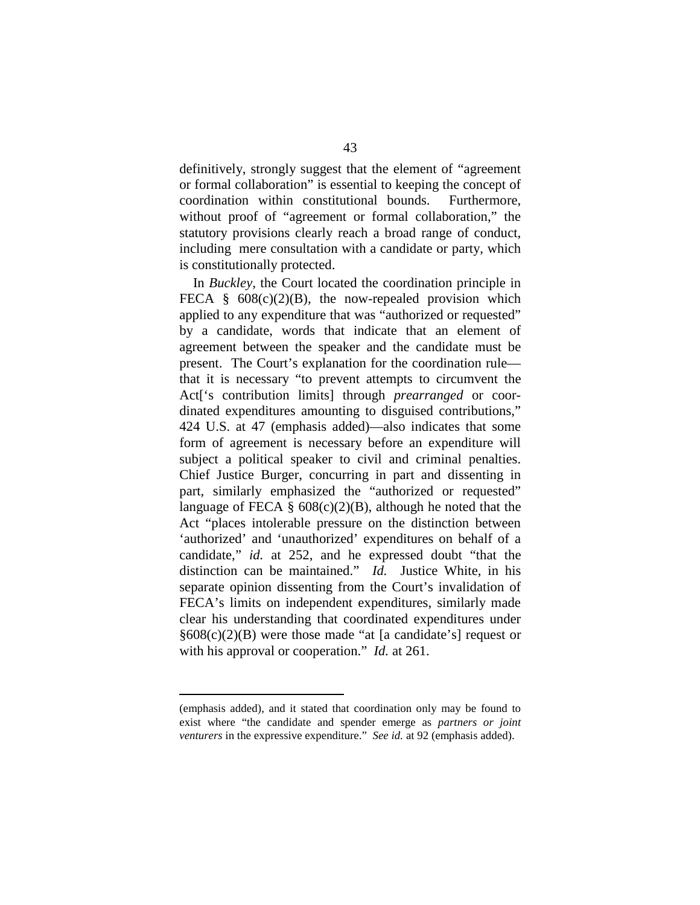definitively, strongly suggest that the element of "agreement or formal collaboration" is essential to keeping the concept of coordination within constitutional bounds. Furthermore, without proof of "agreement or formal collaboration," the statutory provisions clearly reach a broad range of conduct, including mere consultation with a candidate or party, which is constitutionally protected.

In *Buckley,* the Court located the coordination principle in FECA  $§$  608(c)(2)(B), the now-repealed provision which applied to any expenditure that was "authorized or requested" by a candidate, words that indicate that an element of agreement between the speaker and the candidate must be present. The Court's explanation for the coordination rule that it is necessary "to prevent attempts to circumvent the Act['s contribution limits] through *prearranged* or coordinated expenditures amounting to disguised contributions," 424 U.S. at 47 (emphasis added)—also indicates that some form of agreement is necessary before an expenditure will subject a political speaker to civil and criminal penalties. Chief Justice Burger, concurring in part and dissenting in part, similarly emphasized the "authorized or requested" language of FECA  $\S$  608(c)(2)(B), although he noted that the Act "places intolerable pressure on the distinction between 'authorized' and 'unauthorized' expenditures on behalf of a candidate," *id.* at 252, and he expressed doubt "that the distinction can be maintained." *Id.* Justice White, in his separate opinion dissenting from the Court's invalidation of FECA's limits on independent expenditures, similarly made clear his understanding that coordinated expenditures under  $§608(c)(2)(B)$  were those made "at [a candidate's] request or with his approval or cooperation." *Id.* at 261.

<sup>(</sup>emphasis added), and it stated that coordination only may be found to exist where "the candidate and spender emerge as *partners or joint venturers* in the expressive expenditure." *See id.* at 92 (emphasis added).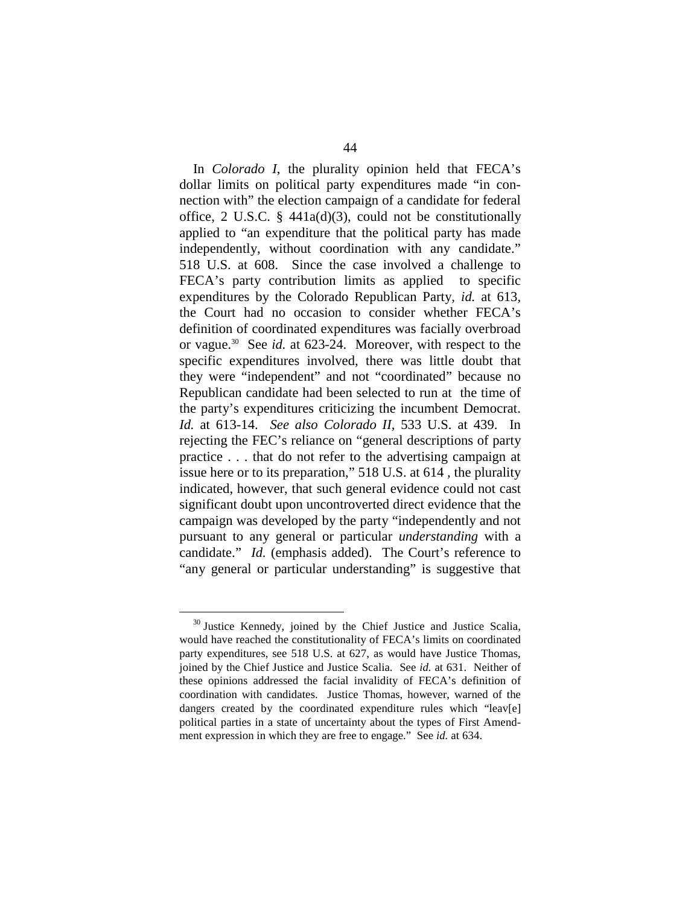In *Colorado I*, the plurality opinion held that FECA's dollar limits on political party expenditures made "in connection with" the election campaign of a candidate for federal office, 2 U.S.C. § 441a(d)(3), could not be constitutionally applied to "an expenditure that the political party has made independently, without coordination with any candidate." 518 U.S. at 608. Since the case involved a challenge to FECA's party contribution limits as applied to specific expenditures by the Colorado Republican Party, *id.* at 613*,*  the Court had no occasion to consider whether FECA's definition of coordinated expenditures was facially overbroad or vague.30 See *id.* at 623-24. Moreover, with respect to the specific expenditures involved, there was little doubt that they were "independent" and not "coordinated" because no Republican candidate had been selected to run at the time of the party's expenditures criticizing the incumbent Democrat. *Id.* at 613-14. *See also Colorado II,* 533 U.S. at 439. In rejecting the FEC's reliance on "general descriptions of party practice . . . that do not refer to the advertising campaign at issue here or to its preparation," 518 U.S. at 614 *,* the plurality indicated, however, that such general evidence could not cast significant doubt upon uncontroverted direct evidence that the campaign was developed by the party "independently and not pursuant to any general or particular *understanding* with a candidate." *Id.* (emphasis added). The Court's reference to "any general or particular understanding" is suggestive that

<sup>&</sup>lt;sup>30</sup> Justice Kennedy, joined by the Chief Justice and Justice Scalia, would have reached the constitutionality of FECA's limits on coordinated party expenditures, see 518 U.S. at 627, as would have Justice Thomas, joined by the Chief Justice and Justice Scalia. See *id.* at 631. Neither of these opinions addressed the facial invalidity of FECA's definition of coordination with candidates. Justice Thomas, however, warned of the dangers created by the coordinated expenditure rules which "leav[e] political parties in a state of uncertainty about the types of First Amendment expression in which they are free to engage." See *id.* at 634.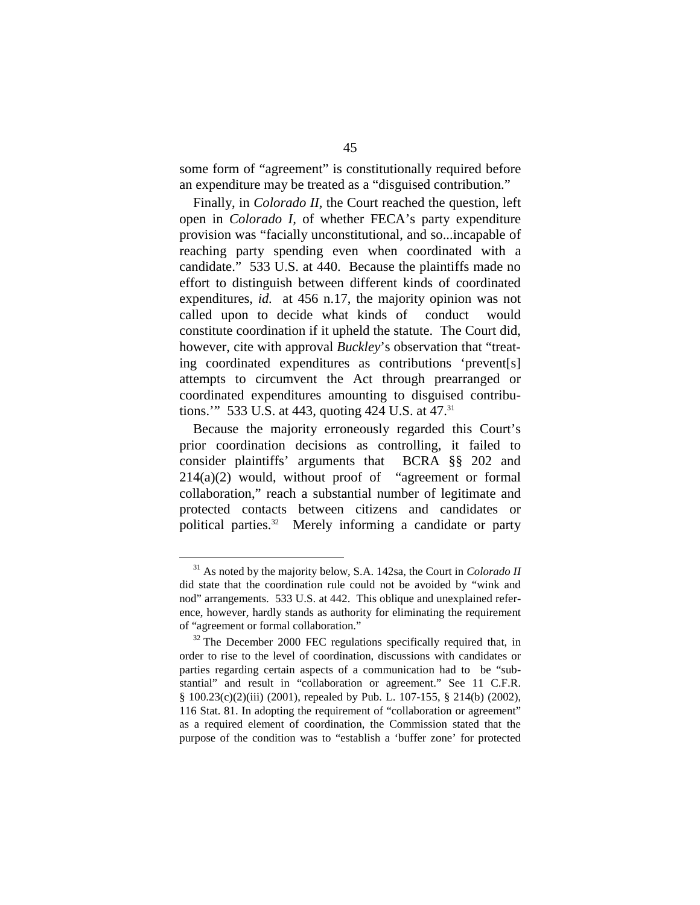some form of "agreement" is constitutionally required before an expenditure may be treated as a "disguised contribution."

Finally, in *Colorado II,* the Court reached the question, left open in *Colorado I,* of whether FECA's party expenditure provision was "facially unconstitutional, and so...incapable of reaching party spending even when coordinated with a candidate." 533 U.S. at 440. Because the plaintiffs made no effort to distinguish between different kinds of coordinated expenditures, *id.* at 456 n.17, the majority opinion was not called upon to decide what kinds of conduct would constitute coordination if it upheld the statute. The Court did, however, cite with approval *Buckley*'s observation that "treating coordinated expenditures as contributions 'prevent[s] attempts to circumvent the Act through prearranged or coordinated expenditures amounting to disguised contributions." 533 U.S. at 443, quoting 424 U.S. at 47.<sup>31</sup>

Because the majority erroneously regarded this Court's prior coordination decisions as controlling, it failed to consider plaintiffs' arguments that BCRA §§ 202 and 214(a)(2) would, without proof of "agreement or formal collaboration," reach a substantial number of legitimate and protected contacts between citizens and candidates or political parties.<sup>32</sup> Merely informing a candidate or party

<sup>31</sup> As noted by the majority below, S.A. 142sa, the Court in *Colorado II*  did state that the coordination rule could not be avoided by "wink and nod" arrangements. 533 U.S. at 442. This oblique and unexplained reference, however, hardly stands as authority for eliminating the requirement of "agreement or formal collaboration." <sup>32</sup> The December 2000 FEC regulations specifically required that, in

order to rise to the level of coordination, discussions with candidates or parties regarding certain aspects of a communication had to be "substantial" and result in "collaboration or agreement." See 11 C.F.R. § 100.23(c)(2)(iii) (2001), repealed by Pub. L. 107-155, § 214(b) (2002), 116 Stat. 81. In adopting the requirement of "collaboration or agreement" as a required element of coordination, the Commission stated that the purpose of the condition was to "establish a 'buffer zone' for protected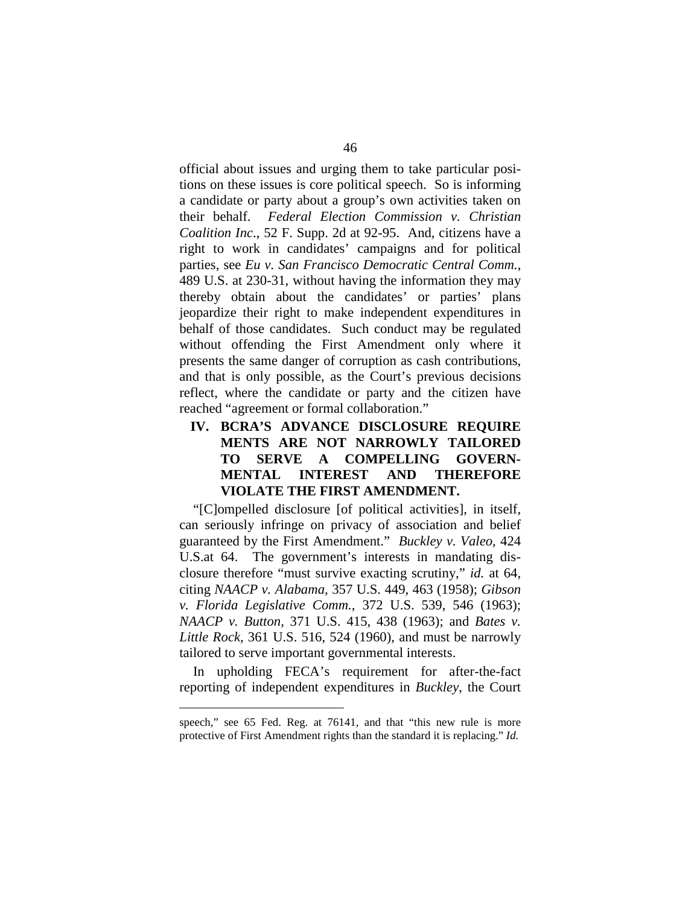official about issues and urging them to take particular positions on these issues is core political speech. So is informing a candidate or party about a group's own activities taken on their behalf. *Federal Election Commission v. Christian Coalition Inc*., 52 F. Supp. 2d at 92-95. And, citizens have a right to work in candidates' campaigns and for political parties, see *Eu v. San Francisco Democratic Central Comm.*, 489 U.S. at 230-31, without having the information they may thereby obtain about the candidates' or parties' plans jeopardize their right to make independent expenditures in behalf of those candidates. Such conduct may be regulated without offending the First Amendment only where it presents the same danger of corruption as cash contributions, and that is only possible, as the Court's previous decisions reflect, where the candidate or party and the citizen have reached "agreement or formal collaboration."

**IV. BCRA'S ADVANCE DISCLOSURE REQUIRE MENTS ARE NOT NARROWLY TAILORED TO SERVE A COMPELLING GOVERN-MENTAL INTEREST AND THEREFORE VIOLATE THE FIRST AMENDMENT.** 

"[C]ompelled disclosure [of political activities], in itself, can seriously infringe on privacy of association and belief guaranteed by the First Amendment." *Buckley v. Valeo,* 424 U.S.at 64. The government's interests in mandating disclosure therefore "must survive exacting scrutiny," *id.* at 64, citing *NAACP v. Alabama,* 357 U.S. 449, 463 (1958); *Gibson v. Florida Legislative Comm.,* 372 U.S. 539, 546 (1963); *NAACP v. Button,* 371 U.S. 415, 438 (1963); and *Bates v. Little Rock,* 361 U.S. 516, 524 (1960), and must be narrowly tailored to serve important governmental interests.

In upholding FECA's requirement for after-the-fact reporting of independent expenditures in *Buckley*, the Court

speech," see 65 Fed. Reg. at 76141, and that "this new rule is more protective of First Amendment rights than the standard it is replacing." *Id.*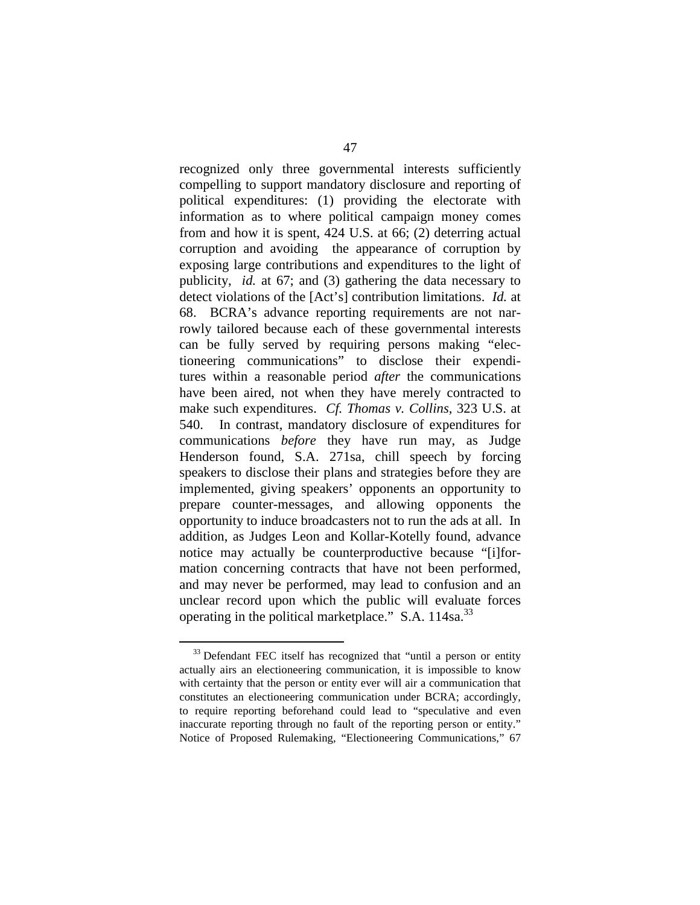recognized only three governmental interests sufficiently compelling to support mandatory disclosure and reporting of political expenditures: (1) providing the electorate with information as to where political campaign money comes from and how it is spent, 424 U.S. at 66; (2) deterring actual corruption and avoiding the appearance of corruption by exposing large contributions and expenditures to the light of publicity, *id.* at 67; and (3) gathering the data necessary to detect violations of the [Act's] contribution limitations. *Id.* at 68. BCRA's advance reporting requirements are not narrowly tailored because each of these governmental interests can be fully served by requiring persons making "electioneering communications" to disclose their expenditures within a reasonable period *after* the communications have been aired, not when they have merely contracted to make such expenditures. *Cf. Thomas v. Collins,* 323 U.S. at 540. In contrast, mandatory disclosure of expenditures for communications *before* they have run may, as Judge Henderson found, S.A. 271sa, chill speech by forcing speakers to disclose their plans and strategies before they are implemented, giving speakers' opponents an opportunity to prepare counter-messages, and allowing opponents the opportunity to induce broadcasters not to run the ads at all. In addition, as Judges Leon and Kollar-Kotelly found, advance notice may actually be counterproductive because "[i]formation concerning contracts that have not been performed, and may never be performed, may lead to confusion and an unclear record upon which the public will evaluate forces operating in the political marketplace." S.A.  $114$ sa.<sup>33</sup>

<sup>&</sup>lt;sup>33</sup> Defendant FEC itself has recognized that "until a person or entity" actually airs an electioneering communication, it is impossible to know with certainty that the person or entity ever will air a communication that constitutes an electioneering communication under BCRA; accordingly, to require reporting beforehand could lead to "speculative and even inaccurate reporting through no fault of the reporting person or entity." Notice of Proposed Rulemaking, "Electioneering Communications," 67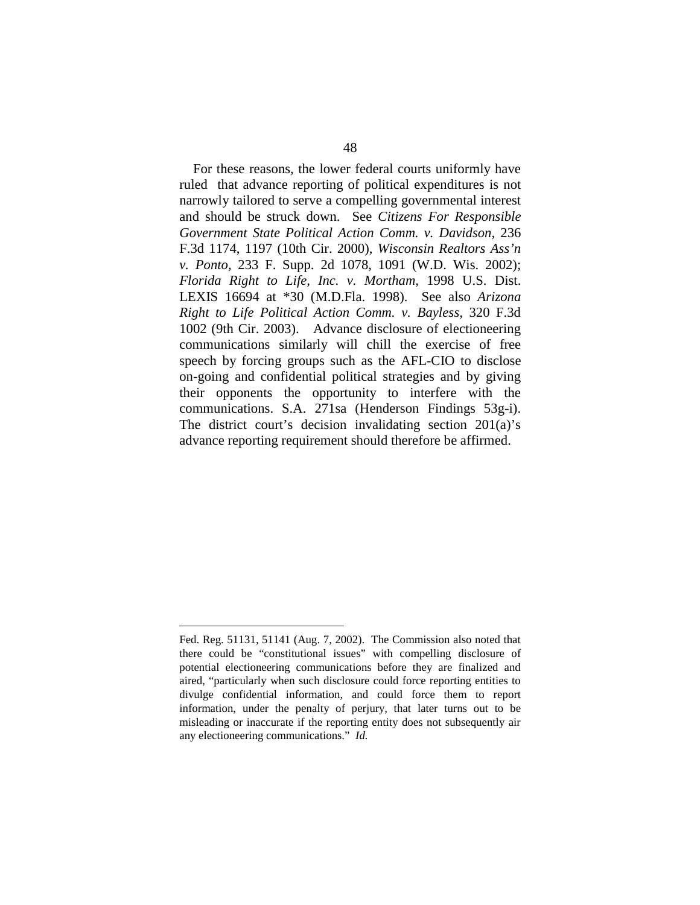For these reasons, the lower federal courts uniformly have ruled that advance reporting of political expenditures is not narrowly tailored to serve a compelling governmental interest and should be struck down. See *Citizens For Responsible Government State Political Action Comm. v. Davidson,* 236 F.3d 1174, 1197 (10th Cir. 2000), *Wisconsin Realtors Ass'n v. Ponto,* 233 F. Supp. 2d 1078, 1091 (W.D. Wis. 2002); *Florida Right to Life, Inc. v. Mortham,* 1998 U.S. Dist. LEXIS 16694 at \*30 (M.D.Fla. 1998). See also *Arizona Right to Life Political Action Comm. v. Bayless,* 320 F.3d 1002 (9th Cir. 2003). Advance disclosure of electioneering communications similarly will chill the exercise of free speech by forcing groups such as the AFL-CIO to disclose on-going and confidential political strategies and by giving their opponents the opportunity to interfere with the communications. S.A. 271sa (Henderson Findings 53g-i). The district court's decision invalidating section 201(a)'s advance reporting requirement should therefore be affirmed.

Fed. Reg. 51131, 51141 (Aug. 7, 2002). The Commission also noted that there could be "constitutional issues" with compelling disclosure of potential electioneering communications before they are finalized and aired, "particularly when such disclosure could force reporting entities to divulge confidential information, and could force them to report information, under the penalty of perjury, that later turns out to be misleading or inaccurate if the reporting entity does not subsequently air any electioneering communications." *Id.*